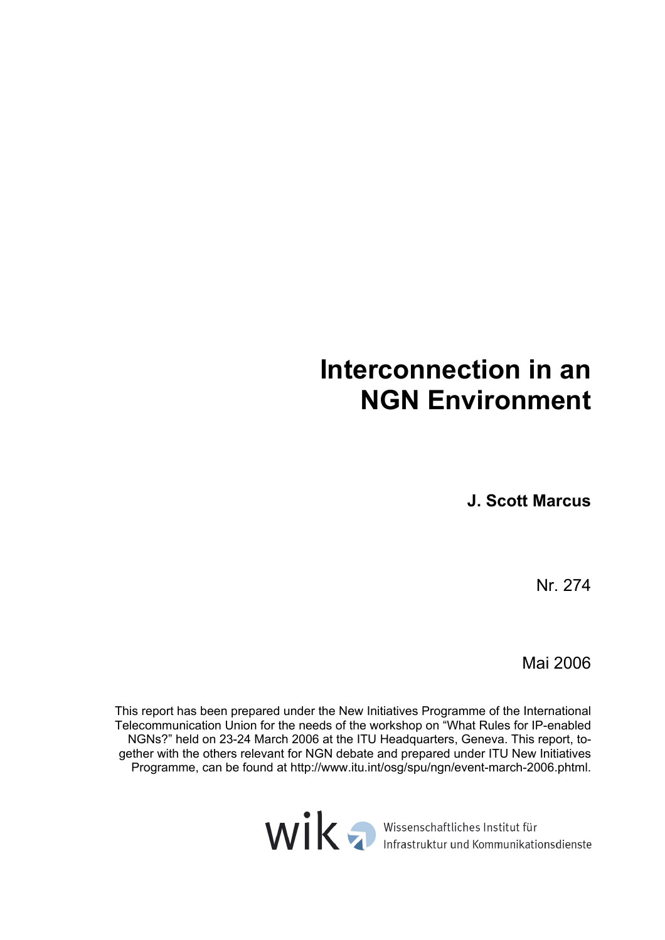# **Interconnection in an NGN Environment**

**J. Scott Marcus** 

Nr. 274

Mai 2006

This report has been prepared under the New Initiatives Programme of the International Telecommunication Union for the needs of the workshop on "What Rules for IP-enabled NGNs?" held on 23-24 March 2006 at the ITU Headquarters, Geneva. This report, together with the others relevant for NGN debate and prepared under ITU New Initiatives Programme, can be found at http://www.itu.int/osg/spu/ngn/event-march-2006.phtml.

WIK Infrastruktur und Kommunikationsdienste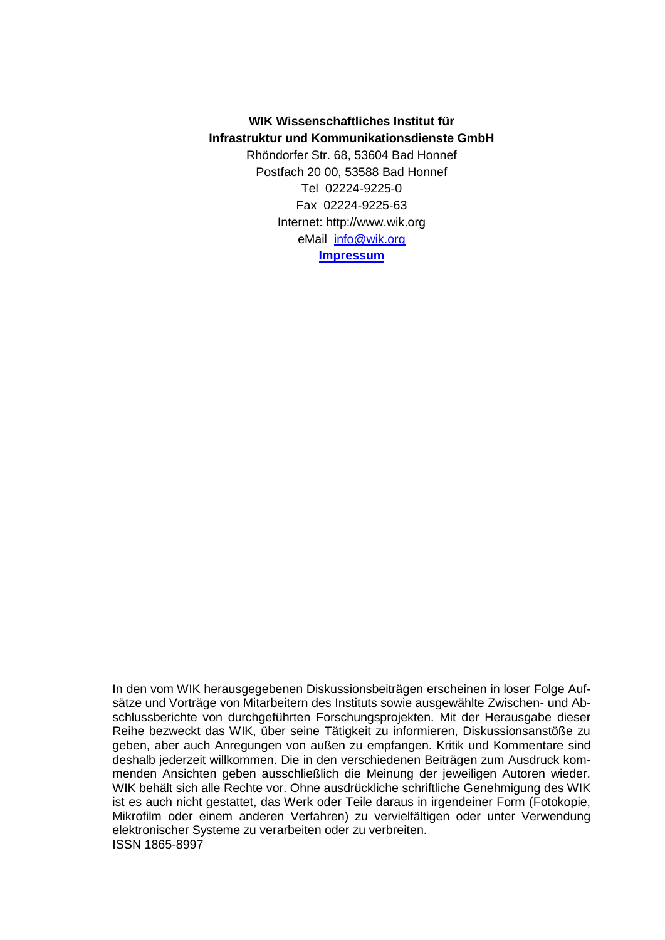# **WIK Wissenschaftliches Institut für Infrastruktur und Kommunikationsdienste GmbH**

Rhöndorfer Str. 68, 53604 Bad Honnef Postfach 20 00, 53588 Bad Honnef Tel 02224-9225-0 Fax 02224-9225-63 Internet: http://www.wik.org eMail [info@wik.org](mailto:info@wik.org) **[Impressum](https://www.wik.org/index.php?id=impressum)**

In den vom WIK herausgegebenen Diskussionsbeiträgen erscheinen in loser Folge Aufsätze und Vorträge von Mitarbeitern des Instituts sowie ausgewählte Zwischen- und Abschlussberichte von durchgeführten Forschungsprojekten. Mit der Herausgabe dieser Reihe bezweckt das WIK, über seine Tätigkeit zu informieren, Diskussionsanstöße zu geben, aber auch Anregungen von außen zu empfangen. Kritik und Kommentare sind deshalb jederzeit willkommen. Die in den verschiedenen Beiträgen zum Ausdruck kommenden Ansichten geben ausschließlich die Meinung der jeweiligen Autoren wieder. WIK behält sich alle Rechte vor. Ohne ausdrückliche schriftliche Genehmigung des WIK ist es auch nicht gestattet, das Werk oder Teile daraus in irgendeiner Form (Fotokopie, Mikrofilm oder einem anderen Verfahren) zu vervielfältigen oder unter Verwendung elektronischer Systeme zu verarbeiten oder zu verbreiten. ISSN 1865-8997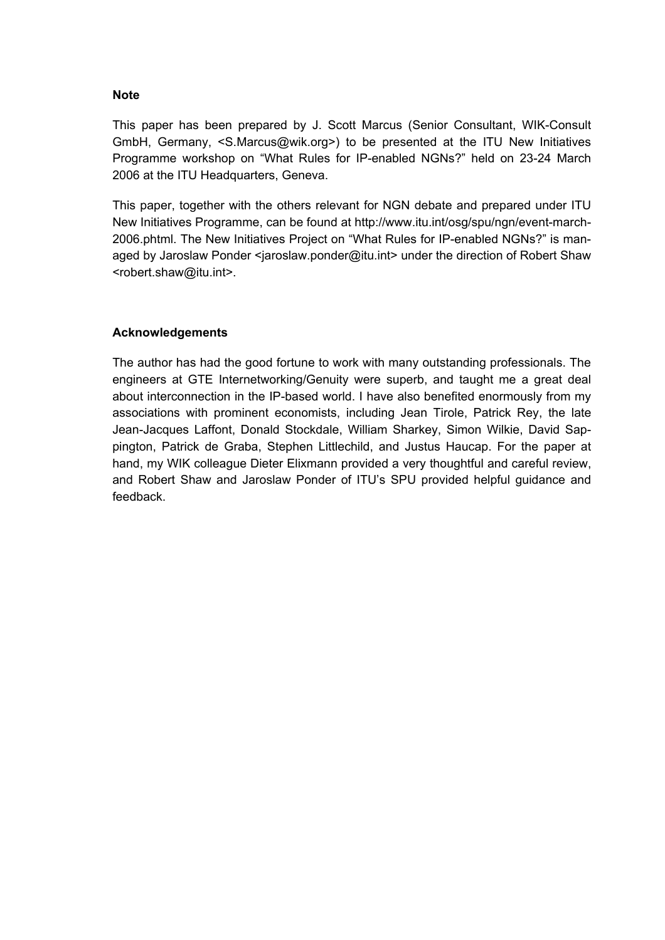#### **Note**

This paper has been prepared by J. Scott Marcus (Senior Consultant, WIK-Consult GmbH, Germany, <S.Marcus@wik.org>) to be presented at the ITU New Initiatives Programme workshop on "What Rules for IP-enabled NGNs?" held on 23-24 March 2006 at the ITU Headquarters, Geneva.

This paper, together with the others relevant for NGN debate and prepared under ITU New Initiatives Programme, can be found at http://www.itu.int/osg/spu/ngn/event-march-2006.phtml. The New Initiatives Project on "What Rules for IP-enabled NGNs?" is managed by Jaroslaw Ponder <jaroslaw.ponder@itu.int> under the direction of Robert Shaw <robert.shaw@itu.int>.

# **Acknowledgements**

The author has had the good fortune to work with many outstanding professionals. The engineers at GTE Internetworking/Genuity were superb, and taught me a great deal about interconnection in the IP-based world. I have also benefited enormously from my associations with prominent economists, including Jean Tirole, Patrick Rey, the late Jean-Jacques Laffont, Donald Stockdale, William Sharkey, Simon Wilkie, David Sappington, Patrick de Graba, Stephen Littlechild, and Justus Haucap. For the paper at hand, my WIK colleague Dieter Elixmann provided a very thoughtful and careful review, and Robert Shaw and Jaroslaw Ponder of ITU's SPU provided helpful guidance and feedback.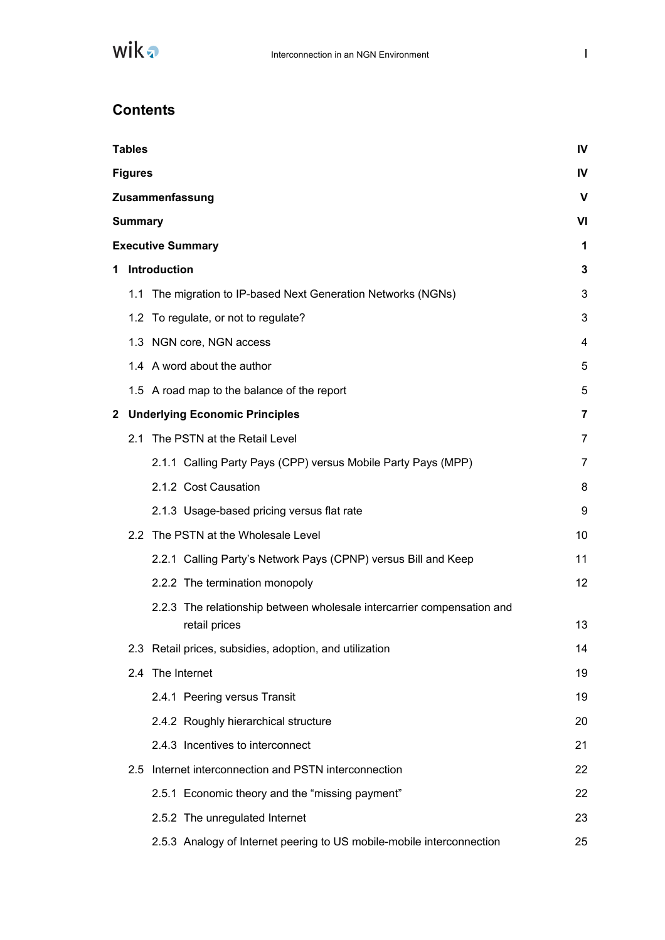

# **Contents**

| <b>Tables</b>  |                                                                        | IV             |
|----------------|------------------------------------------------------------------------|----------------|
| <b>Figures</b> |                                                                        | IV             |
|                | Zusammenfassung                                                        | V              |
| <b>Summary</b> |                                                                        | VI             |
|                | <b>Executive Summary</b>                                               | 1              |
|                | 1 Introduction                                                         | 3              |
|                | 1.1 The migration to IP-based Next Generation Networks (NGNs)          | 3              |
|                | 1.2 To regulate, or not to regulate?                                   | 3              |
|                | 1.3 NGN core, NGN access                                               | 4              |
|                | 1.4 A word about the author                                            | 5              |
|                | 1.5 A road map to the balance of the report                            | 5              |
|                | 2 Underlying Economic Principles                                       | 7              |
|                | 2.1 The PSTN at the Retail Level                                       | 7              |
|                | 2.1.1 Calling Party Pays (CPP) versus Mobile Party Pays (MPP)          | $\overline{7}$ |
|                | 2.1.2 Cost Causation                                                   | 8              |
|                | 2.1.3 Usage-based pricing versus flat rate                             | 9              |
|                | 2.2 The PSTN at the Wholesale Level                                    | 10             |
|                | 2.2.1 Calling Party's Network Pays (CPNP) versus Bill and Keep         | 11             |
|                | 2.2.2 The termination monopoly                                         | 12             |
|                | 2.2.3 The relationship between wholesale intercarrier compensation and |                |
|                | retail prices                                                          | 13             |
|                | 2.3 Retail prices, subsidies, adoption, and utilization                | 14             |
|                | 2.4 The Internet                                                       | 19             |
|                | 2.4.1 Peering versus Transit                                           | 19             |
|                | 2.4.2 Roughly hierarchical structure                                   | 20             |
|                | 2.4.3 Incentives to interconnect                                       | 21             |
| 2.5            | Internet interconnection and PSTN interconnection                      | 22             |
|                | 2.5.1 Economic theory and the "missing payment"                        | 22             |
|                | 2.5.2 The unregulated Internet                                         | 23             |
|                | 2.5.3 Analogy of Internet peering to US mobile-mobile interconnection  | 25             |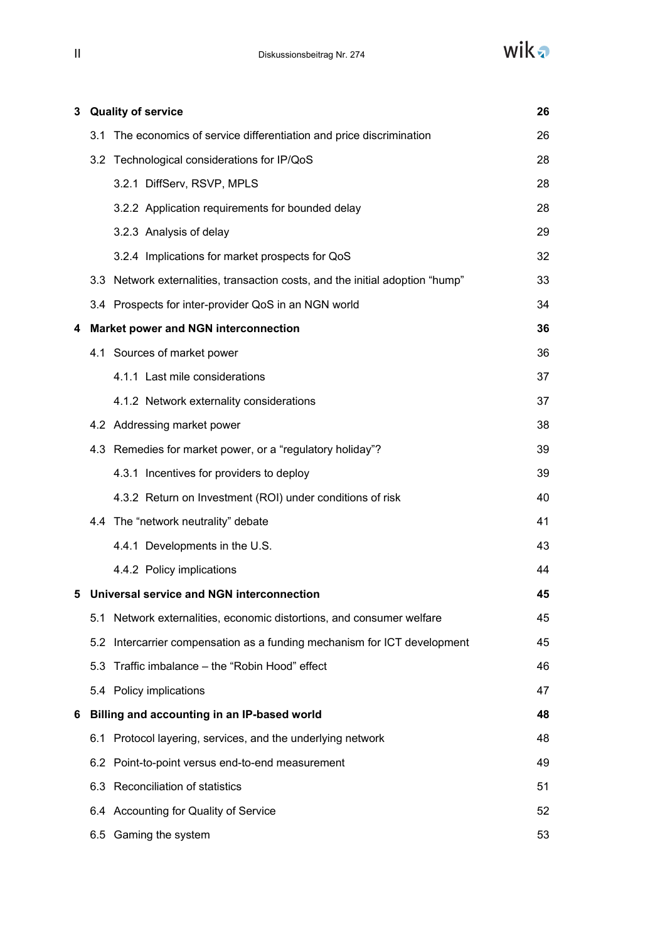wika

| 3 |     | <b>Quality of service</b><br>26                                               |    |  |
|---|-----|-------------------------------------------------------------------------------|----|--|
|   |     | 3.1 The economics of service differentiation and price discrimination         | 26 |  |
|   |     | 3.2 Technological considerations for IP/QoS                                   | 28 |  |
|   |     | 3.2.1 DiffServ, RSVP, MPLS                                                    | 28 |  |
|   |     | 3.2.2 Application requirements for bounded delay                              | 28 |  |
|   |     | 3.2.3 Analysis of delay                                                       | 29 |  |
|   |     | 3.2.4 Implications for market prospects for QoS                               | 32 |  |
|   |     | 3.3 Network externalities, transaction costs, and the initial adoption "hump" | 33 |  |
|   |     | 3.4 Prospects for inter-provider QoS in an NGN world                          | 34 |  |
| 4 |     | <b>Market power and NGN interconnection</b>                                   | 36 |  |
|   |     | 4.1 Sources of market power                                                   | 36 |  |
|   |     | 4.1.1 Last mile considerations                                                | 37 |  |
|   |     | 4.1.2 Network externality considerations                                      | 37 |  |
|   |     | 4.2 Addressing market power                                                   | 38 |  |
|   |     | 4.3 Remedies for market power, or a "regulatory holiday"?                     | 39 |  |
|   |     | 4.3.1 Incentives for providers to deploy                                      | 39 |  |
|   |     | 4.3.2 Return on Investment (ROI) under conditions of risk                     | 40 |  |
|   |     | 4.4 The "network neutrality" debate                                           | 41 |  |
|   |     | 4.4.1 Developments in the U.S.                                                | 43 |  |
|   |     | 4.4.2 Policy implications                                                     | 44 |  |
|   |     | 5 Universal service and NGN interconnection                                   | 45 |  |
|   | 5.1 | Network externalities, economic distortions, and consumer welfare             | 45 |  |
|   |     | 5.2 Intercarrier compensation as a funding mechanism for ICT development      | 45 |  |
|   | 5.3 | Traffic imbalance - the "Robin Hood" effect                                   | 46 |  |
|   |     | 5.4 Policy implications                                                       | 47 |  |
| 6 |     | Billing and accounting in an IP-based world                                   | 48 |  |
|   |     | 6.1 Protocol layering, services, and the underlying network                   | 48 |  |
|   |     | 6.2 Point-to-point versus end-to-end measurement                              | 49 |  |
|   |     | 6.3 Reconciliation of statistics                                              | 51 |  |
|   |     | 6.4 Accounting for Quality of Service                                         | 52 |  |
|   |     | 6.5 Gaming the system                                                         | 53 |  |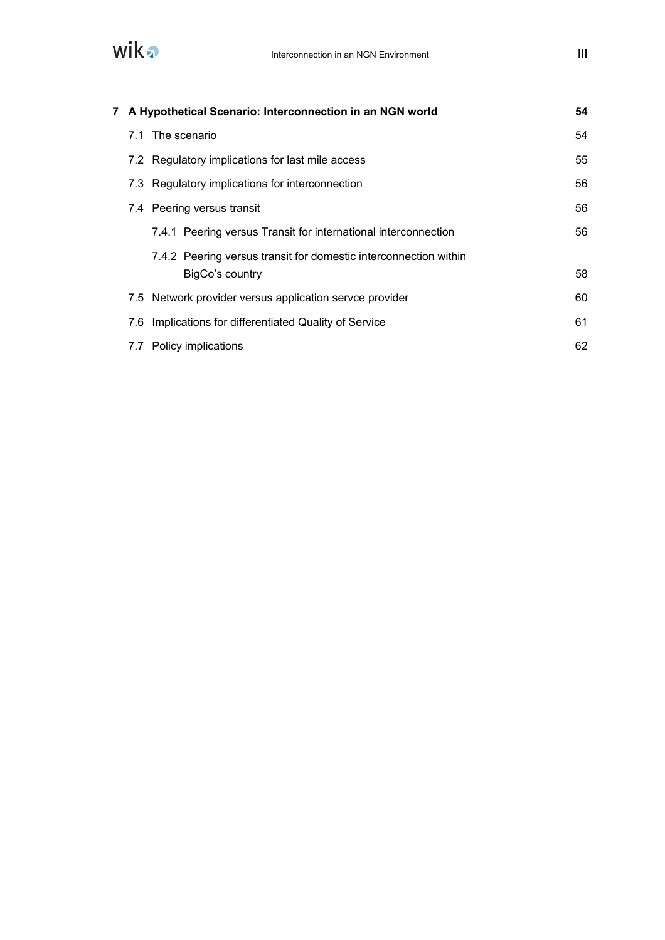

|  | 7 A Hypothetical Scenario: Interconnection in an NGN world       | 54 |
|--|------------------------------------------------------------------|----|
|  | 7.1 The scenario                                                 | 54 |
|  | 7.2 Regulatory implications for last mile access                 | 55 |
|  | 7.3 Regulatory implications for interconnection                  | 56 |
|  | 7.4 Peering versus transit                                       | 56 |
|  | 7.4.1 Peering versus Transit for international interconnection   | 56 |
|  | 7.4.2 Peering versus transit for domestic interconnection within |    |
|  | BigCo's country                                                  | 58 |
|  | 7.5 Network provider versus application servce provider          | 60 |
|  | 7.6 Implications for differentiated Quality of Service           | 61 |
|  | 7.7 Policy implications                                          | 62 |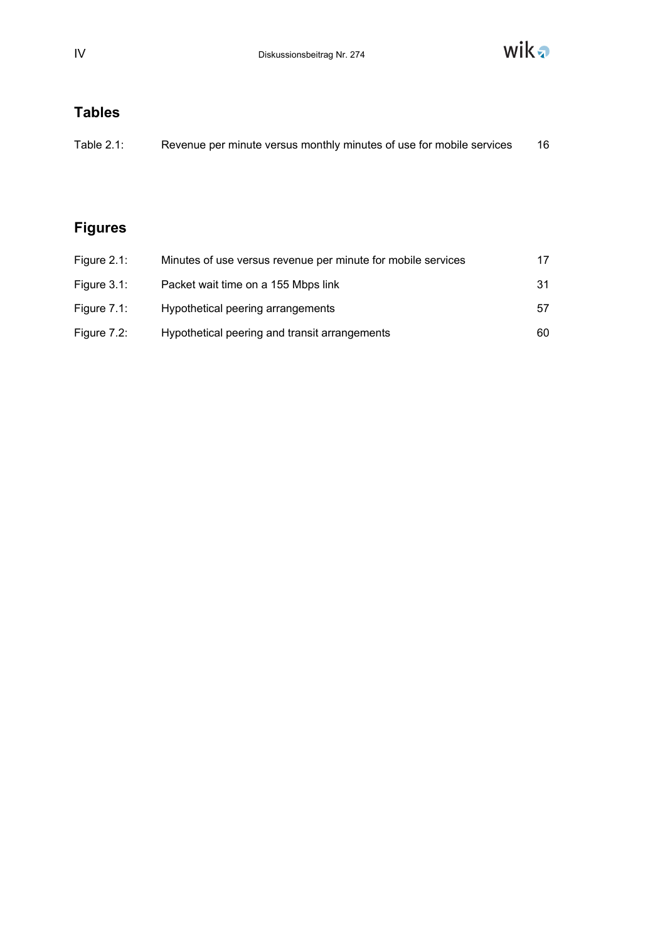

# **Tables**

| Table $2.1$ : | Revenue per minute versus monthly minutes of use for mobile services |  |
|---------------|----------------------------------------------------------------------|--|
|               |                                                                      |  |

# **Figures**

| Figure $2.1$ : | Minutes of use versus revenue per minute for mobile services | 17  |
|----------------|--------------------------------------------------------------|-----|
| Figure $3.1$ : | Packet wait time on a 155 Mbps link                          | -31 |
| Figure $7.1$ : | Hypothetical peering arrangements                            | 57  |
| Figure $7.2$ : | Hypothetical peering and transit arrangements                | 60  |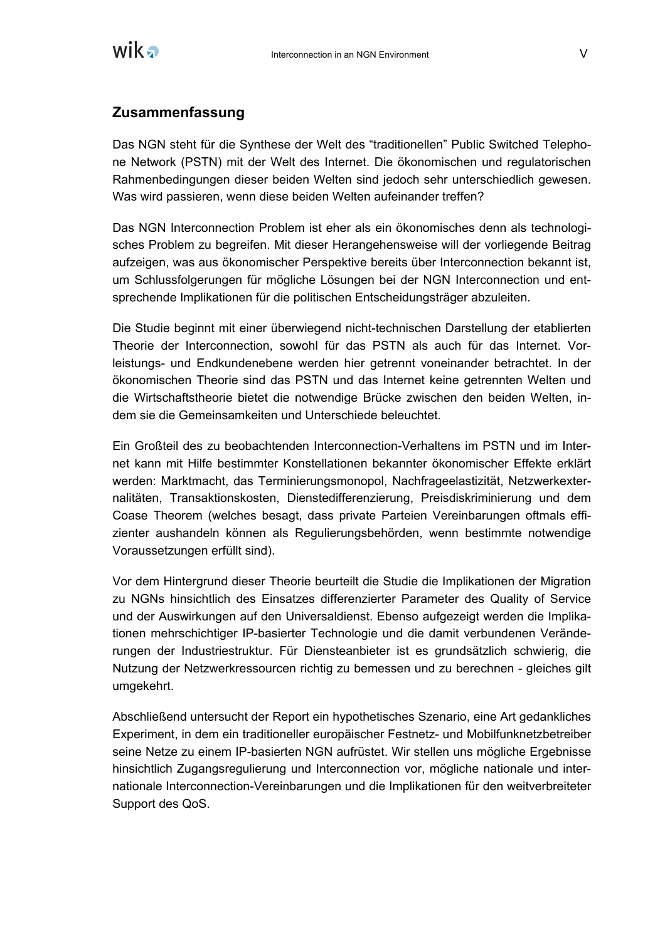

# **Zusammenfassung**

Das NGN steht für die Synthese der Welt des "traditionellen" Public Switched Telephone Network (PSTN) mit der Welt des Internet. Die ökonomischen und regulatorischen Rahmenbedingungen dieser beiden Welten sind jedoch sehr unterschiedlich gewesen. Was wird passieren, wenn diese beiden Welten aufeinander treffen?

Das NGN Interconnection Problem ist eher als ein ökonomisches denn als technologisches Problem zu begreifen. Mit dieser Herangehensweise will der vorliegende Beitrag aufzeigen, was aus ökonomischer Perspektive bereits über Interconnection bekannt ist, um Schlussfolgerungen für mögliche Lösungen bei der NGN Interconnection und entsprechende Implikationen für die politischen Entscheidungsträger abzuleiten.

Die Studie beginnt mit einer überwiegend nicht-technischen Darstellung der etablierten Theorie der Interconnection, sowohl für das PSTN als auch für das Internet. Vorleistungs- und Endkundenebene werden hier getrennt voneinander betrachtet. In der ökonomischen Theorie sind das PSTN und das Internet keine getrennten Welten und die Wirtschaftstheorie bietet die notwendige Brücke zwischen den beiden Welten, indem sie die Gemeinsamkeiten und Unterschiede beleuchtet.

Ein Großteil des zu beobachtenden Interconnection-Verhaltens im PSTN und im Internet kann mit Hilfe bestimmter Konstellationen bekannter ökonomischer Effekte erklärt werden: Marktmacht, das Terminierungsmonopol, Nachfrageelastizität, Netzwerkexternalitäten, Transaktionskosten, Dienstedifferenzierung, Preisdiskriminierung und dem Coase Theorem (welches besagt, dass private Parteien Vereinbarungen oftmals effizienter aushandeln können als Regulierungsbehörden, wenn bestimmte notwendige Voraussetzungen erfüllt sind).

Vor dem Hintergrund dieser Theorie beurteilt die Studie die Implikationen der Migration zu NGNs hinsichtlich des Einsatzes differenzierter Parameter des Quality of Service und der Auswirkungen auf den Universaldienst. Ebenso aufgezeigt werden die Implikationen mehrschichtiger IP-basierter Technologie und die damit verbundenen Veränderungen der Industriestruktur. Für Diensteanbieter ist es grundsätzlich schwierig, die Nutzung der Netzwerkressourcen richtig zu bemessen und zu berechnen - gleiches gilt umgekehrt.

Abschließend untersucht der Report ein hypothetisches Szenario, eine Art gedankliches Experiment, in dem ein traditioneller europäischer Festnetz- und Mobilfunknetzbetreiber seine Netze zu einem IP-basierten NGN aufrüstet. Wir stellen uns mögliche Ergebnisse hinsichtlich Zugangsregulierung und Interconnection vor, mögliche nationale und internationale Interconnection-Vereinbarungen und die Implikationen für den weitverbreiteter Support des QoS.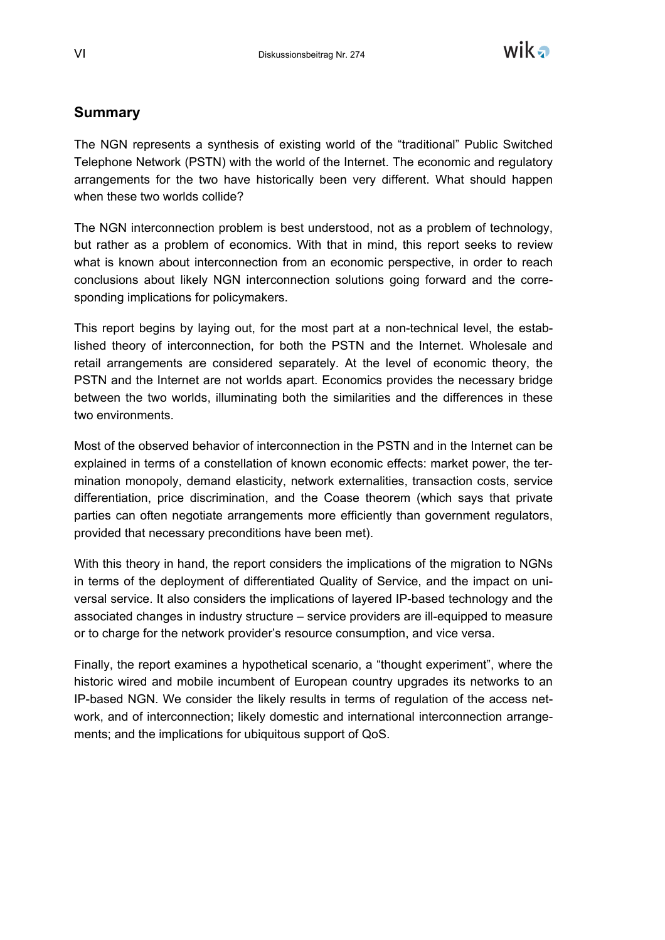

# **Summary**

The NGN represents a synthesis of existing world of the "traditional" Public Switched Telephone Network (PSTN) with the world of the Internet. The economic and regulatory arrangements for the two have historically been very different. What should happen when these two worlds collide?

The NGN interconnection problem is best understood, not as a problem of technology, but rather as a problem of economics. With that in mind, this report seeks to review what is known about interconnection from an economic perspective, in order to reach conclusions about likely NGN interconnection solutions going forward and the corresponding implications for policymakers.

This report begins by laying out, for the most part at a non-technical level, the established theory of interconnection, for both the PSTN and the Internet. Wholesale and retail arrangements are considered separately. At the level of economic theory, the PSTN and the Internet are not worlds apart. Economics provides the necessary bridge between the two worlds, illuminating both the similarities and the differences in these two environments.

Most of the observed behavior of interconnection in the PSTN and in the Internet can be explained in terms of a constellation of known economic effects: market power, the termination monopoly, demand elasticity, network externalities, transaction costs, service differentiation, price discrimination, and the Coase theorem (which says that private parties can often negotiate arrangements more efficiently than government regulators, provided that necessary preconditions have been met).

With this theory in hand, the report considers the implications of the migration to NGNs in terms of the deployment of differentiated Quality of Service, and the impact on universal service. It also considers the implications of layered IP-based technology and the associated changes in industry structure – service providers are ill-equipped to measure or to charge for the network provider's resource consumption, and vice versa.

Finally, the report examines a hypothetical scenario, a "thought experiment", where the historic wired and mobile incumbent of European country upgrades its networks to an IP-based NGN. We consider the likely results in terms of regulation of the access network, and of interconnection; likely domestic and international interconnection arrangements; and the implications for ubiquitous support of QoS.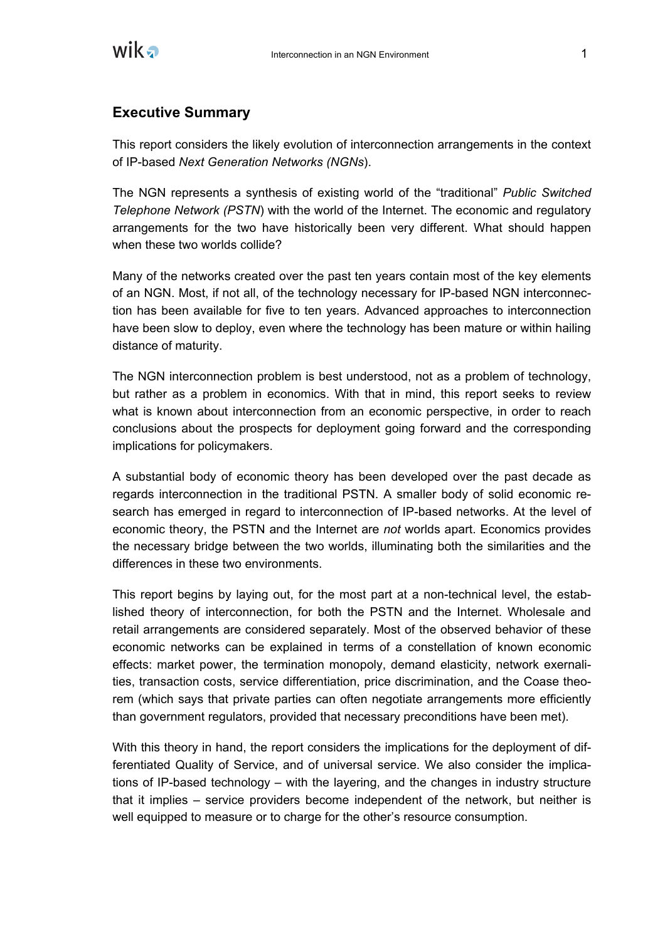

# **Executive Summary**

This report considers the likely evolution of interconnection arrangements in the context of IP-based *Next Generation Networks (NGNs*).

The NGN represents a synthesis of existing world of the "traditional" *Public Switched Telephone Network (PSTN*) with the world of the Internet. The economic and regulatory arrangements for the two have historically been very different. What should happen when these two worlds collide?

Many of the networks created over the past ten years contain most of the key elements of an NGN. Most, if not all, of the technology necessary for IP-based NGN interconnection has been available for five to ten years. Advanced approaches to interconnection have been slow to deploy, even where the technology has been mature or within hailing distance of maturity.

The NGN interconnection problem is best understood, not as a problem of technology, but rather as a problem in economics. With that in mind, this report seeks to review what is known about interconnection from an economic perspective, in order to reach conclusions about the prospects for deployment going forward and the corresponding implications for policymakers.

A substantial body of economic theory has been developed over the past decade as regards interconnection in the traditional PSTN. A smaller body of solid economic research has emerged in regard to interconnection of IP-based networks. At the level of economic theory, the PSTN and the Internet are *not* worlds apart. Economics provides the necessary bridge between the two worlds, illuminating both the similarities and the differences in these two environments.

This report begins by laying out, for the most part at a non-technical level, the established theory of interconnection, for both the PSTN and the Internet. Wholesale and retail arrangements are considered separately. Most of the observed behavior of these economic networks can be explained in terms of a constellation of known economic effects: market power, the termination monopoly, demand elasticity, network exernalities, transaction costs, service differentiation, price discrimination, and the Coase theorem (which says that private parties can often negotiate arrangements more efficiently than government regulators, provided that necessary preconditions have been met).

With this theory in hand, the report considers the implications for the deployment of differentiated Quality of Service, and of universal service. We also consider the implications of IP-based technology – with the layering, and the changes in industry structure that it implies – service providers become independent of the network, but neither is well equipped to measure or to charge for the other's resource consumption.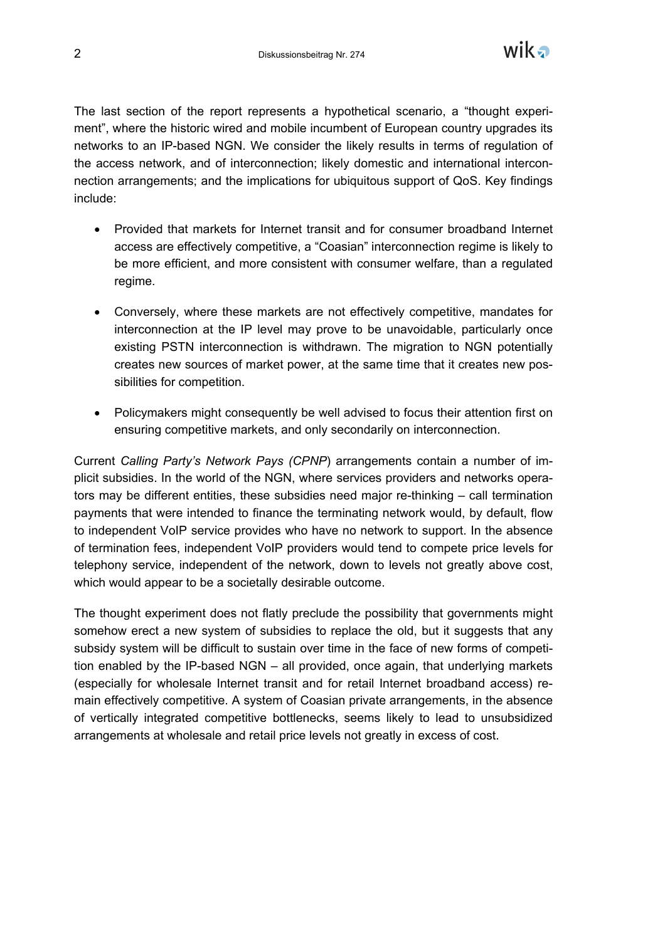

The last section of the report represents a hypothetical scenario, a "thought experiment", where the historic wired and mobile incumbent of European country upgrades its networks to an IP-based NGN. We consider the likely results in terms of regulation of the access network, and of interconnection; likely domestic and international interconnection arrangements; and the implications for ubiquitous support of QoS. Key findings include:

- Provided that markets for Internet transit and for consumer broadband Internet access are effectively competitive, a "Coasian" interconnection regime is likely to be more efficient, and more consistent with consumer welfare, than a regulated regime.
- Conversely, where these markets are not effectively competitive, mandates for interconnection at the IP level may prove to be unavoidable, particularly once existing PSTN interconnection is withdrawn. The migration to NGN potentially creates new sources of market power, at the same time that it creates new possibilities for competition.
- Policymakers might consequently be well advised to focus their attention first on ensuring competitive markets, and only secondarily on interconnection.

Current *Calling Party's Network Pays (CPNP*) arrangements contain a number of implicit subsidies. In the world of the NGN, where services providers and networks operators may be different entities, these subsidies need major re-thinking – call termination payments that were intended to finance the terminating network would, by default, flow to independent VoIP service provides who have no network to support. In the absence of termination fees, independent VoIP providers would tend to compete price levels for telephony service, independent of the network, down to levels not greatly above cost, which would appear to be a societally desirable outcome.

The thought experiment does not flatly preclude the possibility that governments might somehow erect a new system of subsidies to replace the old, but it suggests that any subsidy system will be difficult to sustain over time in the face of new forms of competition enabled by the IP-based NGN – all provided, once again, that underlying markets (especially for wholesale Internet transit and for retail Internet broadband access) remain effectively competitive. A system of Coasian private arrangements, in the absence of vertically integrated competitive bottlenecks, seems likely to lead to unsubsidized arrangements at wholesale and retail price levels not greatly in excess of cost.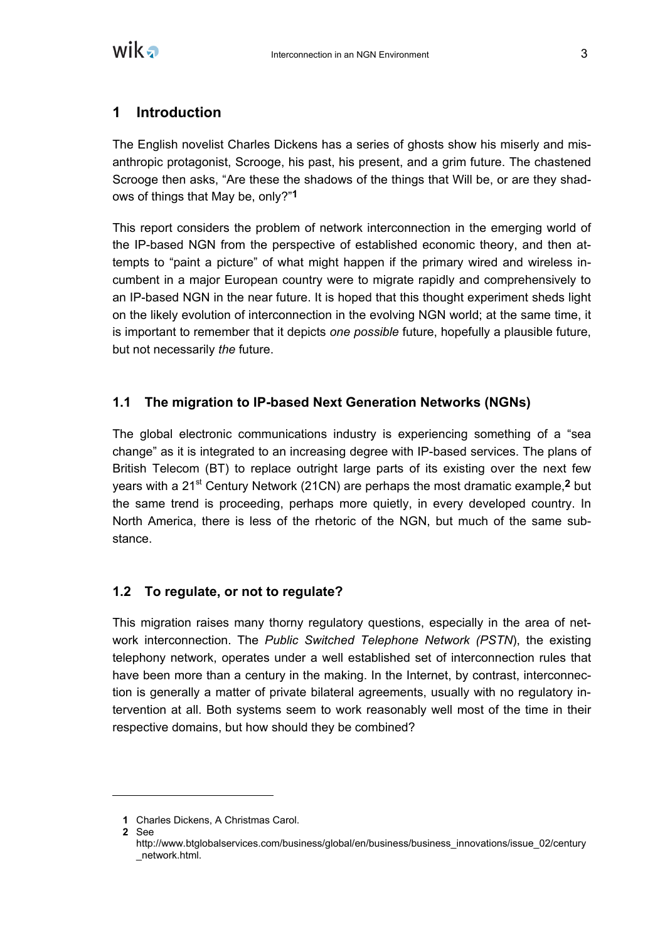

# **1 Introduction**

The English novelist Charles Dickens has a series of ghosts show his miserly and misanthropic protagonist, Scrooge, his past, his present, and a grim future. The chastened Scrooge then asks, "Are these the shadows of the things that Will be, or are they shadows of things that May be, only?"**1**

This report considers the problem of network interconnection in the emerging world of the IP-based NGN from the perspective of established economic theory, and then attempts to "paint a picture" of what might happen if the primary wired and wireless incumbent in a major European country were to migrate rapidly and comprehensively to an IP-based NGN in the near future. It is hoped that this thought experiment sheds light on the likely evolution of interconnection in the evolving NGN world; at the same time, it is important to remember that it depicts *one possible* future, hopefully a plausible future, but not necessarily *the* future.

# **1.1 The migration to IP-based Next Generation Networks (NGNs)**

The global electronic communications industry is experiencing something of a "sea change" as it is integrated to an increasing degree with IP-based services. The plans of British Telecom (BT) to replace outright large parts of its existing over the next few years with a 21st Century Network (21CN) are perhaps the most dramatic example,**2** but the same trend is proceeding, perhaps more quietly, in every developed country. In North America, there is less of the rhetoric of the NGN, but much of the same substance.

# **1.2 To regulate, or not to regulate?**

This migration raises many thorny regulatory questions, especially in the area of network interconnection. The *Public Switched Telephone Network (PSTN*), the existing telephony network, operates under a well established set of interconnection rules that have been more than a century in the making. In the Internet, by contrast, interconnection is generally a matter of private bilateral agreements, usually with no regulatory intervention at all. Both systems seem to work reasonably well most of the time in their respective domains, but how should they be combined?

**<sup>1</sup>** Charles Dickens, A Christmas Carol.

**<sup>2</sup>** See

http://www.btglobalservices.com/business/global/en/business/business\_innovations/issue\_02/century \_network.html.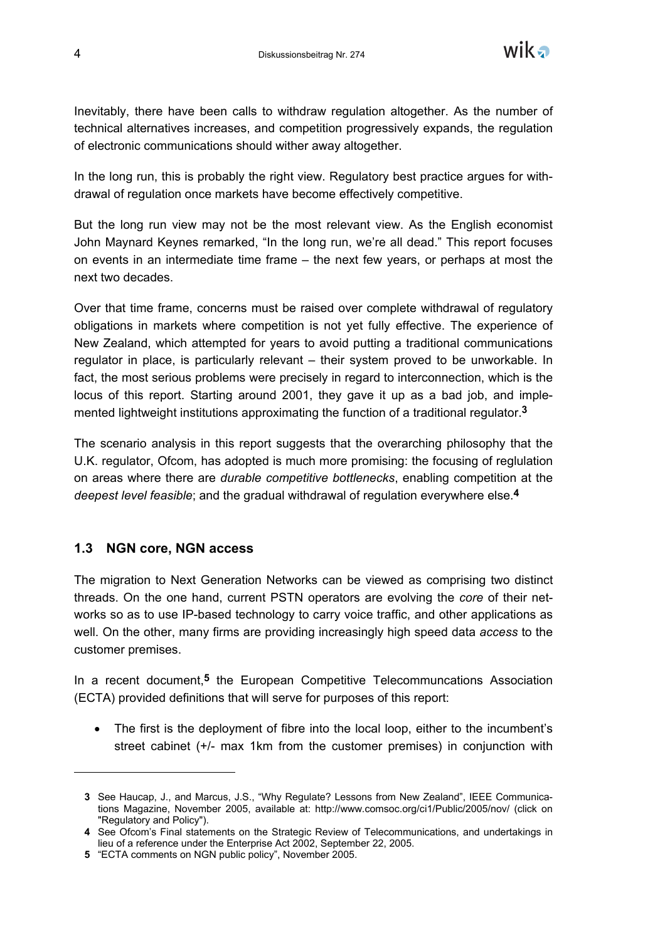

Inevitably, there have been calls to withdraw regulation altogether. As the number of technical alternatives increases, and competition progressively expands, the regulation of electronic communications should wither away altogether.

In the long run, this is probably the right view. Regulatory best practice argues for withdrawal of regulation once markets have become effectively competitive.

But the long run view may not be the most relevant view. As the English economist John Maynard Keynes remarked, "In the long run, we're all dead." This report focuses on events in an intermediate time frame – the next few years, or perhaps at most the next two decades.

Over that time frame, concerns must be raised over complete withdrawal of regulatory obligations in markets where competition is not yet fully effective. The experience of New Zealand, which attempted for years to avoid putting a traditional communications regulator in place, is particularly relevant – their system proved to be unworkable. In fact, the most serious problems were precisely in regard to interconnection, which is the locus of this report. Starting around 2001, they gave it up as a bad job, and implemented lightweight institutions approximating the function of a traditional regulator.**3**

The scenario analysis in this report suggests that the overarching philosophy that the U.K. regulator, Ofcom, has adopted is much more promising: the focusing of reglulation on areas where there are *durable competitive bottlenecks*, enabling competition at the *deepest level feasible*; and the gradual withdrawal of regulation everywhere else.**4**

#### **1.3 NGN core, NGN access**

-

The migration to Next Generation Networks can be viewed as comprising two distinct threads. On the one hand, current PSTN operators are evolving the *core* of their networks so as to use IP-based technology to carry voice traffic, and other applications as well. On the other, many firms are providing increasingly high speed data *access* to the customer premises.

In a recent document,**5** the European Competitive Telecommuncations Association (ECTA) provided definitions that will serve for purposes of this report:

• The first is the deployment of fibre into the local loop, either to the incumbent's street cabinet (+/- max 1km from the customer premises) in conjunction with

**<sup>3</sup>** See Haucap, J., and Marcus, J.S., "Why Regulate? Lessons from New Zealand", IEEE Communications Magazine, November 2005, available at: http://www.comsoc.org/ci1/Public/2005/nov/ (click on "Regulatory and Policy").

**<sup>4</sup>** See Ofcom's Final statements on the Strategic Review of Telecommunications, and undertakings in lieu of a reference under the Enterprise Act 2002, September 22, 2005.

**<sup>5</sup>** "ECTA comments on NGN public policy", November 2005.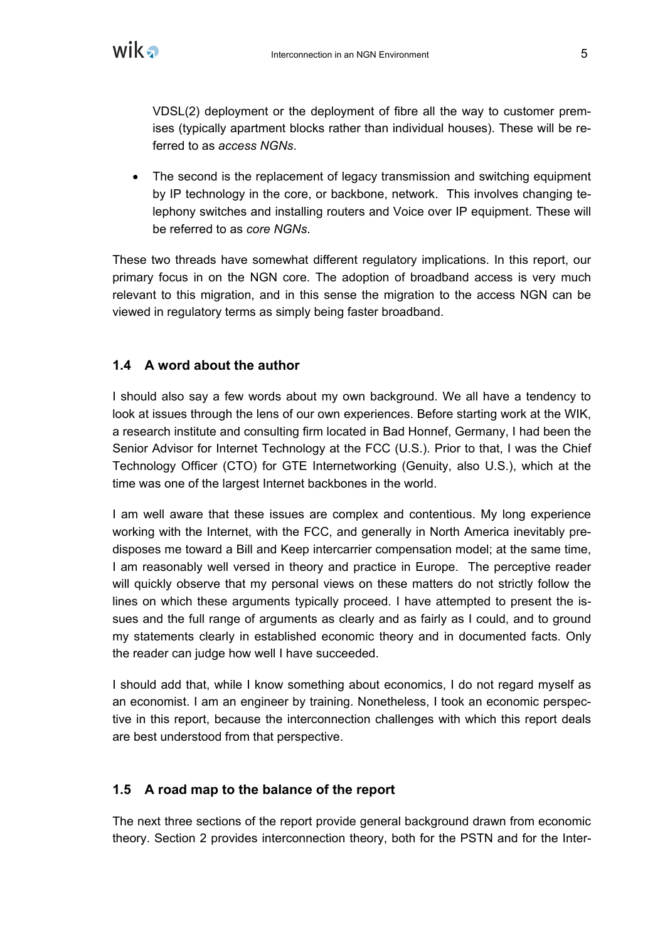

VDSL(2) deployment or the deployment of fibre all the way to customer premises (typically apartment blocks rather than individual houses). These will be referred to as *access NGNs*.

• The second is the replacement of legacy transmission and switching equipment by IP technology in the core, or backbone, network. This involves changing telephony switches and installing routers and Voice over IP equipment. These will be referred to as *core NGNs*.

These two threads have somewhat different regulatory implications. In this report, our primary focus in on the NGN core. The adoption of broadband access is very much relevant to this migration, and in this sense the migration to the access NGN can be viewed in regulatory terms as simply being faster broadband.

# **1.4 A word about the author**

I should also say a few words about my own background. We all have a tendency to look at issues through the lens of our own experiences. Before starting work at the WIK, a research institute and consulting firm located in Bad Honnef, Germany, I had been the Senior Advisor for Internet Technology at the FCC (U.S.). Prior to that, I was the Chief Technology Officer (CTO) for GTE Internetworking (Genuity, also U.S.), which at the time was one of the largest Internet backbones in the world.

I am well aware that these issues are complex and contentious. My long experience working with the Internet, with the FCC, and generally in North America inevitably predisposes me toward a Bill and Keep intercarrier compensation model; at the same time, I am reasonably well versed in theory and practice in Europe. The perceptive reader will quickly observe that my personal views on these matters do not strictly follow the lines on which these arguments typically proceed. I have attempted to present the issues and the full range of arguments as clearly and as fairly as I could, and to ground my statements clearly in established economic theory and in documented facts. Only the reader can judge how well I have succeeded.

I should add that, while I know something about economics, I do not regard myself as an economist. I am an engineer by training. Nonetheless, I took an economic perspective in this report, because the interconnection challenges with which this report deals are best understood from that perspective.

# **1.5 A road map to the balance of the report**

The next three sections of the report provide general background drawn from economic theory. Section 2 provides interconnection theory, both for the PSTN and for the Inter-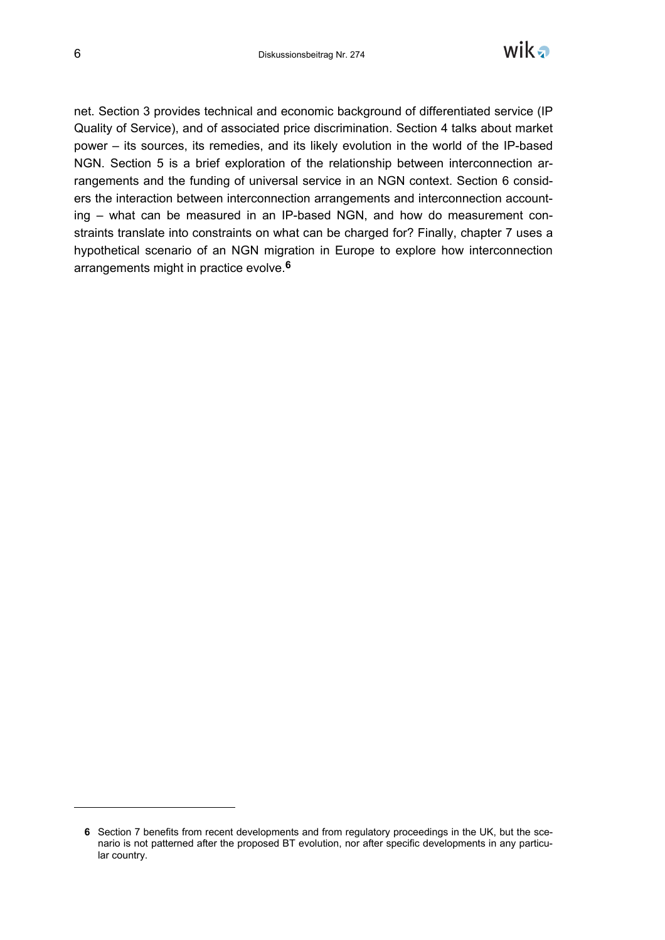-



net. Section 3 provides technical and economic background of differentiated service (IP Quality of Service), and of associated price discrimination. Section 4 talks about market power – its sources, its remedies, and its likely evolution in the world of the IP-based NGN. Section 5 is a brief exploration of the relationship between interconnection arrangements and the funding of universal service in an NGN context. Section 6 considers the interaction between interconnection arrangements and interconnection accounting – what can be measured in an IP-based NGN, and how do measurement constraints translate into constraints on what can be charged for? Finally, chapter 7 uses a hypothetical scenario of an NGN migration in Europe to explore how interconnection arrangements might in practice evolve.**6**

**<sup>6</sup>** Section 7 benefits from recent developments and from regulatory proceedings in the UK, but the scenario is not patterned after the proposed BT evolution, nor after specific developments in any particular country.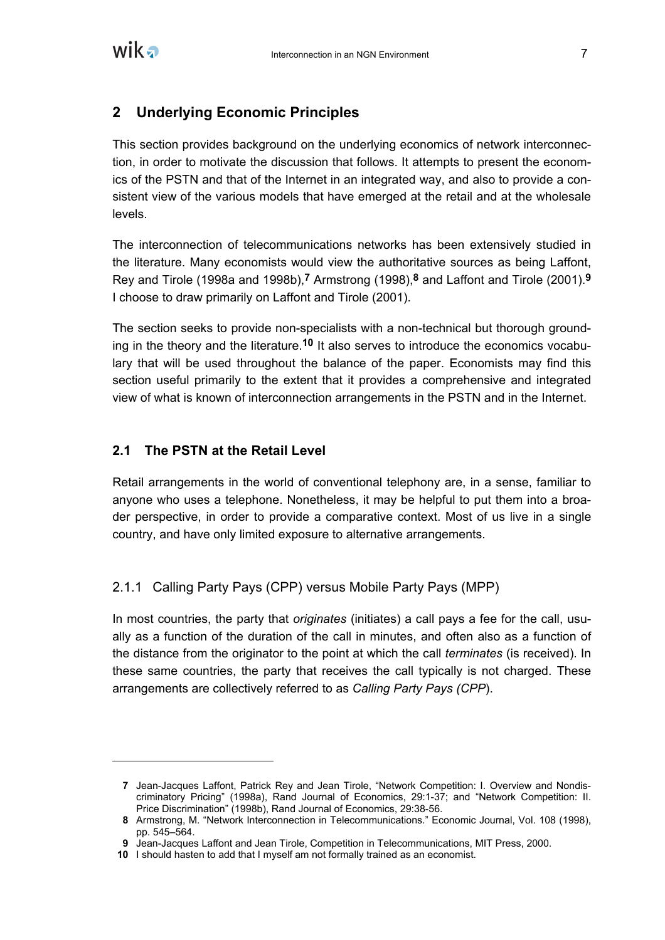

# **2 Underlying Economic Principles**

This section provides background on the underlying economics of network interconnection, in order to motivate the discussion that follows. It attempts to present the economics of the PSTN and that of the Internet in an integrated way, and also to provide a consistent view of the various models that have emerged at the retail and at the wholesale levels.

The interconnection of telecommunications networks has been extensively studied in the literature. Many economists would view the authoritative sources as being Laffont, Rey and Tirole (1998a and 1998b),**7** Armstrong (1998),**8** and Laffont and Tirole (2001).**9** I choose to draw primarily on Laffont and Tirole (2001).

The section seeks to provide non-specialists with a non-technical but thorough grounding in the theory and the literature.**10** It also serves to introduce the economics vocabulary that will be used throughout the balance of the paper. Economists may find this section useful primarily to the extent that it provides a comprehensive and integrated view of what is known of interconnection arrangements in the PSTN and in the Internet.

#### **2.1 The PSTN at the Retail Level**

Retail arrangements in the world of conventional telephony are, in a sense, familiar to anyone who uses a telephone. Nonetheless, it may be helpful to put them into a broader perspective, in order to provide a comparative context. Most of us live in a single country, and have only limited exposure to alternative arrangements.

#### 2.1.1 Calling Party Pays (CPP) versus Mobile Party Pays (MPP)

In most countries, the party that *originates* (initiates) a call pays a fee for the call, usually as a function of the duration of the call in minutes, and often also as a function of the distance from the originator to the point at which the call *terminates* (is received). In these same countries, the party that receives the call typically is not charged. These arrangements are collectively referred to as *Calling Party Pays (CPP*).

**<sup>7</sup>** Jean-Jacques Laffont, Patrick Rey and Jean Tirole, "Network Competition: I. Overview and Nondiscriminatory Pricing" (1998a), Rand Journal of Economics, 29:1-37; and "Network Competition: II. Price Discrimination" (1998b), Rand Journal of Economics, 29:38-56.

**<sup>8</sup>** Armstrong, M. "Network Interconnection in Telecommunications." Economic Journal, Vol. 108 (1998), pp. 545–564.

**<sup>9</sup>** Jean-Jacques Laffont and Jean Tirole, Competition in Telecommunications, MIT Press, 2000.

**<sup>10</sup>** I should hasten to add that I myself am not formally trained as an economist.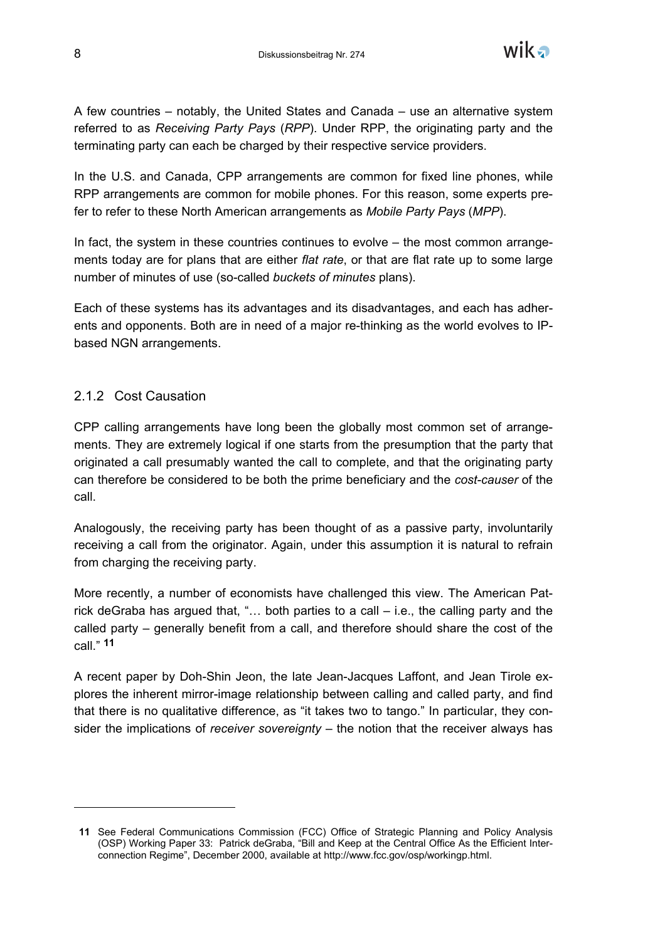

A few countries – notably, the United States and Canada – use an alternative system referred to as *Receiving Party Pays* (*RPP*). Under RPP, the originating party and the terminating party can each be charged by their respective service providers.

In the U.S. and Canada, CPP arrangements are common for fixed line phones, while RPP arrangements are common for mobile phones. For this reason, some experts prefer to refer to these North American arrangements as *Mobile Party Pays* (*MPP*).

In fact, the system in these countries continues to evolve – the most common arrangements today are for plans that are either *flat rate*, or that are flat rate up to some large number of minutes of use (so-called *buckets of minutes* plans).

Each of these systems has its advantages and its disadvantages, and each has adherents and opponents. Both are in need of a major re-thinking as the world evolves to IPbased NGN arrangements.

#### 2.1.2 Cost Causation

-

CPP calling arrangements have long been the globally most common set of arrangements. They are extremely logical if one starts from the presumption that the party that originated a call presumably wanted the call to complete, and that the originating party can therefore be considered to be both the prime beneficiary and the *cost-causer* of the call.

Analogously, the receiving party has been thought of as a passive party, involuntarily receiving a call from the originator. Again, under this assumption it is natural to refrain from charging the receiving party.

More recently, a number of economists have challenged this view. The American Patrick deGraba has argued that, "… both parties to a call – i.e., the calling party and the called party – generally benefit from a call, and therefore should share the cost of the call." **11**

A recent paper by Doh-Shin Jeon, the late Jean-Jacques Laffont, and Jean Tirole explores the inherent mirror-image relationship between calling and called party, and find that there is no qualitative difference, as "it takes two to tango." In particular, they consider the implications of *receiver sovereignty* – the notion that the receiver always has

**<sup>11</sup>** See Federal Communications Commission (FCC) Office of Strategic Planning and Policy Analysis (OSP) Working Paper 33: Patrick deGraba, "Bill and Keep at the Central Office As the Efficient Interconnection Regime", December 2000, available at http://www.fcc.gov/osp/workingp.html.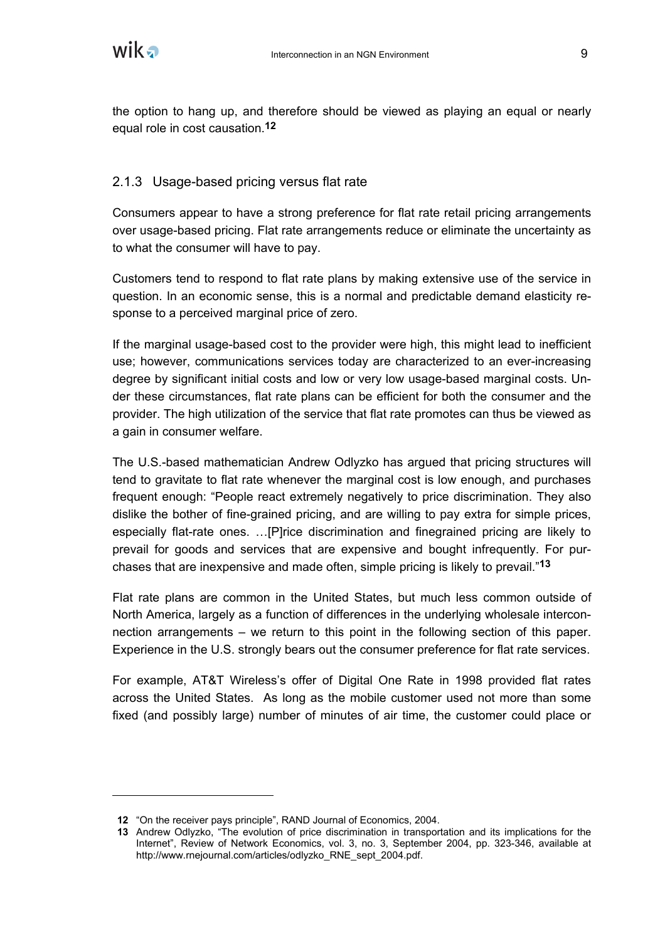the option to hang up, and therefore should be viewed as playing an equal or nearly equal role in cost causation.**12**

# 2.1.3 Usage-based pricing versus flat rate

Consumers appear to have a strong preference for flat rate retail pricing arrangements over usage-based pricing. Flat rate arrangements reduce or eliminate the uncertainty as to what the consumer will have to pay.

Customers tend to respond to flat rate plans by making extensive use of the service in question. In an economic sense, this is a normal and predictable demand elasticity response to a perceived marginal price of zero.

If the marginal usage-based cost to the provider were high, this might lead to inefficient use; however, communications services today are characterized to an ever-increasing degree by significant initial costs and low or very low usage-based marginal costs. Under these circumstances, flat rate plans can be efficient for both the consumer and the provider. The high utilization of the service that flat rate promotes can thus be viewed as a gain in consumer welfare.

The U.S.-based mathematician Andrew Odlyzko has argued that pricing structures will tend to gravitate to flat rate whenever the marginal cost is low enough, and purchases frequent enough: "People react extremely negatively to price discrimination. They also dislike the bother of fine-grained pricing, and are willing to pay extra for simple prices, especially flat-rate ones. …[P]rice discrimination and finegrained pricing are likely to prevail for goods and services that are expensive and bought infrequently. For purchases that are inexpensive and made often, simple pricing is likely to prevail."**13**

Flat rate plans are common in the United States, but much less common outside of North America, largely as a function of differences in the underlying wholesale interconnection arrangements – we return to this point in the following section of this paper. Experience in the U.S. strongly bears out the consumer preference for flat rate services.

For example, AT&T Wireless's offer of Digital One Rate in 1998 provided flat rates across the United States. As long as the mobile customer used not more than some fixed (and possibly large) number of minutes of air time, the customer could place or

**<sup>12</sup>** "On the receiver pays principle", RAND Journal of Economics, 2004.

**<sup>13</sup>** Andrew Odlyzko, "The evolution of price discrimination in transportation and its implications for the Internet", Review of Network Economics, vol. 3, no. 3, September 2004, pp. 323-346, available at http://www.rnejournal.com/articles/odlyzko\_RNE\_sept\_2004.pdf.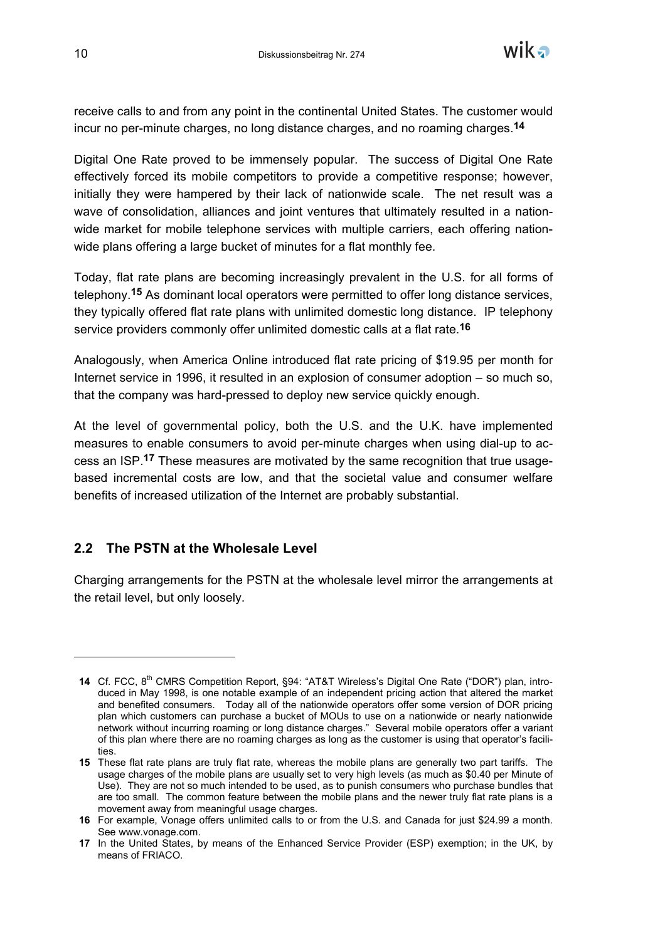receive calls to and from any point in the continental United States. The customer would incur no per-minute charges, no long distance charges, and no roaming charges.**14**

Digital One Rate proved to be immensely popular. The success of Digital One Rate effectively forced its mobile competitors to provide a competitive response; however, initially they were hampered by their lack of nationwide scale. The net result was a wave of consolidation, alliances and joint ventures that ultimately resulted in a nationwide market for mobile telephone services with multiple carriers, each offering nationwide plans offering a large bucket of minutes for a flat monthly fee.

Today, flat rate plans are becoming increasingly prevalent in the U.S. for all forms of telephony.**15** As dominant local operators were permitted to offer long distance services, they typically offered flat rate plans with unlimited domestic long distance. IP telephony service providers commonly offer unlimited domestic calls at a flat rate.**16**

Analogously, when America Online introduced flat rate pricing of \$19.95 per month for Internet service in 1996, it resulted in an explosion of consumer adoption – so much so, that the company was hard-pressed to deploy new service quickly enough.

At the level of governmental policy, both the U.S. and the U.K. have implemented measures to enable consumers to avoid per-minute charges when using dial-up to access an ISP.**17** These measures are motivated by the same recognition that true usagebased incremental costs are low, and that the societal value and consumer welfare benefits of increased utilization of the Internet are probably substantial.

# **2.2 The PSTN at the Wholesale Level**

Charging arrangements for the PSTN at the wholesale level mirror the arrangements at the retail level, but only loosely.

**<sup>14</sup>** Cf. FCC, 8<sup>th</sup> CMRS Competition Report, §94: "AT&T Wireless's Digital One Rate ("DOR") plan, introduced in May 1998, is one notable example of an independent pricing action that altered the market and benefited consumers. Today all of the nationwide operators offer some version of DOR pricing plan which customers can purchase a bucket of MOUs to use on a nationwide or nearly nationwide network without incurring roaming or long distance charges." Several mobile operators offer a variant of this plan where there are no roaming charges as long as the customer is using that operator's facilities.

**<sup>15</sup>** These flat rate plans are truly flat rate, whereas the mobile plans are generally two part tariffs. The usage charges of the mobile plans are usually set to very high levels (as much as \$0.40 per Minute of Use). They are not so much intended to be used, as to punish consumers who purchase bundles that are too small. The common feature between the mobile plans and the newer truly flat rate plans is a movement away from meaningful usage charges.

**<sup>16</sup>** For example, Vonage offers unlimited calls to or from the U.S. and Canada for just \$24.99 a month. See www.vonage.com.

**<sup>17</sup>** In the United States, by means of the Enhanced Service Provider (ESP) exemption; in the UK, by means of FRIACO.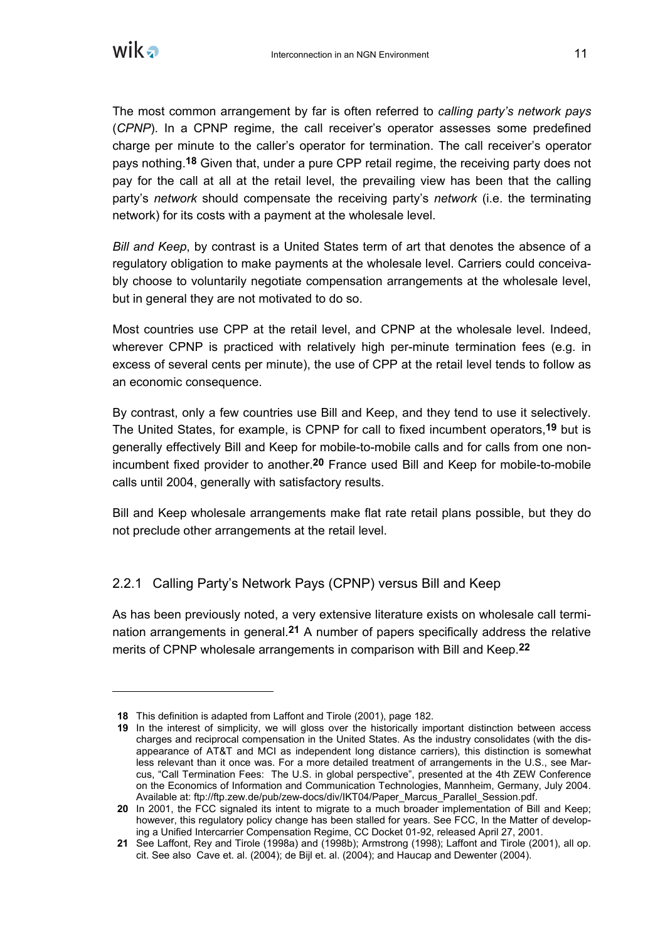

 $\overline{a}$ 

The most common arrangement by far is often referred to *calling party's network pays* (*CPNP*). In a CPNP regime, the call receiver's operator assesses some predefined charge per minute to the caller's operator for termination. The call receiver's operator pays nothing.**18** Given that, under a pure CPP retail regime, the receiving party does not pay for the call at all at the retail level, the prevailing view has been that the calling party's *network* should compensate the receiving party's *network* (i.e. the terminating network) for its costs with a payment at the wholesale level.

*Bill and Keep*, by contrast is a United States term of art that denotes the absence of a regulatory obligation to make payments at the wholesale level. Carriers could conceivably choose to voluntarily negotiate compensation arrangements at the wholesale level, but in general they are not motivated to do so.

Most countries use CPP at the retail level, and CPNP at the wholesale level. Indeed, wherever CPNP is practiced with relatively high per-minute termination fees (e.g. in excess of several cents per minute), the use of CPP at the retail level tends to follow as an economic consequence.

By contrast, only a few countries use Bill and Keep, and they tend to use it selectively. The United States, for example, is CPNP for call to fixed incumbent operators,**19** but is generally effectively Bill and Keep for mobile-to-mobile calls and for calls from one nonincumbent fixed provider to another.**20** France used Bill and Keep for mobile-to-mobile calls until 2004, generally with satisfactory results.

Bill and Keep wholesale arrangements make flat rate retail plans possible, but they do not preclude other arrangements at the retail level.

# 2.2.1 Calling Party's Network Pays (CPNP) versus Bill and Keep

As has been previously noted, a very extensive literature exists on wholesale call termination arrangements in general.**21** A number of papers specifically address the relative merits of CPNP wholesale arrangements in comparison with Bill and Keep.**22**

**<sup>18</sup>** This definition is adapted from Laffont and Tirole (2001), page 182.

**<sup>19</sup>** In the interest of simplicity, we will gloss over the historically important distinction between access charges and reciprocal compensation in the United States. As the industry consolidates (with the disappearance of AT&T and MCI as independent long distance carriers), this distinction is somewhat less relevant than it once was. For a more detailed treatment of arrangements in the U.S., see Marcus, "Call Termination Fees: The U.S. in global perspective", presented at the 4th ZEW Conference on the Economics of Information and Communication Technologies, Mannheim, Germany, July 2004. Available at: ftp://ftp.zew.de/pub/zew-docs/div/IKT04/Paper\_Marcus\_Parallel\_Session.pdf.

**<sup>20</sup>** In 2001, the FCC signaled its intent to migrate to a much broader implementation of Bill and Keep; however, this regulatory policy change has been stalled for years. See FCC, In the Matter of developing a Unified Intercarrier Compensation Regime, CC Docket 01-92, released April 27, 2001.

**<sup>21</sup>** See Laffont, Rey and Tirole (1998a) and (1998b); Armstrong (1998); Laffont and Tirole (2001), all op. cit. See also Cave et. al. (2004); de Bijl et. al. (2004); and Haucap and Dewenter (2004).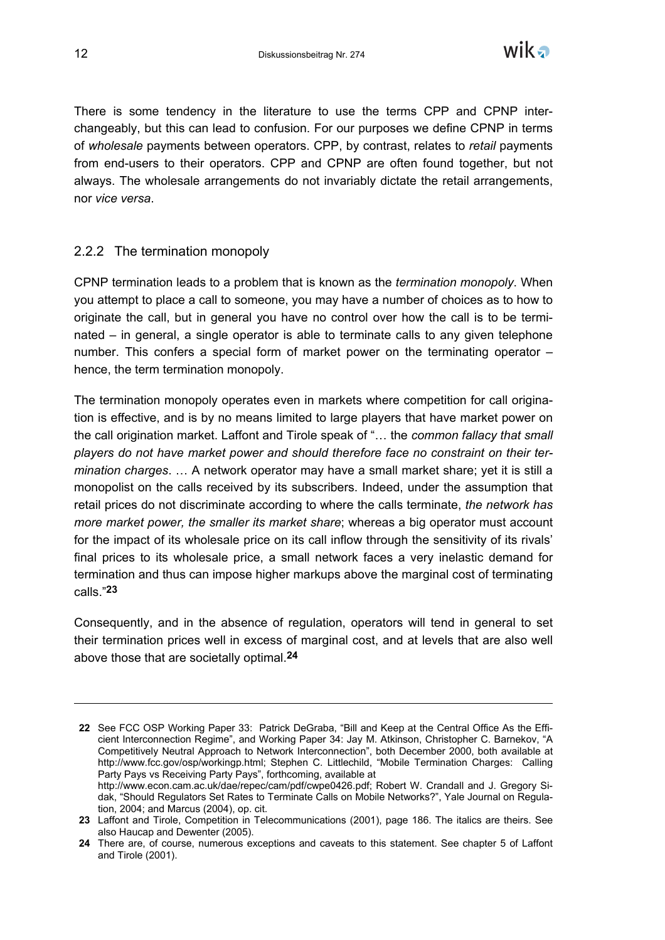

There is some tendency in the literature to use the terms CPP and CPNP interchangeably, but this can lead to confusion. For our purposes we define CPNP in terms of *wholesale* payments between operators. CPP, by contrast, relates to *retail* payments from end-users to their operators. CPP and CPNP are often found together, but not always. The wholesale arrangements do not invariably dictate the retail arrangements, nor *vice versa*.

#### 2.2.2 The termination monopoly

CPNP termination leads to a problem that is known as the *termination monopoly*. When you attempt to place a call to someone, you may have a number of choices as to how to originate the call, but in general you have no control over how the call is to be terminated – in general, a single operator is able to terminate calls to any given telephone number. This confers a special form of market power on the terminating operator – hence, the term termination monopoly.

The termination monopoly operates even in markets where competition for call origination is effective, and is by no means limited to large players that have market power on the call origination market. Laffont and Tirole speak of "… the *common fallacy that small players do not have market power and should therefore face no constraint on their termination charges*. … A network operator may have a small market share; yet it is still a monopolist on the calls received by its subscribers. Indeed, under the assumption that retail prices do not discriminate according to where the calls terminate, *the network has more market power, the smaller its market share*; whereas a big operator must account for the impact of its wholesale price on its call inflow through the sensitivity of its rivals' final prices to its wholesale price, a small network faces a very inelastic demand for termination and thus can impose higher markups above the marginal cost of terminating calls."**23**

Consequently, and in the absence of regulation, operators will tend in general to set their termination prices well in excess of marginal cost, and at levels that are also well above those that are societally optimal.**24**

**<sup>22</sup>** See FCC OSP Working Paper 33: Patrick DeGraba, "Bill and Keep at the Central Office As the Efficient Interconnection Regime", and Working Paper 34: Jay M. Atkinson, Christopher C. Barnekov, "A Competitively Neutral Approach to Network Interconnection", both December 2000, both available at http://www.fcc.gov/osp/workingp.html; Stephen C. Littlechild, "Mobile Termination Charges: Calling Party Pays vs Receiving Party Pays", forthcoming, available at http://www.econ.cam.ac.uk/dae/repec/cam/pdf/cwpe0426.pdf; Robert W. Crandall and J. Gregory Sidak, "Should Regulators Set Rates to Terminate Calls on Mobile Networks?", Yale Journal on Regulation, 2004; and Marcus (2004), op. cit.

**<sup>23</sup>** Laffont and Tirole, Competition in Telecommunications (2001), page 186. The italics are theirs. See also Haucap and Dewenter (2005).

**<sup>24</sup>** There are, of course, numerous exceptions and caveats to this statement. See chapter 5 of Laffont and Tirole (2001).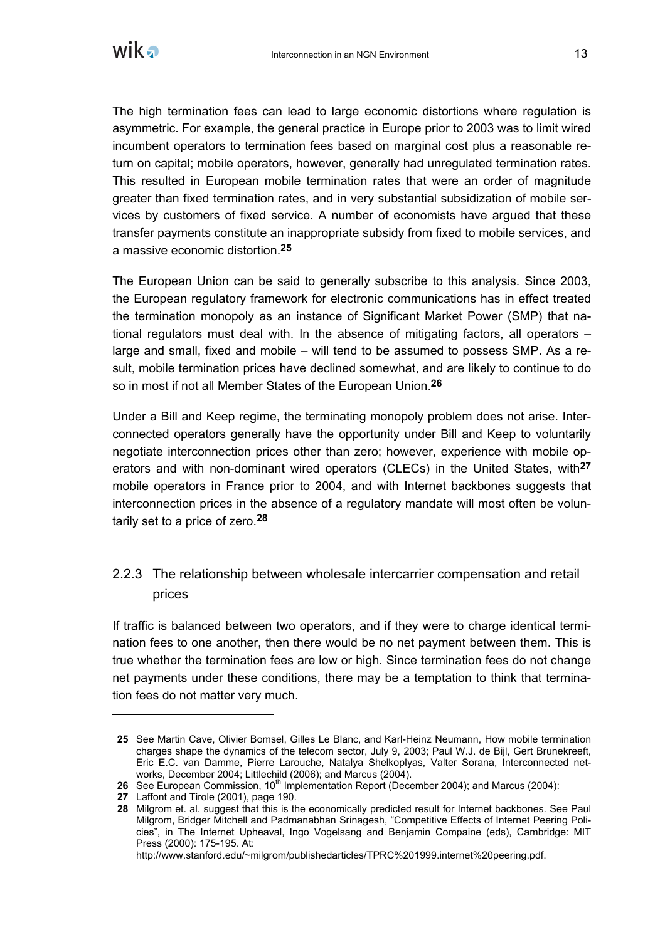

The high termination fees can lead to large economic distortions where regulation is asymmetric. For example, the general practice in Europe prior to 2003 was to limit wired incumbent operators to termination fees based on marginal cost plus a reasonable return on capital; mobile operators, however, generally had unregulated termination rates. This resulted in European mobile termination rates that were an order of magnitude greater than fixed termination rates, and in very substantial subsidization of mobile services by customers of fixed service. A number of economists have argued that these transfer payments constitute an inappropriate subsidy from fixed to mobile services, and a massive economic distortion.**25**

The European Union can be said to generally subscribe to this analysis. Since 2003, the European regulatory framework for electronic communications has in effect treated the termination monopoly as an instance of Significant Market Power (SMP) that national regulators must deal with. In the absence of mitigating factors, all operators – large and small, fixed and mobile – will tend to be assumed to possess SMP. As a result, mobile termination prices have declined somewhat, and are likely to continue to do so in most if not all Member States of the European Union.**26**

Under a Bill and Keep regime, the terminating monopoly problem does not arise. Interconnected operators generally have the opportunity under Bill and Keep to voluntarily negotiate interconnection prices other than zero; however, experience with mobile operators and with non-dominant wired operators (CLECs) in the United States, with**27** mobile operators in France prior to 2004, and with Internet backbones suggests that interconnection prices in the absence of a regulatory mandate will most often be voluntarily set to a price of zero.**28**

# 2.2.3 The relationship between wholesale intercarrier compensation and retail prices

If traffic is balanced between two operators, and if they were to charge identical termination fees to one another, then there would be no net payment between them. This is true whether the termination fees are low or high. Since termination fees do not change net payments under these conditions, there may be a temptation to think that termination fees do not matter very much.

**<sup>25</sup>** See Martin Cave, Olivier Bomsel, Gilles Le Blanc, and Karl-Heinz Neumann, How mobile termination charges shape the dynamics of the telecom sector, July 9, 2003; Paul W.J. de Bijl, Gert Brunekreeft, Eric E.C. van Damme, Pierre Larouche, Natalya Shelkoplyas, Valter Sorana, Interconnected networks, December 2004; Littlechild (2006); and Marcus (2004).

**<sup>26</sup>** See European Commission, 10<sup>th</sup> Implementation Report (December 2004); and Marcus (2004):

**<sup>27</sup>** Laffont and Tirole (2001), page 190.

**<sup>28</sup>** Milgrom et. al. suggest that this is the economically predicted result for Internet backbones. See Paul Milgrom, Bridger Mitchell and Padmanabhan Srinagesh, "Competitive Effects of Internet Peering Policies", in The Internet Upheaval, Ingo Vogelsang and Benjamin Compaine (eds), Cambridge: MIT Press (2000): 175-195. At:

http://www.stanford.edu/~milgrom/publishedarticles/TPRC%201999.internet%20peering.pdf.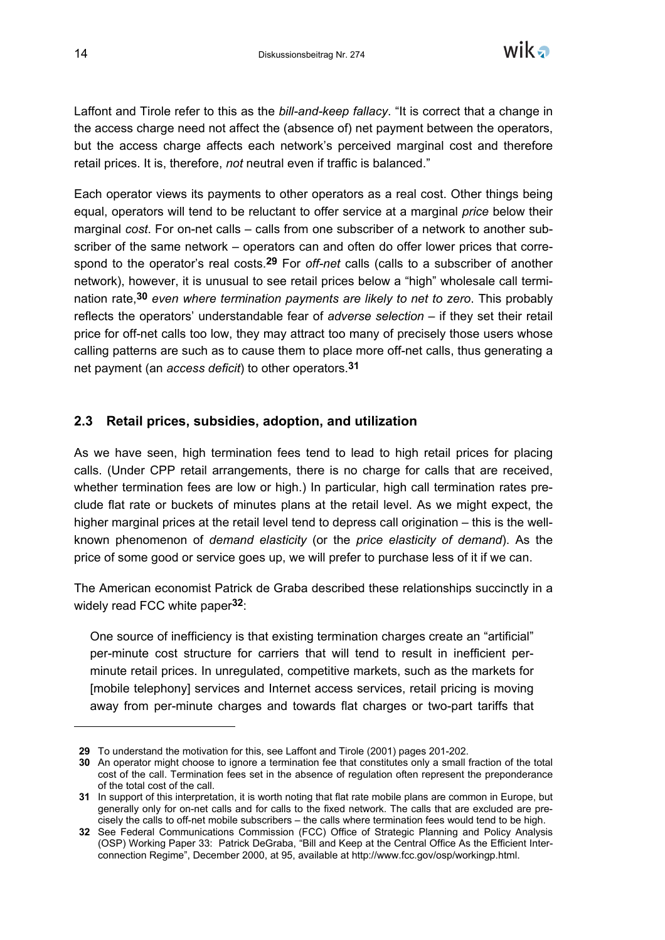

Laffont and Tirole refer to this as the *bill-and-keep fallacy*. "It is correct that a change in the access charge need not affect the (absence of) net payment between the operators, but the access charge affects each network's perceived marginal cost and therefore retail prices. It is, therefore, *not* neutral even if traffic is balanced."

Each operator views its payments to other operators as a real cost. Other things being equal, operators will tend to be reluctant to offer service at a marginal *price* below their marginal *cost*. For on-net calls – calls from one subscriber of a network to another subscriber of the same network – operators can and often do offer lower prices that correspond to the operator's real costs.**29** For *off-net* calls (calls to a subscriber of another network), however, it is unusual to see retail prices below a "high" wholesale call termination rate,**30** *even where termination payments are likely to net to zero*. This probably reflects the operators' understandable fear of *adverse selection* – if they set their retail price for off-net calls too low, they may attract too many of precisely those users whose calling patterns are such as to cause them to place more off-net calls, thus generating a net payment (an *access deficit*) to other operators.**31**

#### **2.3 Retail prices, subsidies, adoption, and utilization**

As we have seen, high termination fees tend to lead to high retail prices for placing calls. (Under CPP retail arrangements, there is no charge for calls that are received, whether termination fees are low or high.) In particular, high call termination rates preclude flat rate or buckets of minutes plans at the retail level. As we might expect, the higher marginal prices at the retail level tend to depress call origination – this is the wellknown phenomenon of *demand elasticity* (or the *price elasticity of demand*). As the price of some good or service goes up, we will prefer to purchase less of it if we can.

The American economist Patrick de Graba described these relationships succinctly in a widely read FCC white paper**32**:

One source of inefficiency is that existing termination charges create an "artificial" per-minute cost structure for carriers that will tend to result in inefficient perminute retail prices. In unregulated, competitive markets, such as the markets for [mobile telephony] services and Internet access services, retail pricing is moving away from per-minute charges and towards flat charges or two-part tariffs that

 $\overline{a}$ 

**<sup>29</sup>** To understand the motivation for this, see Laffont and Tirole (2001) pages 201-202.

**<sup>30</sup>** An operator might choose to ignore a termination fee that constitutes only a small fraction of the total cost of the call. Termination fees set in the absence of regulation often represent the preponderance of the total cost of the call.

**<sup>31</sup>** In support of this interpretation, it is worth noting that flat rate mobile plans are common in Europe, but generally only for on-net calls and for calls to the fixed network. The calls that are excluded are precisely the calls to off-net mobile subscribers – the calls where termination fees would tend to be high.

**<sup>32</sup>** See Federal Communications Commission (FCC) Office of Strategic Planning and Policy Analysis (OSP) Working Paper 33: Patrick DeGraba, "Bill and Keep at the Central Office As the Efficient Interconnection Regime", December 2000, at 95, available at http://www.fcc.gov/osp/workingp.html.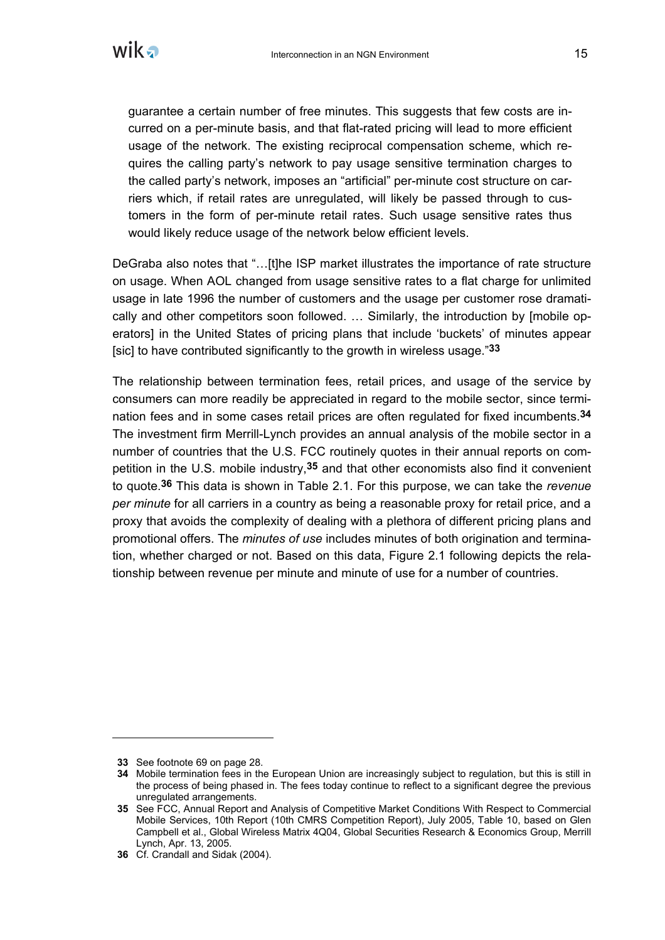

guarantee a certain number of free minutes. This suggests that few costs are incurred on a per-minute basis, and that flat-rated pricing will lead to more efficient usage of the network. The existing reciprocal compensation scheme, which requires the calling party's network to pay usage sensitive termination charges to the called party's network, imposes an "artificial" per-minute cost structure on carriers which, if retail rates are unregulated, will likely be passed through to customers in the form of per-minute retail rates. Such usage sensitive rates thus would likely reduce usage of the network below efficient levels.

DeGraba also notes that "... [t]he ISP market illustrates the importance of rate structure on usage. When AOL changed from usage sensitive rates to a flat charge for unlimited usage in late 1996 the number of customers and the usage per customer rose dramatically and other competitors soon followed. … Similarly, the introduction by [mobile operators] in the United States of pricing plans that include 'buckets' of minutes appear [sic] to have contributed significantly to the growth in wireless usage."**33**

The relationship between termination fees, retail prices, and usage of the service by consumers can more readily be appreciated in regard to the mobile sector, since termination fees and in some cases retail prices are often regulated for fixed incumbents.**34** The investment firm Merrill-Lynch provides an annual analysis of the mobile sector in a number of countries that the U.S. FCC routinely quotes in their annual reports on competition in the U.S. mobile industry,**35** and that other economists also find it convenient to quote.**36** This data is shown in Table 2.1. For this purpose, we can take the *revenue per minute* for all carriers in a country as being a reasonable proxy for retail price, and a proxy that avoids the complexity of dealing with a plethora of different pricing plans and promotional offers. The *minutes of use* includes minutes of both origination and termination, whether charged or not. Based on this data, Figure 2.1 following depicts the relationship between revenue per minute and minute of use for a number of countries.

**<sup>33</sup>** See footnote 69 on page 28.

**<sup>34</sup>** Mobile termination fees in the European Union are increasingly subject to regulation, but this is still in the process of being phased in. The fees today continue to reflect to a significant degree the previous unregulated arrangements.

**<sup>35</sup>** See FCC, Annual Report and Analysis of Competitive Market Conditions With Respect to Commercial Mobile Services, 10th Report (10th CMRS Competition Report), July 2005, Table 10, based on Glen Campbell et al., Global Wireless Matrix 4Q04, Global Securities Research & Economics Group, Merrill Lynch, Apr. 13, 2005.

**<sup>36</sup>** Cf. Crandall and Sidak (2004).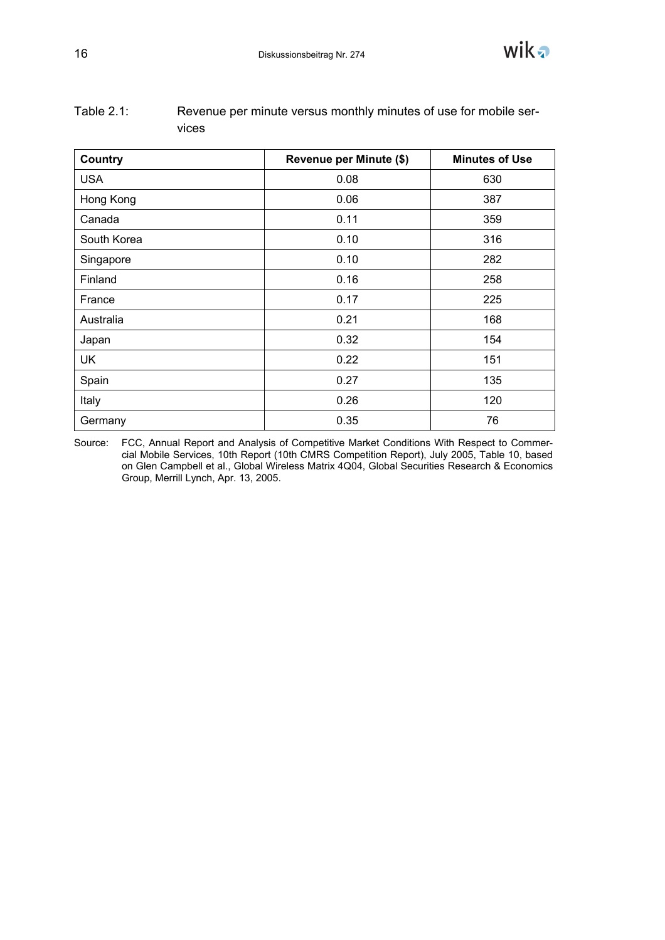

| Country     | Revenue per Minute (\$) | <b>Minutes of Use</b> |
|-------------|-------------------------|-----------------------|
| <b>USA</b>  | 0.08                    | 630                   |
| Hong Kong   | 0.06                    | 387                   |
| Canada      | 0.11                    | 359                   |
| South Korea | 0.10                    | 316                   |
| Singapore   | 0.10                    | 282                   |
| Finland     | 0.16                    | 258                   |
| France      | 0.17                    | 225                   |
| Australia   | 0.21                    | 168                   |
| Japan       | 0.32                    | 154                   |
| <b>UK</b>   | 0.22                    | 151                   |
| Spain       | 0.27                    | 135                   |
| Italy       | 0.26                    | 120                   |
| Germany     | 0.35                    | 76                    |

| Table $2.1:$ | Revenue per minute versus monthly minutes of use for mobile ser- |
|--------------|------------------------------------------------------------------|
|              | vices                                                            |

Source: FCC, Annual Report and Analysis of Competitive Market Conditions With Respect to Commercial Mobile Services, 10th Report (10th CMRS Competition Report), July 2005, Table 10, based on Glen Campbell et al., Global Wireless Matrix 4Q04, Global Securities Research & Economics Group, Merrill Lynch, Apr. 13, 2005.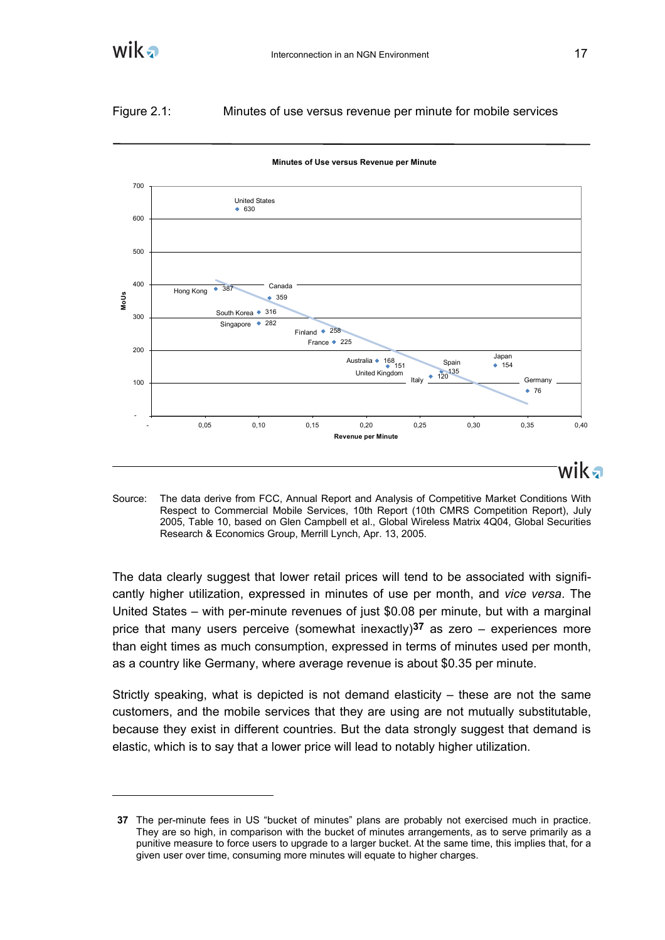

# Figure 2.1: Minutes of use versus revenue per minute for mobile services



**Minutes of Use versus Revenue per Minute**

Source: The data derive from FCC, Annual Report and Analysis of Competitive Market Conditions With Respect to Commercial Mobile Services, 10th Report (10th CMRS Competition Report), July 2005, Table 10, based on Glen Campbell et al., Global Wireless Matrix 4Q04, Global Securities Research & Economics Group, Merrill Lynch, Apr. 13, 2005.

The data clearly suggest that lower retail prices will tend to be associated with significantly higher utilization, expressed in minutes of use per month, and *vice versa*. The United States – with per-minute revenues of just \$0.08 per minute, but with a marginal price that many users perceive (somewhat inexactly)**37** as zero – experiences more than eight times as much consumption, expressed in terms of minutes used per month, as a country like Germany, where average revenue is about \$0.35 per minute.

Strictly speaking, what is depicted is not demand elasticity – these are not the same customers, and the mobile services that they are using are not mutually substitutable, because they exist in different countries. But the data strongly suggest that demand is elastic, which is to say that a lower price will lead to notably higher utilization.

**<sup>37</sup>** The per-minute fees in US "bucket of minutes" plans are probably not exercised much in practice. They are so high, in comparison with the bucket of minutes arrangements, as to serve primarily as a punitive measure to force users to upgrade to a larger bucket. At the same time, this implies that, for a given user over time, consuming more minutes will equate to higher charges.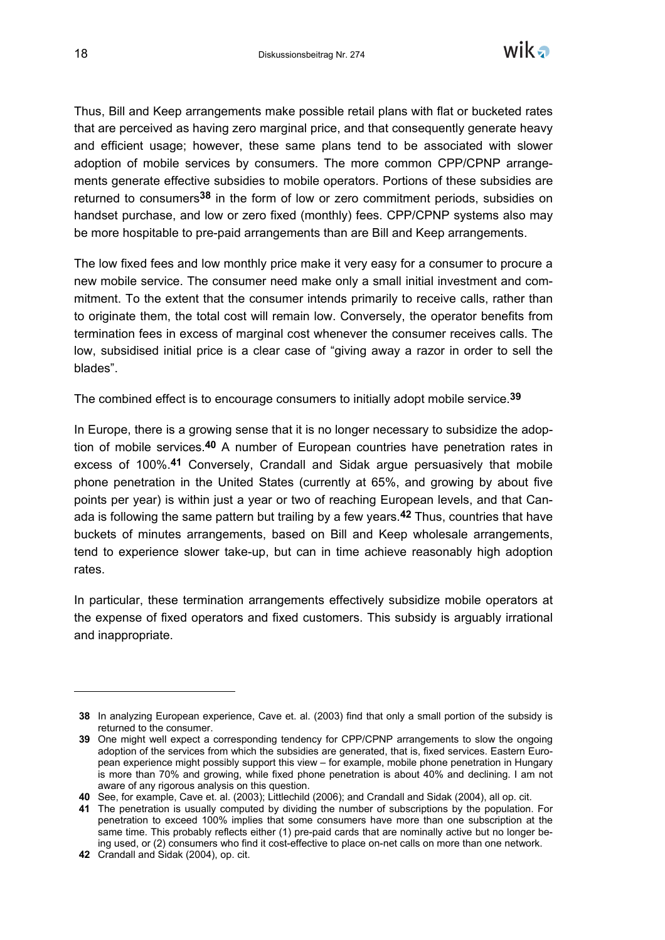

Thus, Bill and Keep arrangements make possible retail plans with flat or bucketed rates that are perceived as having zero marginal price, and that consequently generate heavy and efficient usage; however, these same plans tend to be associated with slower adoption of mobile services by consumers. The more common CPP/CPNP arrangements generate effective subsidies to mobile operators. Portions of these subsidies are returned to consumers**38** in the form of low or zero commitment periods, subsidies on handset purchase, and low or zero fixed (monthly) fees. CPP/CPNP systems also may be more hospitable to pre-paid arrangements than are Bill and Keep arrangements.

The low fixed fees and low monthly price make it very easy for a consumer to procure a new mobile service. The consumer need make only a small initial investment and commitment. To the extent that the consumer intends primarily to receive calls, rather than to originate them, the total cost will remain low. Conversely, the operator benefits from termination fees in excess of marginal cost whenever the consumer receives calls. The low, subsidised initial price is a clear case of "giving away a razor in order to sell the blades".

The combined effect is to encourage consumers to initially adopt mobile service.**39**

In Europe, there is a growing sense that it is no longer necessary to subsidize the adoption of mobile services.**40** A number of European countries have penetration rates in excess of 100%.**41** Conversely, Crandall and Sidak argue persuasively that mobile phone penetration in the United States (currently at 65%, and growing by about five points per year) is within just a year or two of reaching European levels, and that Canada is following the same pattern but trailing by a few years.**42** Thus, countries that have buckets of minutes arrangements, based on Bill and Keep wholesale arrangements, tend to experience slower take-up, but can in time achieve reasonably high adoption rates.

In particular, these termination arrangements effectively subsidize mobile operators at the expense of fixed operators and fixed customers. This subsidy is arguably irrational and inappropriate.

**<sup>38</sup>** In analyzing European experience, Cave et. al. (2003) find that only a small portion of the subsidy is returned to the consumer.

**<sup>39</sup>** One might well expect a corresponding tendency for CPP/CPNP arrangements to slow the ongoing adoption of the services from which the subsidies are generated, that is, fixed services. Eastern European experience might possibly support this view – for example, mobile phone penetration in Hungary is more than 70% and growing, while fixed phone penetration is about 40% and declining. I am not aware of any rigorous analysis on this question.

**<sup>40</sup>** See, for example, Cave et. al. (2003); Littlechild (2006); and Crandall and Sidak (2004), all op. cit.

**<sup>41</sup>** The penetration is usually computed by dividing the number of subscriptions by the population. For penetration to exceed 100% implies that some consumers have more than one subscription at the same time. This probably reflects either (1) pre-paid cards that are nominally active but no longer being used, or (2) consumers who find it cost-effective to place on-net calls on more than one network.

**<sup>42</sup>** Crandall and Sidak (2004), op. cit.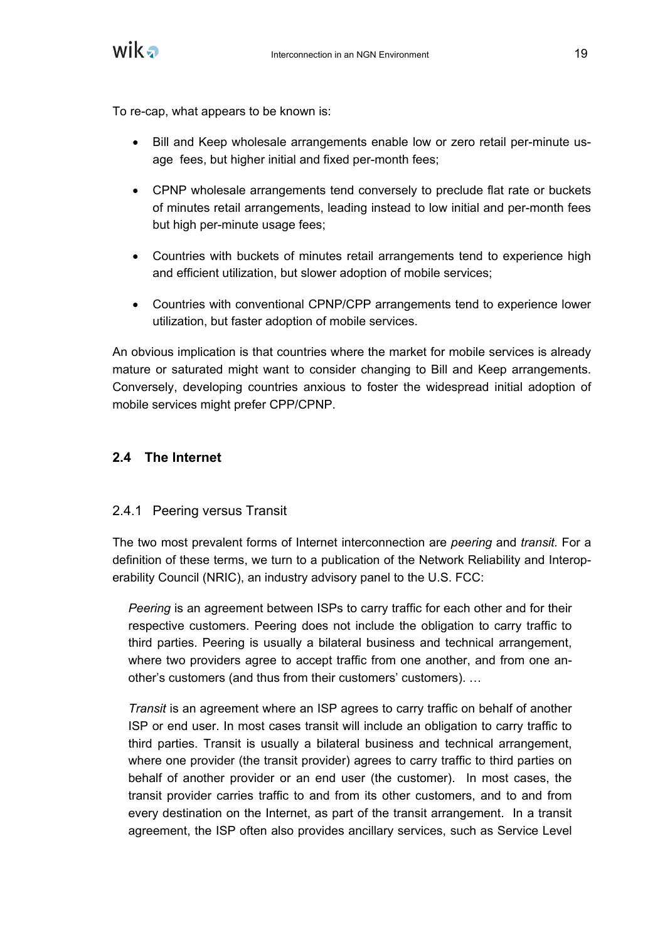

To re-cap, what appears to be known is:

- Bill and Keep wholesale arrangements enable low or zero retail per-minute usage fees, but higher initial and fixed per-month fees;
- CPNP wholesale arrangements tend conversely to preclude flat rate or buckets of minutes retail arrangements, leading instead to low initial and per-month fees but high per-minute usage fees;
- Countries with buckets of minutes retail arrangements tend to experience high and efficient utilization, but slower adoption of mobile services;
- Countries with conventional CPNP/CPP arrangements tend to experience lower utilization, but faster adoption of mobile services.

An obvious implication is that countries where the market for mobile services is already mature or saturated might want to consider changing to Bill and Keep arrangements. Conversely, developing countries anxious to foster the widespread initial adoption of mobile services might prefer CPP/CPNP.

# **2.4 The Internet**

# 2.4.1 Peering versus Transit

The two most prevalent forms of Internet interconnection are *peering* and *transit.* For a definition of these terms, we turn to a publication of the Network Reliability and Interoperability Council (NRIC), an industry advisory panel to the U.S. FCC:

*Peering* is an agreement between ISPs to carry traffic for each other and for their respective customers. Peering does not include the obligation to carry traffic to third parties. Peering is usually a bilateral business and technical arrangement, where two providers agree to accept traffic from one another, and from one another's customers (and thus from their customers' customers). …

*Transit* is an agreement where an ISP agrees to carry traffic on behalf of another ISP or end user. In most cases transit will include an obligation to carry traffic to third parties. Transit is usually a bilateral business and technical arrangement, where one provider (the transit provider) agrees to carry traffic to third parties on behalf of another provider or an end user (the customer). In most cases, the transit provider carries traffic to and from its other customers, and to and from every destination on the Internet, as part of the transit arrangement. In a transit agreement, the ISP often also provides ancillary services, such as Service Level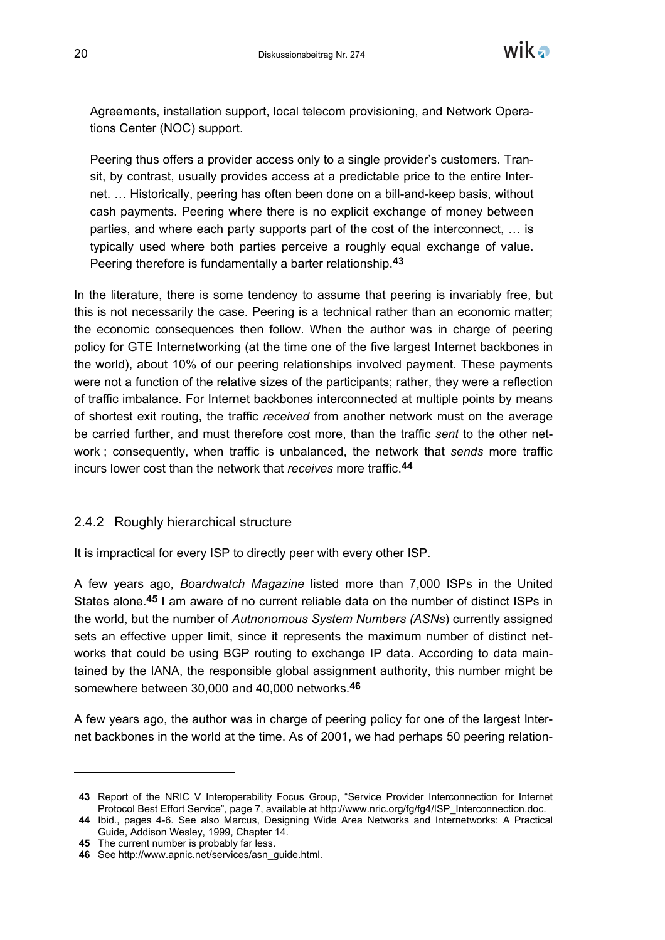

Agreements, installation support, local telecom provisioning, and Network Operations Center (NOC) support.

Peering thus offers a provider access only to a single provider's customers. Transit, by contrast, usually provides access at a predictable price to the entire Internet. … Historically, peering has often been done on a bill-and-keep basis, without cash payments. Peering where there is no explicit exchange of money between parties, and where each party supports part of the cost of the interconnect, … is typically used where both parties perceive a roughly equal exchange of value. Peering therefore is fundamentally a barter relationship.**43**

In the literature, there is some tendency to assume that peering is invariably free, but this is not necessarily the case. Peering is a technical rather than an economic matter; the economic consequences then follow. When the author was in charge of peering policy for GTE Internetworking (at the time one of the five largest Internet backbones in the world), about 10% of our peering relationships involved payment. These payments were not a function of the relative sizes of the participants; rather, they were a reflection of traffic imbalance. For Internet backbones interconnected at multiple points by means of shortest exit routing, the traffic *received* from another network must on the average be carried further, and must therefore cost more, than the traffic *sent* to the other network ; consequently, when traffic is unbalanced, the network that *sends* more traffic incurs lower cost than the network that *receives* more traffic.**44**

# 2.4.2 Roughly hierarchical structure

It is impractical for every ISP to directly peer with every other ISP.

A few years ago, *Boardwatch Magazine* listed more than 7,000 ISPs in the United States alone.**45** I am aware of no current reliable data on the number of distinct ISPs in the world, but the number of *Autnonomous System Numbers (ASNs*) currently assigned sets an effective upper limit, since it represents the maximum number of distinct networks that could be using BGP routing to exchange IP data. According to data maintained by the IANA, the responsible global assignment authority, this number might be somewhere between 30,000 and 40,000 networks.**46**

A few years ago, the author was in charge of peering policy for one of the largest Internet backbones in the world at the time. As of 2001, we had perhaps 50 peering relation-

**<sup>43</sup>** Report of the NRIC V Interoperability Focus Group, "Service Provider Interconnection for Internet Protocol Best Effort Service", page 7, available at http://www.nric.org/fg/fg4/ISP\_Interconnection.doc.

**<sup>44</sup>** Ibid., pages 4-6. See also Marcus, Designing Wide Area Networks and Internetworks: A Practical Guide, Addison Wesley, 1999, Chapter 14.

**<sup>45</sup>** The current number is probably far less.

**<sup>46</sup>** See http://www.apnic.net/services/asn\_guide.html.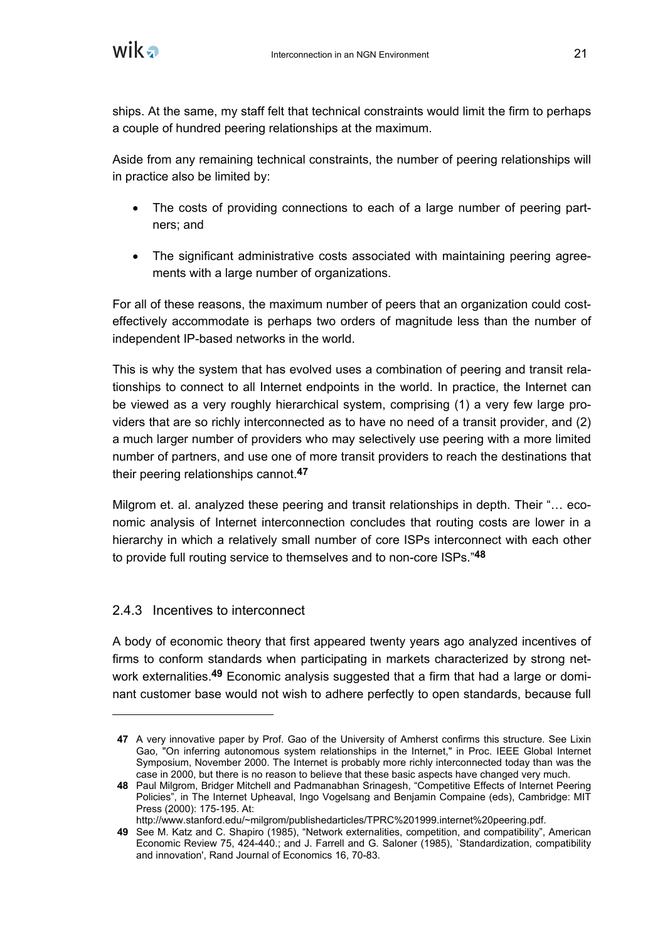ships. At the same, my staff felt that technical constraints would limit the firm to perhaps a couple of hundred peering relationships at the maximum.

Aside from any remaining technical constraints, the number of peering relationships will in practice also be limited by:

- The costs of providing connections to each of a large number of peering partners; and
- The significant administrative costs associated with maintaining peering agreements with a large number of organizations.

For all of these reasons, the maximum number of peers that an organization could costeffectively accommodate is perhaps two orders of magnitude less than the number of independent IP-based networks in the world.

This is why the system that has evolved uses a combination of peering and transit relationships to connect to all Internet endpoints in the world. In practice, the Internet can be viewed as a very roughly hierarchical system, comprising (1) a very few large providers that are so richly interconnected as to have no need of a transit provider, and (2) a much larger number of providers who may selectively use peering with a more limited number of partners, and use one of more transit providers to reach the destinations that their peering relationships cannot.**47**

Milgrom et. al. analyzed these peering and transit relationships in depth. Their "… economic analysis of Internet interconnection concludes that routing costs are lower in a hierarchy in which a relatively small number of core ISPs interconnect with each other to provide full routing service to themselves and to non-core ISPs."**48**

# 2.4.3 Incentives to interconnect

 $\overline{a}$ 

A body of economic theory that first appeared twenty years ago analyzed incentives of firms to conform standards when participating in markets characterized by strong network externalities.**49** Economic analysis suggested that a firm that had a large or dominant customer base would not wish to adhere perfectly to open standards, because full

**<sup>47</sup>** A very innovative paper by Prof. Gao of the University of Amherst confirms this structure. See Lixin Gao, "On inferring autonomous system relationships in the Internet," in Proc. IEEE Global Internet Symposium, November 2000. The Internet is probably more richly interconnected today than was the case in 2000, but there is no reason to believe that these basic aspects have changed very much.

**<sup>48</sup>** Paul Milgrom, Bridger Mitchell and Padmanabhan Srinagesh, "Competitive Effects of Internet Peering Policies", in The Internet Upheaval, Ingo Vogelsang and Benjamin Compaine (eds), Cambridge: MIT Press (2000): 175-195. At:

http://www.stanford.edu/~milgrom/publishedarticles/TPRC%201999.internet%20peering.pdf.

**<sup>49</sup>** See M. Katz and C. Shapiro (1985), "Network externalities, competition, and compatibility", American Economic Review 75, 424-440.; and J. Farrell and G. Saloner (1985), `Standardization, compatibility and innovation', Rand Journal of Economics 16, 70-83.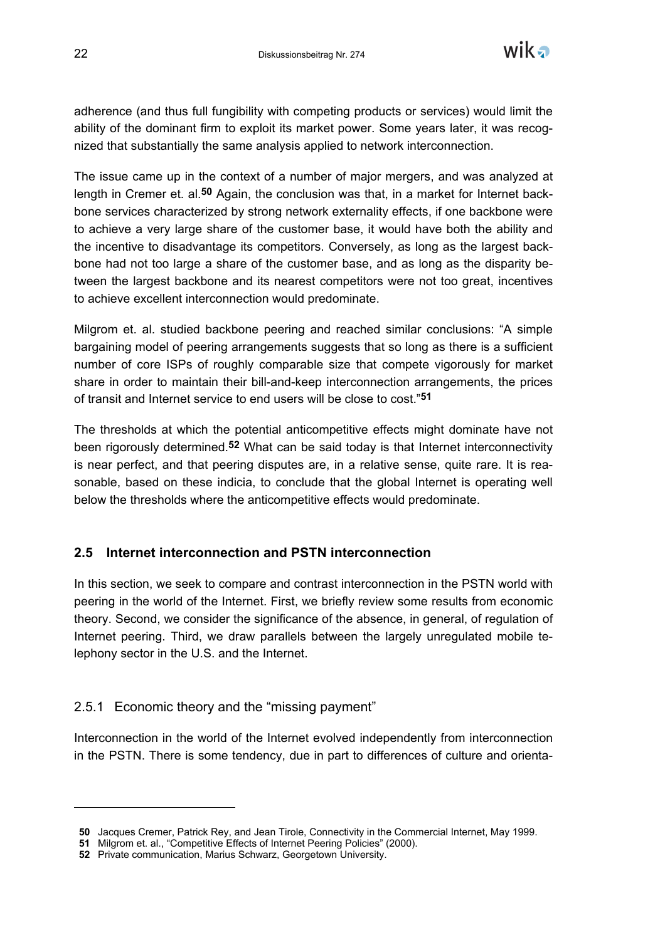

adherence (and thus full fungibility with competing products or services) would limit the ability of the dominant firm to exploit its market power. Some years later, it was recognized that substantially the same analysis applied to network interconnection.

The issue came up in the context of a number of major mergers, and was analyzed at length in Cremer et. al.**50** Again, the conclusion was that, in a market for Internet backbone services characterized by strong network externality effects, if one backbone were to achieve a very large share of the customer base, it would have both the ability and the incentive to disadvantage its competitors. Conversely, as long as the largest backbone had not too large a share of the customer base, and as long as the disparity between the largest backbone and its nearest competitors were not too great, incentives to achieve excellent interconnection would predominate.

Milgrom et. al. studied backbone peering and reached similar conclusions: "A simple bargaining model of peering arrangements suggests that so long as there is a sufficient number of core ISPs of roughly comparable size that compete vigorously for market share in order to maintain their bill-and-keep interconnection arrangements, the prices of transit and Internet service to end users will be close to cost."**51**

The thresholds at which the potential anticompetitive effects might dominate have not been rigorously determined.**52** What can be said today is that Internet interconnectivity is near perfect, and that peering disputes are, in a relative sense, quite rare. It is reasonable, based on these indicia, to conclude that the global Internet is operating well below the thresholds where the anticompetitive effects would predominate.

# **2.5 Internet interconnection and PSTN interconnection**

In this section, we seek to compare and contrast interconnection in the PSTN world with peering in the world of the Internet. First, we briefly review some results from economic theory. Second, we consider the significance of the absence, in general, of regulation of Internet peering. Third, we draw parallels between the largely unregulated mobile telephony sector in the U.S. and the Internet.

#### 2.5.1 Economic theory and the "missing payment"

Interconnection in the world of the Internet evolved independently from interconnection in the PSTN. There is some tendency, due in part to differences of culture and orienta-

**<sup>50</sup>** Jacques Cremer, Patrick Rey, and Jean Tirole, Connectivity in the Commercial Internet, May 1999.

**<sup>51</sup>** Milgrom et. al., "Competitive Effects of Internet Peering Policies" (2000).

**<sup>52</sup>** Private communication, Marius Schwarz, Georgetown University.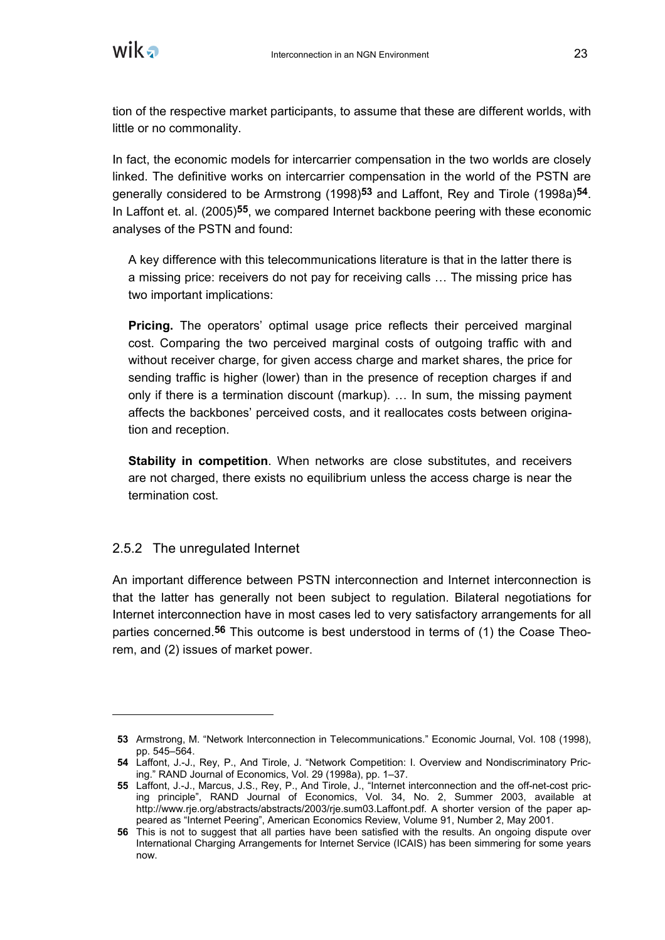

tion of the respective market participants, to assume that these are different worlds, with little or no commonality.

In fact, the economic models for intercarrier compensation in the two worlds are closely linked. The definitive works on intercarrier compensation in the world of the PSTN are generally considered to be Armstrong (1998)**53** and Laffont, Rey and Tirole (1998a)**54**. In Laffont et. al. (2005)**55**, we compared Internet backbone peering with these economic analyses of the PSTN and found:

A key difference with this telecommunications literature is that in the latter there is a missing price: receivers do not pay for receiving calls … The missing price has two important implications:

**Pricing.** The operators' optimal usage price reflects their perceived marginal cost. Comparing the two perceived marginal costs of outgoing traffic with and without receiver charge, for given access charge and market shares, the price for sending traffic is higher (lower) than in the presence of reception charges if and only if there is a termination discount (markup). … In sum, the missing payment affects the backbones' perceived costs, and it reallocates costs between origination and reception.

**Stability in competition**. When networks are close substitutes, and receivers are not charged, there exists no equilibrium unless the access charge is near the termination cost.

#### 2.5.2 The unregulated Internet

 $\overline{a}$ 

An important difference between PSTN interconnection and Internet interconnection is that the latter has generally not been subject to regulation. Bilateral negotiations for Internet interconnection have in most cases led to very satisfactory arrangements for all parties concerned.**56** This outcome is best understood in terms of (1) the Coase Theorem, and (2) issues of market power.

**<sup>53</sup>** Armstrong, M. "Network Interconnection in Telecommunications." Economic Journal, Vol. 108 (1998), pp. 545–564.

**<sup>54</sup>** Laffont, J.-J., Rey, P., And Tirole, J. "Network Competition: I. Overview and Nondiscriminatory Pricing." RAND Journal of Economics, Vol. 29 (1998a), pp. 1–37.

**<sup>55</sup>** Laffont, J.-J., Marcus, J.S., Rey, P., And Tirole, J., "Internet interconnection and the off-net-cost pricing principle", RAND Journal of Economics, Vol. 34, No. 2, Summer 2003, available at http://www.rje.org/abstracts/abstracts/2003/rje.sum03.Laffont.pdf. A shorter version of the paper appeared as "Internet Peering", American Economics Review, Volume 91, Number 2, May 2001.

**<sup>56</sup>** This is not to suggest that all parties have been satisfied with the results. An ongoing dispute over International Charging Arrangements for Internet Service (ICAIS) has been simmering for some years now.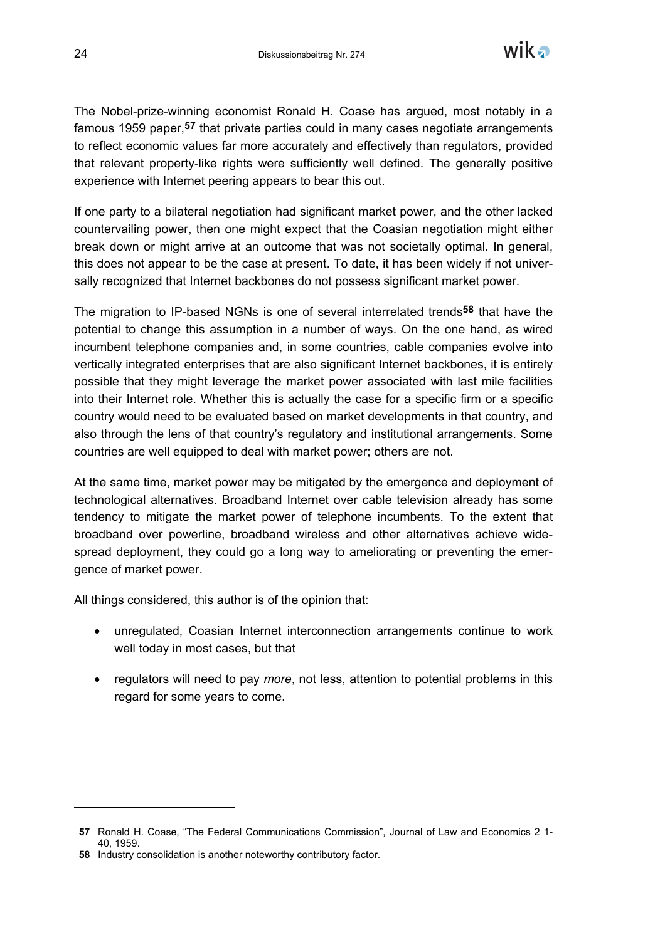

The Nobel-prize-winning economist Ronald H. Coase has argued, most notably in a famous 1959 paper,**57** that private parties could in many cases negotiate arrangements to reflect economic values far more accurately and effectively than regulators, provided that relevant property-like rights were sufficiently well defined. The generally positive experience with Internet peering appears to bear this out.

If one party to a bilateral negotiation had significant market power, and the other lacked countervailing power, then one might expect that the Coasian negotiation might either break down or might arrive at an outcome that was not societally optimal. In general, this does not appear to be the case at present. To date, it has been widely if not universally recognized that Internet backbones do not possess significant market power.

The migration to IP-based NGNs is one of several interrelated trends**58** that have the potential to change this assumption in a number of ways. On the one hand, as wired incumbent telephone companies and, in some countries, cable companies evolve into vertically integrated enterprises that are also significant Internet backbones, it is entirely possible that they might leverage the market power associated with last mile facilities into their Internet role. Whether this is actually the case for a specific firm or a specific country would need to be evaluated based on market developments in that country, and also through the lens of that country's regulatory and institutional arrangements. Some countries are well equipped to deal with market power; others are not.

At the same time, market power may be mitigated by the emergence and deployment of technological alternatives. Broadband Internet over cable television already has some tendency to mitigate the market power of telephone incumbents. To the extent that broadband over powerline, broadband wireless and other alternatives achieve widespread deployment, they could go a long way to ameliorating or preventing the emergence of market power.

All things considered, this author is of the opinion that:

- unregulated, Coasian Internet interconnection arrangements continue to work well today in most cases, but that
- regulators will need to pay *more*, not less, attention to potential problems in this regard for some years to come.

**<sup>57</sup>** Ronald H. Coase, "The Federal Communications Commission", Journal of Law and Economics 2 1- 40, 1959.

**<sup>58</sup>** Industry consolidation is another noteworthy contributory factor.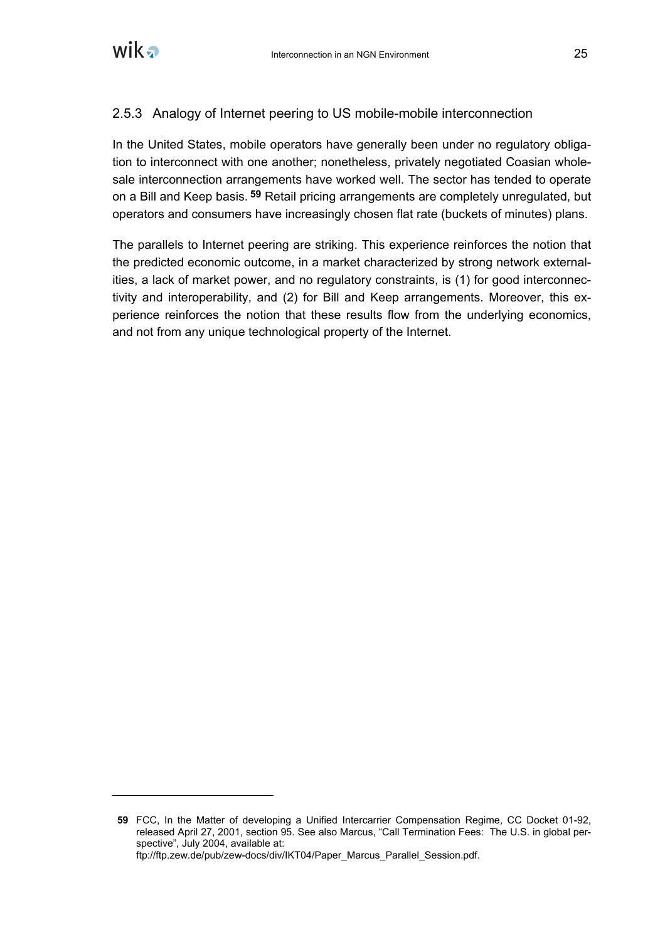

# 2.5.3 Analogy of Internet peering to US mobile-mobile interconnection

In the United States, mobile operators have generally been under no regulatory obligation to interconnect with one another; nonetheless, privately negotiated Coasian wholesale interconnection arrangements have worked well. The sector has tended to operate on a Bill and Keep basis. **59** Retail pricing arrangements are completely unregulated, but operators and consumers have increasingly chosen flat rate (buckets of minutes) plans.

The parallels to Internet peering are striking. This experience reinforces the notion that the predicted economic outcome, in a market characterized by strong network externalities, a lack of market power, and no regulatory constraints, is (1) for good interconnectivity and interoperability, and (2) for Bill and Keep arrangements. Moreover, this experience reinforces the notion that these results flow from the underlying economics, and not from any unique technological property of the Internet.

**<sup>59</sup>** FCC, In the Matter of developing a Unified Intercarrier Compensation Regime, CC Docket 01-92, released April 27, 2001, section 95. See also Marcus, "Call Termination Fees: The U.S. in global perspective", July 2004, available at: ftp://ftp.zew.de/pub/zew-docs/div/IKT04/Paper\_Marcus\_Parallel\_Session.pdf.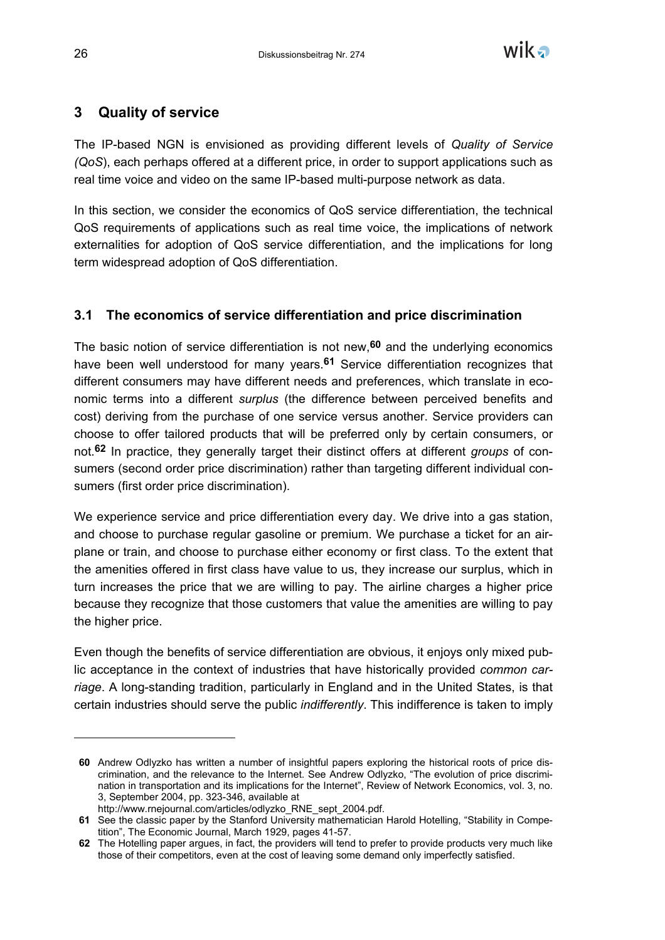

# **3 Quality of service**

The IP-based NGN is envisioned as providing different levels of *Quality of Service (QoS*), each perhaps offered at a different price, in order to support applications such as real time voice and video on the same IP-based multi-purpose network as data.

In this section, we consider the economics of QoS service differentiation, the technical QoS requirements of applications such as real time voice, the implications of network externalities for adoption of QoS service differentiation, and the implications for long term widespread adoption of QoS differentiation.

# **3.1 The economics of service differentiation and price discrimination**

The basic notion of service differentiation is not new,**60** and the underlying economics have been well understood for many years.**61** Service differentiation recognizes that different consumers may have different needs and preferences, which translate in economic terms into a different *surplus* (the difference between perceived benefits and cost) deriving from the purchase of one service versus another. Service providers can choose to offer tailored products that will be preferred only by certain consumers, or not.**62** In practice, they generally target their distinct offers at different *groups* of consumers (second order price discrimination) rather than targeting different individual consumers (first order price discrimination).

We experience service and price differentiation every day. We drive into a gas station, and choose to purchase regular gasoline or premium. We purchase a ticket for an airplane or train, and choose to purchase either economy or first class. To the extent that the amenities offered in first class have value to us, they increase our surplus, which in turn increases the price that we are willing to pay. The airline charges a higher price because they recognize that those customers that value the amenities are willing to pay the higher price.

Even though the benefits of service differentiation are obvious, it enjoys only mixed public acceptance in the context of industries that have historically provided *common carriage*. A long-standing tradition, particularly in England and in the United States, is that certain industries should serve the public *indifferently*. This indifference is taken to imply

**<sup>60</sup>** Andrew Odlyzko has written a number of insightful papers exploring the historical roots of price discrimination, and the relevance to the Internet. See Andrew Odlyzko, "The evolution of price discrimination in transportation and its implications for the Internet", Review of Network Economics, vol. 3, no. 3, September 2004, pp. 323-346, available at

http://www.rnejournal.com/articles/odlyzko\_RNE\_sept\_2004.pdf.

**<sup>61</sup>** See the classic paper by the Stanford University mathematician Harold Hotelling, "Stability in Competition", The Economic Journal, March 1929, pages 41-57.

**<sup>62</sup>** The Hotelling paper argues, in fact, the providers will tend to prefer to provide products very much like those of their competitors, even at the cost of leaving some demand only imperfectly satisfied.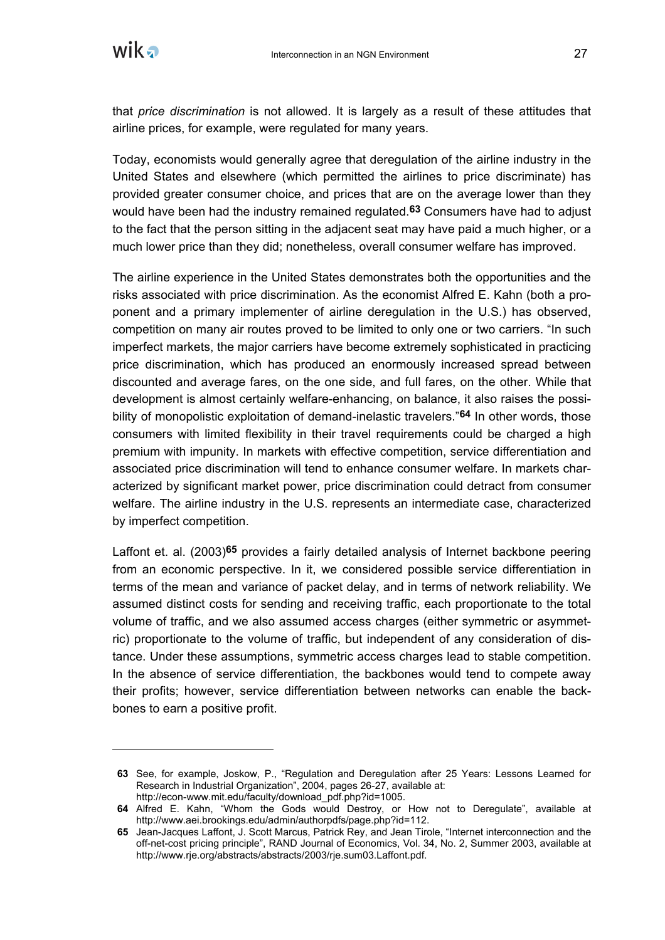

 $\overline{a}$ 

that *price discrimination* is not allowed. It is largely as a result of these attitudes that airline prices, for example, were regulated for many years.

Today, economists would generally agree that deregulation of the airline industry in the United States and elsewhere (which permitted the airlines to price discriminate) has provided greater consumer choice, and prices that are on the average lower than they would have been had the industry remained regulated.**63** Consumers have had to adjust to the fact that the person sitting in the adjacent seat may have paid a much higher, or a much lower price than they did; nonetheless, overall consumer welfare has improved.

The airline experience in the United States demonstrates both the opportunities and the risks associated with price discrimination. As the economist Alfred E. Kahn (both a proponent and a primary implementer of airline deregulation in the U.S.) has observed, competition on many air routes proved to be limited to only one or two carriers. "In such imperfect markets, the major carriers have become extremely sophisticated in practicing price discrimination, which has produced an enormously increased spread between discounted and average fares, on the one side, and full fares, on the other. While that development is almost certainly welfare-enhancing, on balance, it also raises the possibility of monopolistic exploitation of demand-inelastic travelers."**64** In other words, those consumers with limited flexibility in their travel requirements could be charged a high premium with impunity. In markets with effective competition, service differentiation and associated price discrimination will tend to enhance consumer welfare. In markets characterized by significant market power, price discrimination could detract from consumer welfare. The airline industry in the U.S. represents an intermediate case, characterized by imperfect competition.

Laffont et. al. (2003)**65** provides a fairly detailed analysis of Internet backbone peering from an economic perspective. In it, we considered possible service differentiation in terms of the mean and variance of packet delay, and in terms of network reliability. We assumed distinct costs for sending and receiving traffic, each proportionate to the total volume of traffic, and we also assumed access charges (either symmetric or asymmetric) proportionate to the volume of traffic, but independent of any consideration of distance. Under these assumptions, symmetric access charges lead to stable competition. In the absence of service differentiation, the backbones would tend to compete away their profits; however, service differentiation between networks can enable the backbones to earn a positive profit.

**<sup>63</sup>** See, for example, Joskow, P., "Regulation and Deregulation after 25 Years: Lessons Learned for Research in Industrial Organization", 2004, pages 26-27, available at: http://econ-www.mit.edu/faculty/download\_pdf.php?id=1005.

**<sup>64</sup>** Alfred E. Kahn, "Whom the Gods would Destroy, or How not to Deregulate", available at http://www.aei.brookings.edu/admin/authorpdfs/page.php?id=112.

**<sup>65</sup>** Jean-Jacques Laffont, J. Scott Marcus, Patrick Rey, and Jean Tirole, "Internet interconnection and the off-net-cost pricing principle", RAND Journal of Economics, Vol. 34, No. 2, Summer 2003, available at http://www.rje.org/abstracts/abstracts/2003/rje.sum03.Laffont.pdf.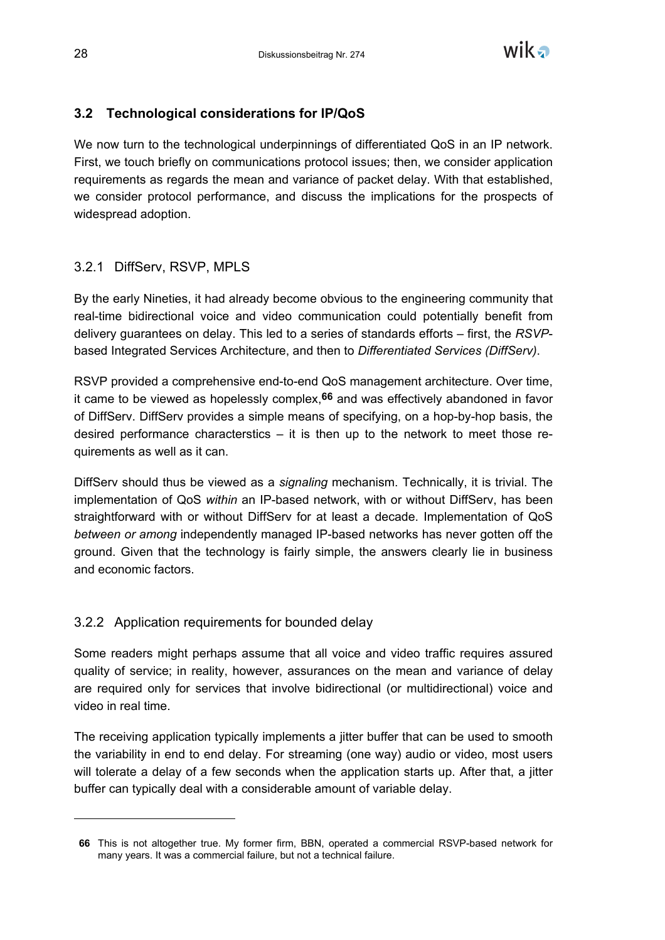

## **3.2 Technological considerations for IP/QoS**

We now turn to the technological underpinnings of differentiated QoS in an IP network. First, we touch briefly on communications protocol issues; then, we consider application requirements as regards the mean and variance of packet delay. With that established, we consider protocol performance, and discuss the implications for the prospects of widespread adoption.

## 3.2.1 DiffServ, RSVP, MPLS

By the early Nineties, it had already become obvious to the engineering community that real-time bidirectional voice and video communication could potentially benefit from delivery guarantees on delay. This led to a series of standards efforts – first, the *RSVP*based Integrated Services Architecture, and then to *Differentiated Services (DiffServ)*.

RSVP provided a comprehensive end-to-end QoS management architecture. Over time, it came to be viewed as hopelessly complex,**66** and was effectively abandoned in favor of DiffServ. DiffServ provides a simple means of specifying, on a hop-by-hop basis, the desired performance characterstics  $-$  it is then up to the network to meet those requirements as well as it can.

DiffServ should thus be viewed as a *signaling* mechanism. Technically, it is trivial. The implementation of QoS *within* an IP-based network, with or without DiffServ, has been straightforward with or without DiffServ for at least a decade. Implementation of QoS *between or among* independently managed IP-based networks has never gotten off the ground. Given that the technology is fairly simple, the answers clearly lie in business and economic factors.

## 3.2.2 Application requirements for bounded delay

Some readers might perhaps assume that all voice and video traffic requires assured quality of service; in reality, however, assurances on the mean and variance of delay are required only for services that involve bidirectional (or multidirectional) voice and video in real time.

The receiving application typically implements a jitter buffer that can be used to smooth the variability in end to end delay. For streaming (one way) audio or video, most users will tolerate a delay of a few seconds when the application starts up. After that, a jitter buffer can typically deal with a considerable amount of variable delay.

**<sup>66</sup>** This is not altogether true. My former firm, BBN, operated a commercial RSVP-based network for many years. It was a commercial failure, but not a technical failure.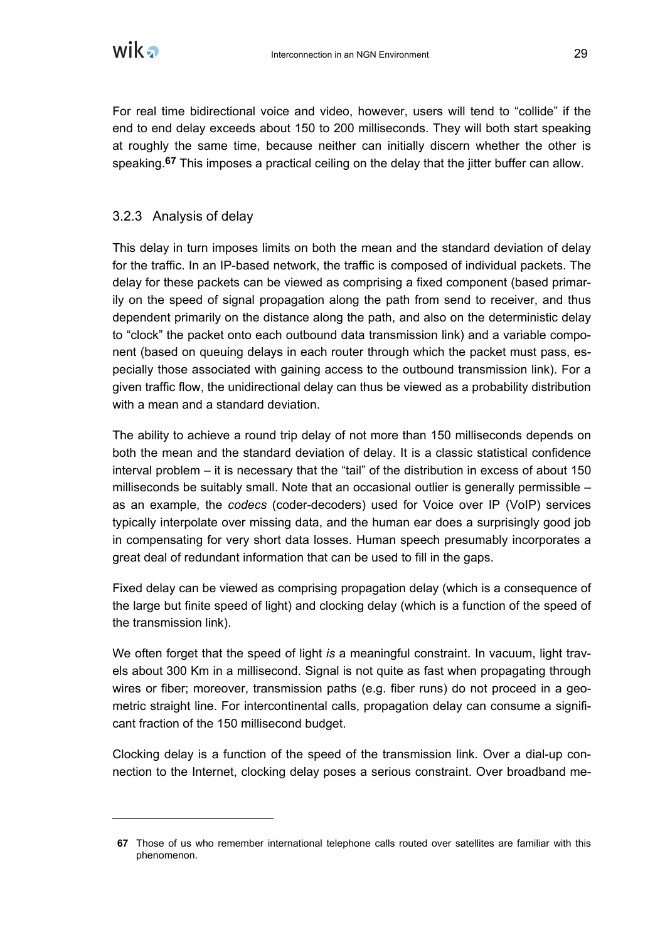

For real time bidirectional voice and video, however, users will tend to "collide" if the end to end delay exceeds about 150 to 200 milliseconds. They will both start speaking at roughly the same time, because neither can initially discern whether the other is speaking.**67** This imposes a practical ceiling on the delay that the jitter buffer can allow.

#### 3.2.3 Analysis of delay

This delay in turn imposes limits on both the mean and the standard deviation of delay for the traffic. In an IP-based network, the traffic is composed of individual packets. The delay for these packets can be viewed as comprising a fixed component (based primarily on the speed of signal propagation along the path from send to receiver, and thus dependent primarily on the distance along the path, and also on the deterministic delay to "clock" the packet onto each outbound data transmission link) and a variable component (based on queuing delays in each router through which the packet must pass, especially those associated with gaining access to the outbound transmission link). For a given traffic flow, the unidirectional delay can thus be viewed as a probability distribution with a mean and a standard deviation.

The ability to achieve a round trip delay of not more than 150 milliseconds depends on both the mean and the standard deviation of delay. It is a classic statistical confidence interval problem – it is necessary that the "tail" of the distribution in excess of about 150 milliseconds be suitably small. Note that an occasional outlier is generally permissible – as an example, the *codecs* (coder-decoders) used for Voice over IP (VoIP) services typically interpolate over missing data, and the human ear does a surprisingly good job in compensating for very short data losses. Human speech presumably incorporates a great deal of redundant information that can be used to fill in the gaps.

Fixed delay can be viewed as comprising propagation delay (which is a consequence of the large but finite speed of light) and clocking delay (which is a function of the speed of the transmission link).

We often forget that the speed of light *is* a meaningful constraint. In vacuum, light travels about 300 Km in a millisecond. Signal is not quite as fast when propagating through wires or fiber; moreover, transmission paths (e.g. fiber runs) do not proceed in a geometric straight line. For intercontinental calls, propagation delay can consume a significant fraction of the 150 millisecond budget.

Clocking delay is a function of the speed of the transmission link. Over a dial-up connection to the Internet, clocking delay poses a serious constraint. Over broadband me-

**<sup>67</sup>** Those of us who remember international telephone calls routed over satellites are familiar with this phenomenon.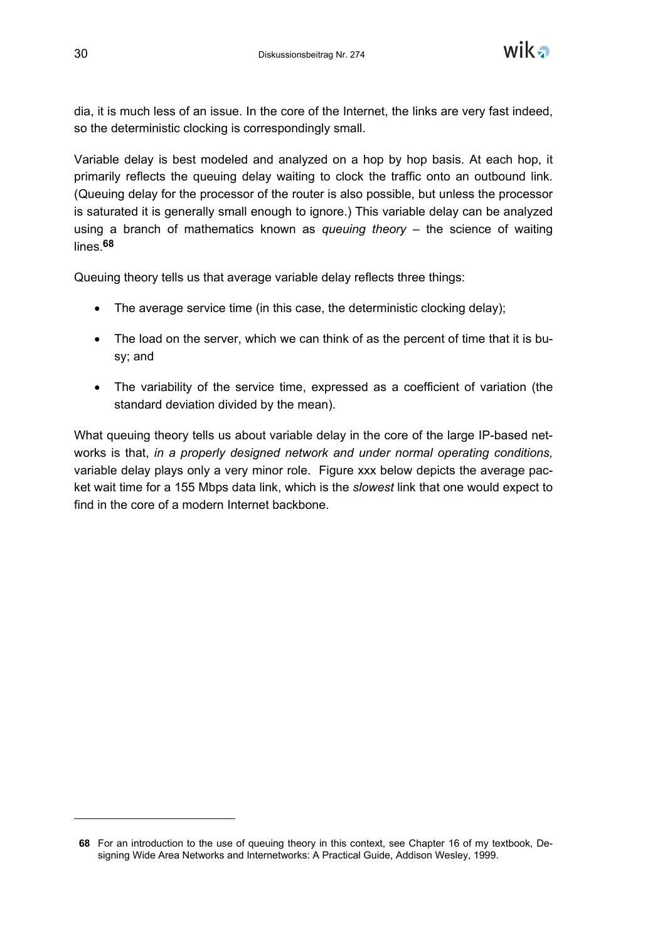

dia, it is much less of an issue. In the core of the Internet, the links are very fast indeed, so the deterministic clocking is correspondingly small.

Variable delay is best modeled and analyzed on a hop by hop basis. At each hop, it primarily reflects the queuing delay waiting to clock the traffic onto an outbound link. (Queuing delay for the processor of the router is also possible, but unless the processor is saturated it is generally small enough to ignore.) This variable delay can be analyzed using a branch of mathematics known as *queuing theory* – the science of waiting lines.**68**

Queuing theory tells us that average variable delay reflects three things:

- The average service time (in this case, the deterministic clocking delay);
- The load on the server, which we can think of as the percent of time that it is busy; and
- The variability of the service time, expressed as a coefficient of variation (the standard deviation divided by the mean).

What queuing theory tells us about variable delay in the core of the large IP-based networks is that, *in a properly designed network and under normal operating conditions,* variable delay plays only a very minor role. Figure xxx below depicts the average packet wait time for a 155 Mbps data link, which is the *slowest* link that one would expect to find in the core of a modern Internet backbone.

**<sup>68</sup>** For an introduction to the use of queuing theory in this context, see Chapter 16 of my textbook, Designing Wide Area Networks and Internetworks: A Practical Guide, Addison Wesley, 1999.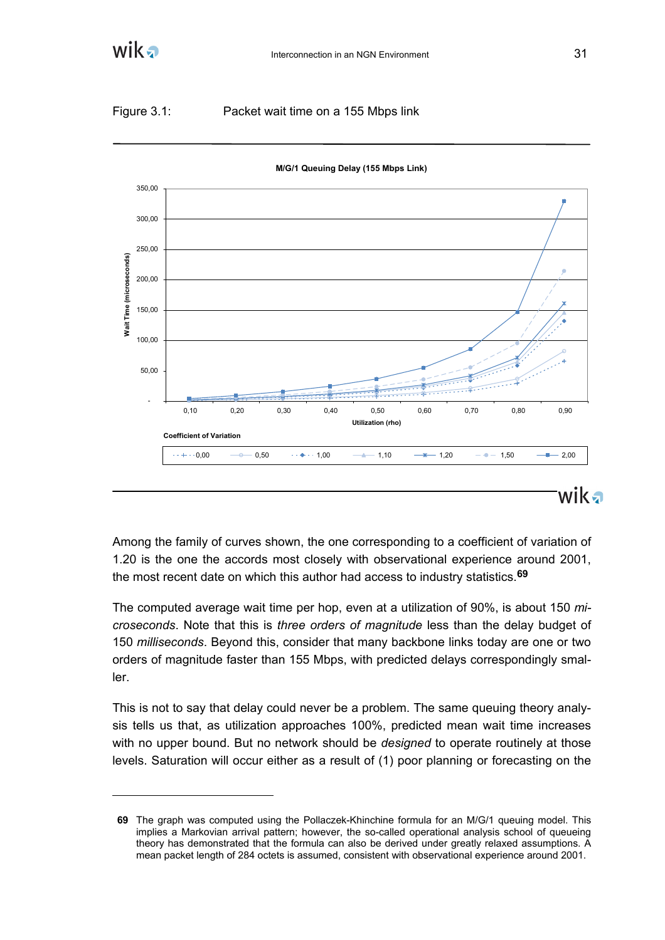

#### Figure 3.1: Packet wait time on a 155 Mbps link



**M/G/1 Queuing Delay (155 Mbps Link)**

Among the family of curves shown, the one corresponding to a coefficient of variation of 1.20 is the one the accords most closely with observational experience around 2001, the most recent date on which this author had access to industry statistics.**69**

The computed average wait time per hop, even at a utilization of 90%, is about 150 *microseconds*. Note that this is *three orders of magnitude* less than the delay budget of 150 *milliseconds*. Beyond this, consider that many backbone links today are one or two orders of magnitude faster than 155 Mbps, with predicted delays correspondingly smaller.

This is not to say that delay could never be a problem. The same queuing theory analysis tells us that, as utilization approaches 100%, predicted mean wait time increases with no upper bound. But no network should be *designed* to operate routinely at those levels. Saturation will occur either as a result of (1) poor planning or forecasting on the

**<sup>69</sup>** The graph was computed using the Pollaczek-Khinchine formula for an M/G/1 queuing model. This implies a Markovian arrival pattern; however, the so-called operational analysis school of queueing theory has demonstrated that the formula can also be derived under greatly relaxed assumptions. A mean packet length of 284 octets is assumed, consistent with observational experience around 2001.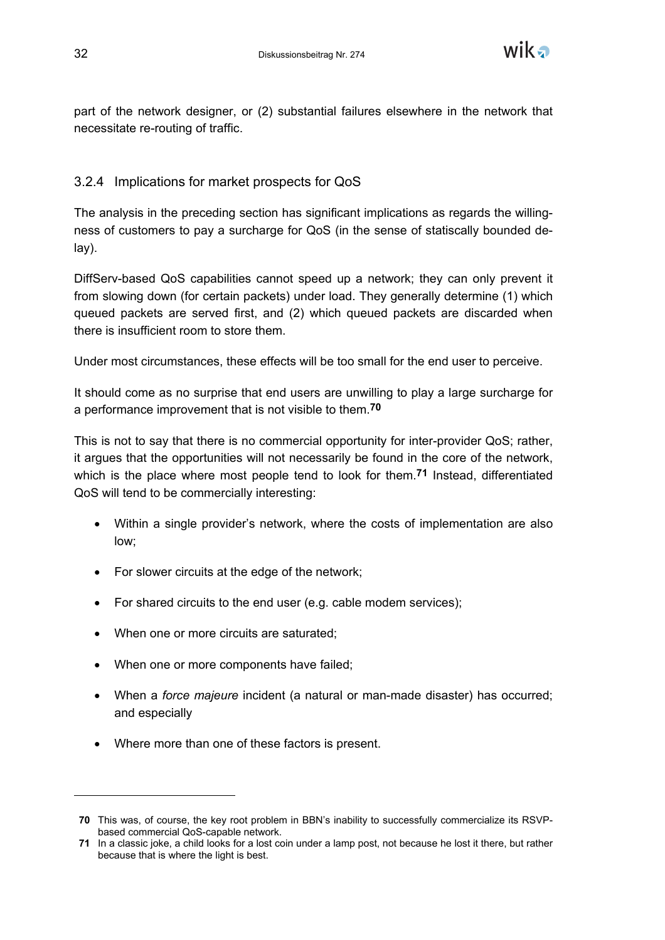

part of the network designer, or (2) substantial failures elsewhere in the network that necessitate re-routing of traffic.

# 3.2.4 Implications for market prospects for QoS

The analysis in the preceding section has significant implications as regards the willingness of customers to pay a surcharge for QoS (in the sense of statiscally bounded delay).

DiffServ-based QoS capabilities cannot speed up a network; they can only prevent it from slowing down (for certain packets) under load. They generally determine (1) which queued packets are served first, and (2) which queued packets are discarded when there is insufficient room to store them.

Under most circumstances, these effects will be too small for the end user to perceive.

It should come as no surprise that end users are unwilling to play a large surcharge for a performance improvement that is not visible to them.**70**

This is not to say that there is no commercial opportunity for inter-provider QoS; rather, it argues that the opportunities will not necessarily be found in the core of the network, which is the place where most people tend to look for them.**71** Instead, differentiated QoS will tend to be commercially interesting:

- Within a single provider's network, where the costs of implementation are also low;
- For slower circuits at the edge of the network;
- For shared circuits to the end user (e.g. cable modem services);
- When one or more circuits are saturated;
- When one or more components have failed;
- When a *force majeure* incident (a natural or man-made disaster) has occurred; and especially
- Where more than one of these factors is present.

-

**<sup>70</sup>** This was, of course, the key root problem in BBN's inability to successfully commercialize its RSVPbased commercial QoS-capable network.

**<sup>71</sup>** In a classic joke, a child looks for a lost coin under a lamp post, not because he lost it there, but rather because that is where the light is best.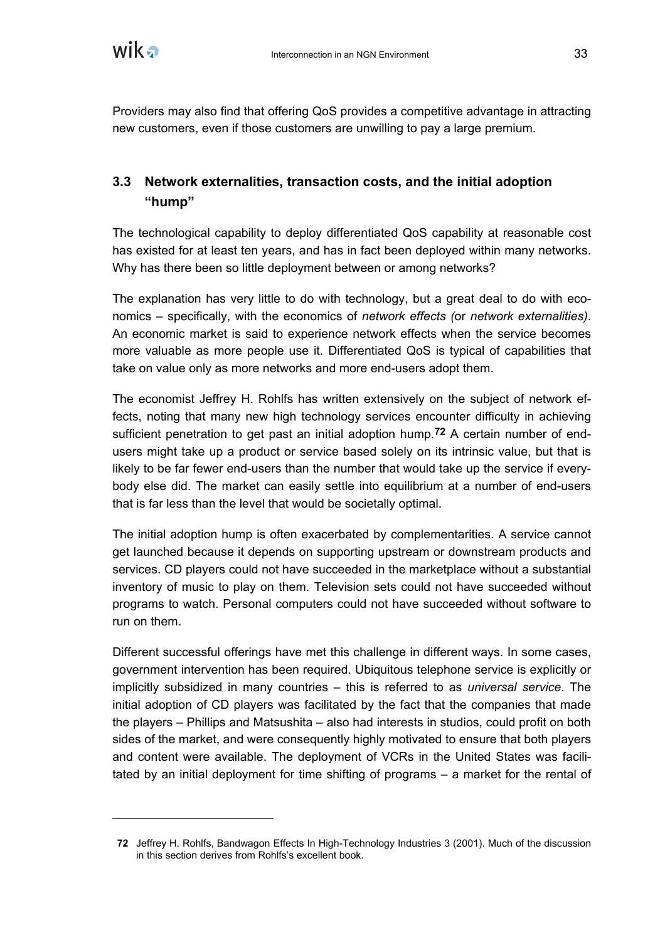Providers may also find that offering QoS provides a competitive advantage in attracting new customers, even if those customers are unwilling to pay a large premium.

# **3.3 Network externalities, transaction costs, and the initial adoption "hump"**

The technological capability to deploy differentiated QoS capability at reasonable cost has existed for at least ten years, and has in fact been deployed within many networks. Why has there been so little deployment between or among networks?

The explanation has very little to do with technology, but a great deal to do with economics – specifically, with the economics of *network effects (*or *network externalities)*. An economic market is said to experience network effects when the service becomes more valuable as more people use it. Differentiated QoS is typical of capabilities that take on value only as more networks and more end-users adopt them.

The economist Jeffrey H. Rohlfs has written extensively on the subject of network effects, noting that many new high technology services encounter difficulty in achieving sufficient penetration to get past an initial adoption hump.**72** A certain number of endusers might take up a product or service based solely on its intrinsic value, but that is likely to be far fewer end-users than the number that would take up the service if everybody else did. The market can easily settle into equilibrium at a number of end-users that is far less than the level that would be societally optimal.

The initial adoption hump is often exacerbated by complementarities. A service cannot get launched because it depends on supporting upstream or downstream products and services. CD players could not have succeeded in the marketplace without a substantial inventory of music to play on them. Television sets could not have succeeded without programs to watch. Personal computers could not have succeeded without software to run on them.

Different successful offerings have met this challenge in different ways. In some cases, government intervention has been required. Ubiquitous telephone service is explicitly or implicitly subsidized in many countries – this is referred to as *universal service*. The initial adoption of CD players was facilitated by the fact that the companies that made the players – Phillips and Matsushita – also had interests in studios, could profit on both sides of the market, and were consequently highly motivated to ensure that both players and content were available. The deployment of VCRs in the United States was facilitated by an initial deployment for time shifting of programs – a market for the rental of

**<sup>72</sup>** Jeffrey H. Rohlfs, Bandwagon Effects In High-Technology Industries 3 (2001). Much of the discussion in this section derives from Rohlfs's excellent book.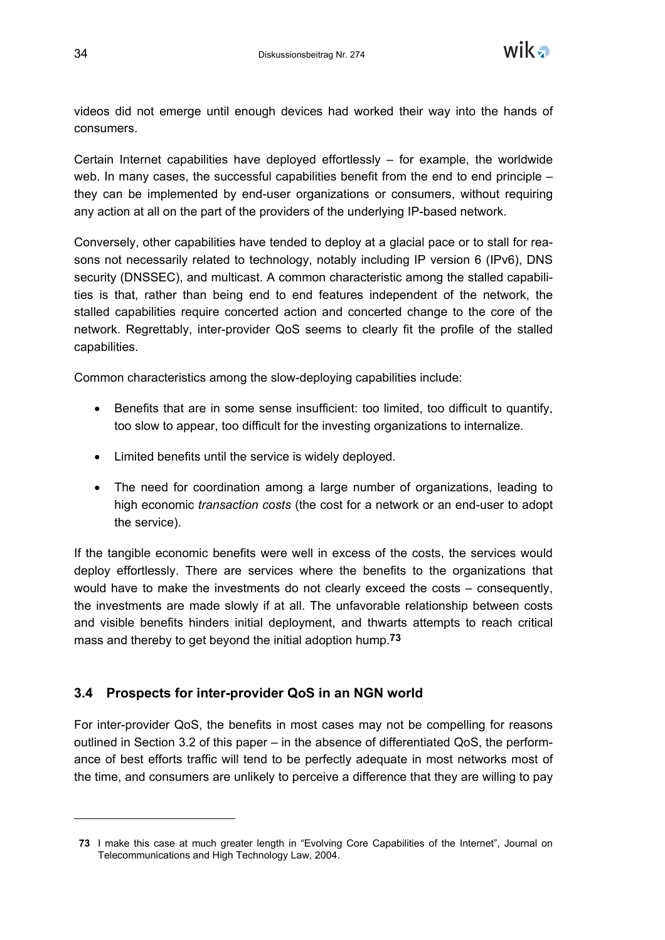

videos did not emerge until enough devices had worked their way into the hands of consumers.

Certain Internet capabilities have deployed effortlessly – for example, the worldwide web. In many cases, the successful capabilities benefit from the end to end principle – they can be implemented by end-user organizations or consumers, without requiring any action at all on the part of the providers of the underlying IP-based network.

Conversely, other capabilities have tended to deploy at a glacial pace or to stall for reasons not necessarily related to technology, notably including IP version 6 (IPv6), DNS security (DNSSEC), and multicast. A common characteristic among the stalled capabilities is that, rather than being end to end features independent of the network, the stalled capabilities require concerted action and concerted change to the core of the network. Regrettably, inter-provider QoS seems to clearly fit the profile of the stalled capabilities.

Common characteristics among the slow-deploying capabilities include:

- Benefits that are in some sense insufficient: too limited, too difficult to quantify, too slow to appear, too difficult for the investing organizations to internalize.
- Limited benefits until the service is widely deployed.
- The need for coordination among a large number of organizations, leading to high economic *transaction costs* (the cost for a network or an end-user to adopt the service).

If the tangible economic benefits were well in excess of the costs, the services would deploy effortlessly. There are services where the benefits to the organizations that would have to make the investments do not clearly exceed the costs – consequently, the investments are made slowly if at all. The unfavorable relationship between costs and visible benefits hinders initial deployment, and thwarts attempts to reach critical mass and thereby to get beyond the initial adoption hump.**73**

#### **3.4 Prospects for inter-provider QoS in an NGN world**

For inter-provider QoS, the benefits in most cases may not be compelling for reasons outlined in Section 3.2 of this paper – in the absence of differentiated QoS, the performance of best efforts traffic will tend to be perfectly adequate in most networks most of the time, and consumers are unlikely to perceive a difference that they are willing to pay

**<sup>73</sup>** I make this case at much greater length in "Evolving Core Capabilities of the Internet", Journal on Telecommunications and High Technology Law, 2004.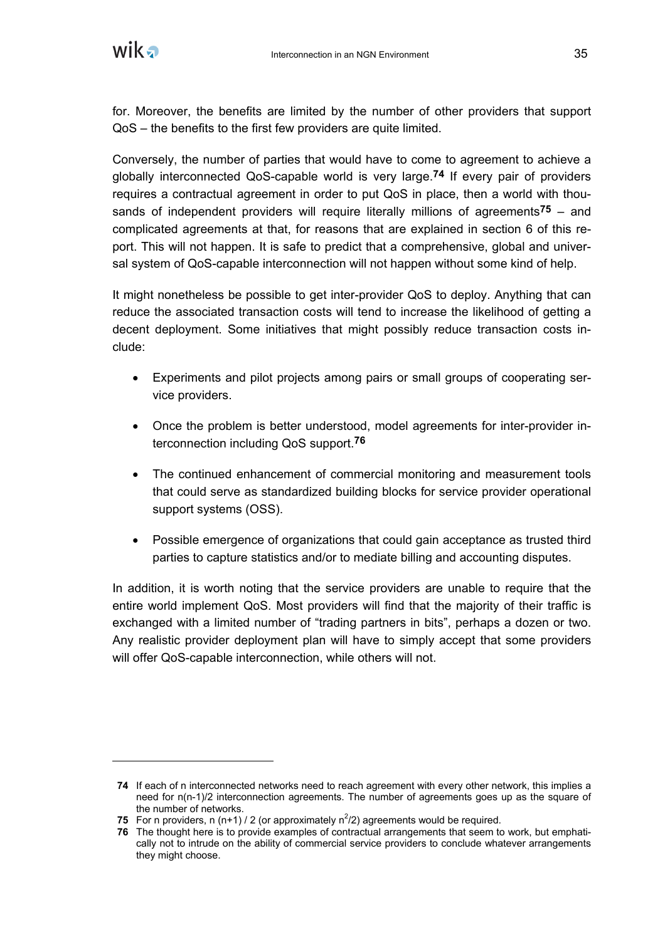

for. Moreover, the benefits are limited by the number of other providers that support QoS – the benefits to the first few providers are quite limited.

Conversely, the number of parties that would have to come to agreement to achieve a globally interconnected QoS-capable world is very large.**74** If every pair of providers requires a contractual agreement in order to put QoS in place, then a world with thousands of independent providers will require literally millions of agreements**75** – and complicated agreements at that, for reasons that are explained in section 6 of this report. This will not happen. It is safe to predict that a comprehensive, global and universal system of QoS-capable interconnection will not happen without some kind of help.

It might nonetheless be possible to get inter-provider QoS to deploy. Anything that can reduce the associated transaction costs will tend to increase the likelihood of getting a decent deployment. Some initiatives that might possibly reduce transaction costs include:

- Experiments and pilot projects among pairs or small groups of cooperating service providers.
- Once the problem is better understood, model agreements for inter-provider interconnection including QoS support.**76**
- The continued enhancement of commercial monitoring and measurement tools that could serve as standardized building blocks for service provider operational support systems (OSS).
- Possible emergence of organizations that could gain acceptance as trusted third parties to capture statistics and/or to mediate billing and accounting disputes.

In addition, it is worth noting that the service providers are unable to require that the entire world implement QoS. Most providers will find that the majority of their traffic is exchanged with a limited number of "trading partners in bits", perhaps a dozen or two. Any realistic provider deployment plan will have to simply accept that some providers will offer QoS-capable interconnection, while others will not.

**<sup>74</sup>** If each of n interconnected networks need to reach agreement with every other network, this implies a need for n(n-1)/2 interconnection agreements. The number of agreements goes up as the square of the number of networks.

**<sup>75</sup>** For n providers, n (n+1) / 2 (or approximately  $n^2/2$ ) agreements would be required.

**<sup>76</sup>** The thought here is to provide examples of contractual arrangements that seem to work, but emphatically not to intrude on the ability of commercial service providers to conclude whatever arrangements they might choose.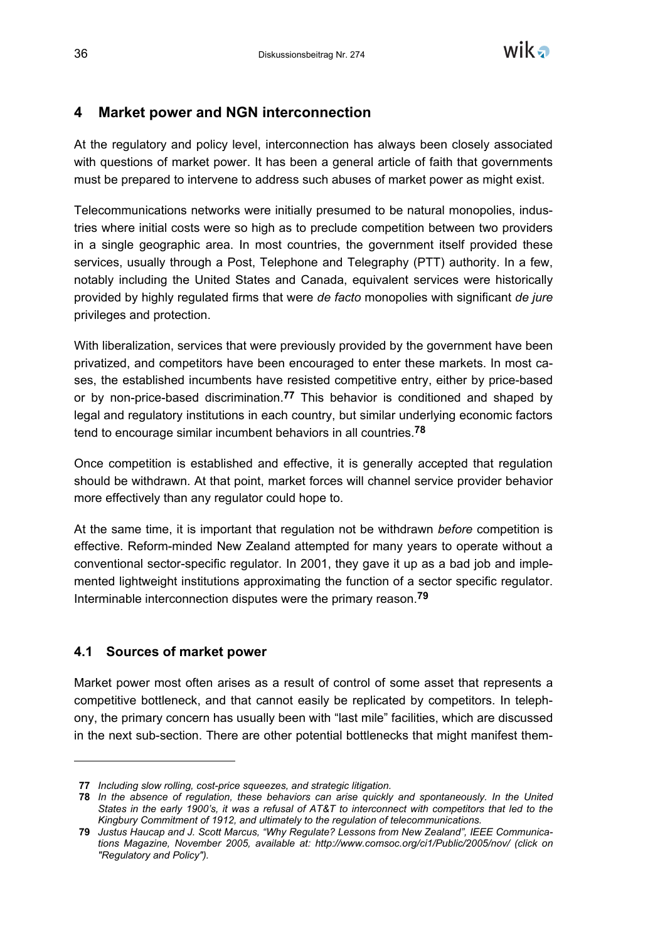

# **4 Market power and NGN interconnection**

At the regulatory and policy level, interconnection has always been closely associated with questions of market power. It has been a general article of faith that governments must be prepared to intervene to address such abuses of market power as might exist.

Telecommunications networks were initially presumed to be natural monopolies, industries where initial costs were so high as to preclude competition between two providers in a single geographic area. In most countries, the government itself provided these services, usually through a Post, Telephone and Telegraphy (PTT) authority. In a few, notably including the United States and Canada, equivalent services were historically provided by highly regulated firms that were *de facto* monopolies with significant *de jure* privileges and protection.

With liberalization, services that were previously provided by the government have been privatized, and competitors have been encouraged to enter these markets. In most cases, the established incumbents have resisted competitive entry, either by price-based or by non-price-based discrimination.**77** This behavior is conditioned and shaped by legal and regulatory institutions in each country, but similar underlying economic factors tend to encourage similar incumbent behaviors in all countries.**78**

Once competition is established and effective, it is generally accepted that regulation should be withdrawn. At that point, market forces will channel service provider behavior more effectively than any regulator could hope to.

At the same time, it is important that regulation not be withdrawn *before* competition is effective. Reform-minded New Zealand attempted for many years to operate without a conventional sector-specific regulator. In 2001, they gave it up as a bad job and implemented lightweight institutions approximating the function of a sector specific regulator. Interminable interconnection disputes were the primary reason.**79**

#### **4.1 Sources of market power**

-

Market power most often arises as a result of control of some asset that represents a competitive bottleneck, and that cannot easily be replicated by competitors. In telephony, the primary concern has usually been with "last mile" facilities, which are discussed in the next sub-section. There are other potential bottlenecks that might manifest them-

**<sup>77</sup>** *Including slow rolling, cost-price squeezes, and strategic litigation.*

**<sup>78</sup>** *In the absence of regulation, these behaviors can arise quickly and spontaneously. In the United States in the early 1900's, it was a refusal of AT&T to interconnect with competitors that led to the Kingbury Commitment of 1912, and ultimately to the regulation of telecommunications.*

**<sup>79</sup>** *Justus Haucap and J. Scott Marcus, "Why Regulate? Lessons from New Zealand", IEEE Communications Magazine, November 2005, available at: http://www.comsoc.org/ci1/Public/2005/nov/ (click on "Regulatory and Policy").*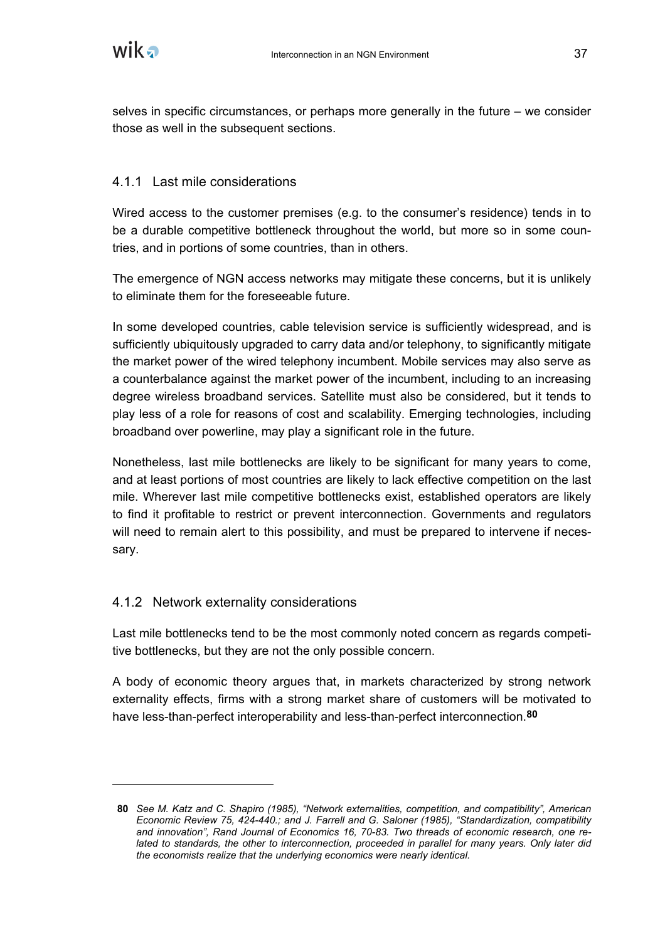selves in specific circumstances, or perhaps more generally in the future – we consider those as well in the subsequent sections.

## 4.1.1 Last mile considerations

Wired access to the customer premises (e.g. to the consumer's residence) tends in to be a durable competitive bottleneck throughout the world, but more so in some countries, and in portions of some countries, than in others.

The emergence of NGN access networks may mitigate these concerns, but it is unlikely to eliminate them for the foreseeable future.

In some developed countries, cable television service is sufficiently widespread, and is sufficiently ubiquitously upgraded to carry data and/or telephony, to significantly mitigate the market power of the wired telephony incumbent. Mobile services may also serve as a counterbalance against the market power of the incumbent, including to an increasing degree wireless broadband services. Satellite must also be considered, but it tends to play less of a role for reasons of cost and scalability. Emerging technologies, including broadband over powerline, may play a significant role in the future.

Nonetheless, last mile bottlenecks are likely to be significant for many years to come, and at least portions of most countries are likely to lack effective competition on the last mile. Wherever last mile competitive bottlenecks exist, established operators are likely to find it profitable to restrict or prevent interconnection. Governments and regulators will need to remain alert to this possibility, and must be prepared to intervene if necessary.

## 4.1.2 Network externality considerations

Last mile bottlenecks tend to be the most commonly noted concern as regards competitive bottlenecks, but they are not the only possible concern.

A body of economic theory argues that, in markets characterized by strong network externality effects, firms with a strong market share of customers will be motivated to have less-than-perfect interoperability and less-than-perfect interconnection.**80**

**<sup>80</sup>** *See M. Katz and C. Shapiro (1985), "Network externalities, competition, and compatibility", American Economic Review 75, 424-440.; and J. Farrell and G. Saloner (1985), "Standardization, compatibility and innovation", Rand Journal of Economics 16, 70-83. Two threads of economic research, one related to standards, the other to interconnection, proceeded in parallel for many years. Only later did the economists realize that the underlying economics were nearly identical.*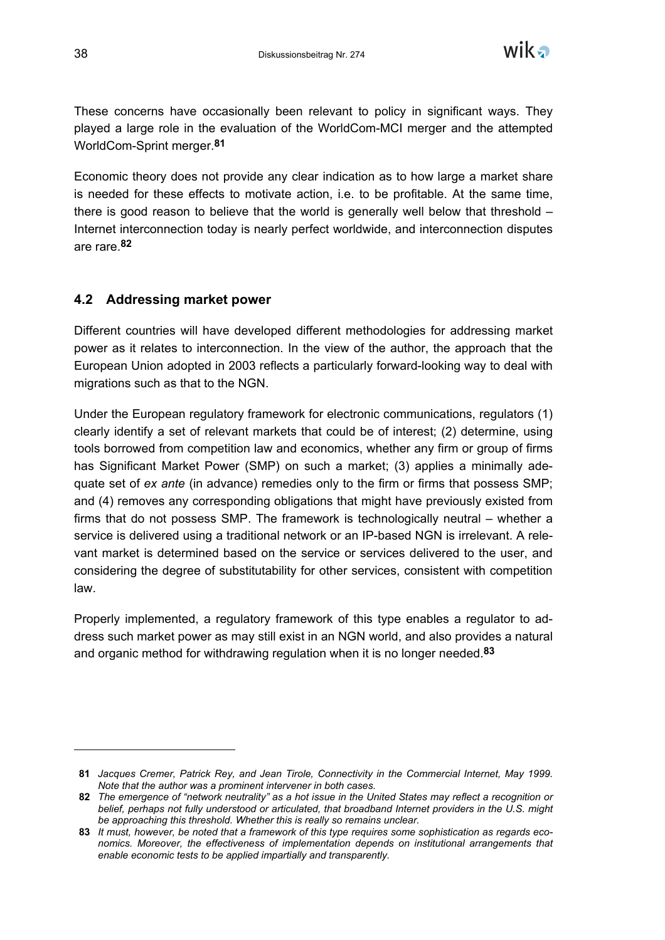

These concerns have occasionally been relevant to policy in significant ways. They played a large role in the evaluation of the WorldCom-MCI merger and the attempted WorldCom-Sprint merger.**81**

Economic theory does not provide any clear indication as to how large a market share is needed for these effects to motivate action, i.e. to be profitable. At the same time, there is good reason to believe that the world is generally well below that threshold – Internet interconnection today is nearly perfect worldwide, and interconnection disputes are rare.**82**

## **4.2 Addressing market power**

Different countries will have developed different methodologies for addressing market power as it relates to interconnection. In the view of the author, the approach that the European Union adopted in 2003 reflects a particularly forward-looking way to deal with migrations such as that to the NGN.

Under the European regulatory framework for electronic communications, regulators (1) clearly identify a set of relevant markets that could be of interest; (2) determine, using tools borrowed from competition law and economics, whether any firm or group of firms has Significant Market Power (SMP) on such a market; (3) applies a minimally adequate set of *ex ante* (in advance) remedies only to the firm or firms that possess SMP; and (4) removes any corresponding obligations that might have previously existed from firms that do not possess SMP. The framework is technologically neutral – whether a service is delivered using a traditional network or an IP-based NGN is irrelevant. A relevant market is determined based on the service or services delivered to the user, and considering the degree of substitutability for other services, consistent with competition law.

Properly implemented, a regulatory framework of this type enables a regulator to address such market power as may still exist in an NGN world, and also provides a natural and organic method for withdrawing regulation when it is no longer needed.**83**

-

**<sup>81</sup>** *Jacques Cremer, Patrick Rey, and Jean Tirole, Connectivity in the Commercial Internet, May 1999. Note that the author was a prominent intervener in both cases.*

**<sup>82</sup>** *The emergence of "network neutrality" as a hot issue in the United States may reflect a recognition or belief, perhaps not fully understood or articulated, that broadband Internet providers in the U.S. might be approaching this threshold. Whether this is really so remains unclear.*

**<sup>83</sup>** *It must, however, be noted that a framework of this type requires some sophistication as regards economics. Moreover, the effectiveness of implementation depends on institutional arrangements that enable economic tests to be applied impartially and transparently.*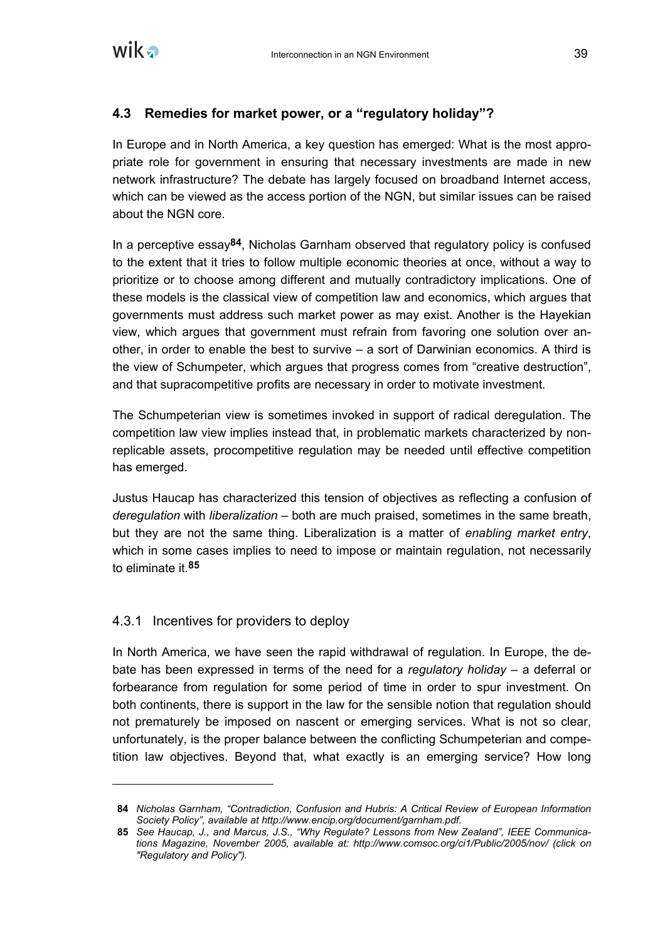

#### **4.3 Remedies for market power, or a "regulatory holiday"?**

In Europe and in North America, a key question has emerged: What is the most appropriate role for government in ensuring that necessary investments are made in new network infrastructure? The debate has largely focused on broadband Internet access, which can be viewed as the access portion of the NGN, but similar issues can be raised about the NGN core.

In a perceptive essay**84**, Nicholas Garnham observed that regulatory policy is confused to the extent that it tries to follow multiple economic theories at once, without a way to prioritize or to choose among different and mutually contradictory implications. One of these models is the classical view of competition law and economics, which argues that governments must address such market power as may exist. Another is the Hayekian view, which argues that government must refrain from favoring one solution over another, in order to enable the best to survive – a sort of Darwinian economics. A third is the view of Schumpeter, which argues that progress comes from "creative destruction", and that supracompetitive profits are necessary in order to motivate investment.

The Schumpeterian view is sometimes invoked in support of radical deregulation. The competition law view implies instead that, in problematic markets characterized by nonreplicable assets, procompetitive regulation may be needed until effective competition has emerged.

Justus Haucap has characterized this tension of objectives as reflecting a confusion of *deregulation* with *liberalization* – both are much praised, sometimes in the same breath, but they are not the same thing. Liberalization is a matter of *enabling market entry*, which in some cases implies to need to impose or maintain regulation, not necessarily to eliminate it.**85**

#### 4.3.1 Incentives for providers to deploy

In North America, we have seen the rapid withdrawal of regulation. In Europe, the debate has been expressed in terms of the need for a *regulatory holiday* – a deferral or forbearance from regulation for some period of time in order to spur investment. On both continents, there is support in the law for the sensible notion that regulation should not prematurely be imposed on nascent or emerging services. What is not so clear, unfortunately, is the proper balance between the conflicting Schumpeterian and competition law objectives. Beyond that, what exactly is an emerging service? How long

**<sup>84</sup>** *Nicholas Garnham, "Contradiction, Confusion and Hubris: A Critical Review of European Information Society Policy", available at http://www.encip.org/document/garnham.pdf.*

**<sup>85</sup>** *See Haucap, J., and Marcus, J.S., "Why Regulate? Lessons from New Zealand", IEEE Communications Magazine, November 2005, available at: http://www.comsoc.org/ci1/Public/2005/nov/ (click on "Regulatory and Policy").*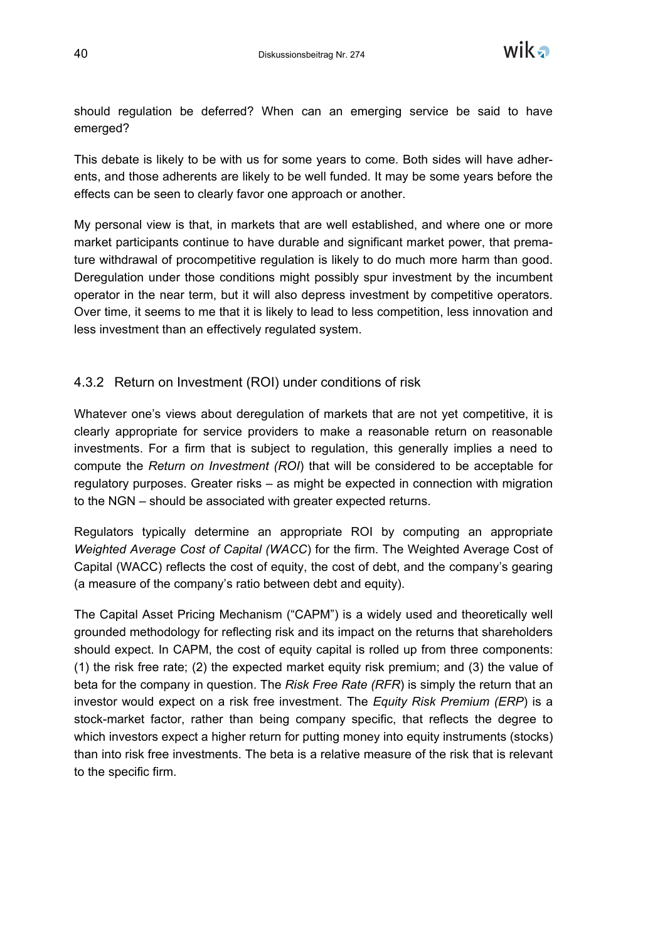

should regulation be deferred? When can an emerging service be said to have emerged?

This debate is likely to be with us for some years to come. Both sides will have adherents, and those adherents are likely to be well funded. It may be some years before the effects can be seen to clearly favor one approach or another.

My personal view is that, in markets that are well established, and where one or more market participants continue to have durable and significant market power, that premature withdrawal of procompetitive regulation is likely to do much more harm than good. Deregulation under those conditions might possibly spur investment by the incumbent operator in the near term, but it will also depress investment by competitive operators. Over time, it seems to me that it is likely to lead to less competition, less innovation and less investment than an effectively regulated system.

#### 4.3.2 Return on Investment (ROI) under conditions of risk

Whatever one's views about deregulation of markets that are not yet competitive, it is clearly appropriate for service providers to make a reasonable return on reasonable investments. For a firm that is subject to regulation, this generally implies a need to compute the *Return on Investment (ROI*) that will be considered to be acceptable for regulatory purposes. Greater risks – as might be expected in connection with migration to the NGN – should be associated with greater expected returns.

Regulators typically determine an appropriate ROI by computing an appropriate *Weighted Average Cost of Capital (WACC*) for the firm. The Weighted Average Cost of Capital (WACC) reflects the cost of equity, the cost of debt, and the company's gearing (a measure of the company's ratio between debt and equity).

The Capital Asset Pricing Mechanism ("CAPM") is a widely used and theoretically well grounded methodology for reflecting risk and its impact on the returns that shareholders should expect. In CAPM, the cost of equity capital is rolled up from three components: (1) the risk free rate; (2) the expected market equity risk premium; and (3) the value of beta for the company in question. The *Risk Free Rate (RFR*) is simply the return that an investor would expect on a risk free investment. The *Equity Risk Premium (ERP*) is a stock-market factor, rather than being company specific, that reflects the degree to which investors expect a higher return for putting money into equity instruments (stocks) than into risk free investments. The beta is a relative measure of the risk that is relevant to the specific firm.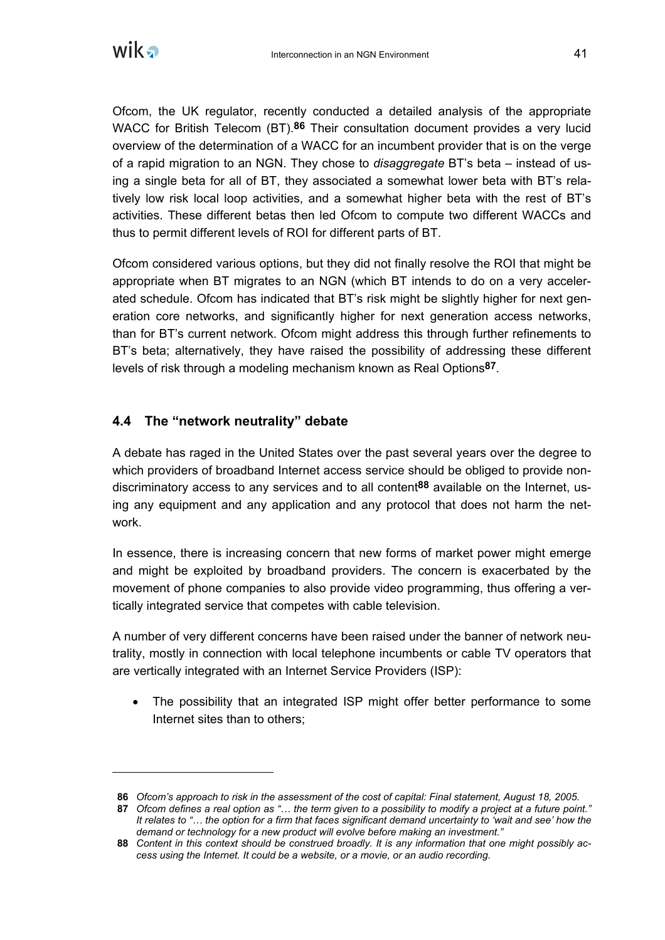

Ofcom, the UK regulator, recently conducted a detailed analysis of the appropriate WACC for British Telecom (BT).**86** Their consultation document provides a very lucid overview of the determination of a WACC for an incumbent provider that is on the verge of a rapid migration to an NGN. They chose to *disaggregate* BT's beta – instead of using a single beta for all of BT, they associated a somewhat lower beta with BT's relatively low risk local loop activities, and a somewhat higher beta with the rest of BT's activities. These different betas then led Ofcom to compute two different WACCs and thus to permit different levels of ROI for different parts of BT.

Ofcom considered various options, but they did not finally resolve the ROI that might be appropriate when BT migrates to an NGN (which BT intends to do on a very accelerated schedule. Ofcom has indicated that BT's risk might be slightly higher for next generation core networks, and significantly higher for next generation access networks, than for BT's current network. Ofcom might address this through further refinements to BT's beta; alternatively, they have raised the possibility of addressing these different levels of risk through a modeling mechanism known as Real Options**87**.

#### **4.4 The "network neutrality" debate**

A debate has raged in the United States over the past several years over the degree to which providers of broadband Internet access service should be obliged to provide nondiscriminatory access to any services and to all content**88** available on the Internet, using any equipment and any application and any protocol that does not harm the network.

In essence, there is increasing concern that new forms of market power might emerge and might be exploited by broadband providers. The concern is exacerbated by the movement of phone companies to also provide video programming, thus offering a vertically integrated service that competes with cable television.

A number of very different concerns have been raised under the banner of network neutrality, mostly in connection with local telephone incumbents or cable TV operators that are vertically integrated with an Internet Service Providers (ISP):

• The possibility that an integrated ISP might offer better performance to some Internet sites than to others;

**<sup>86</sup>** *Ofcom's approach to risk in the assessment of the cost of capital: Final statement, August 18, 2005.*

**<sup>87</sup>** *Ofcom defines a real option as "… the term given to a possibility to modify a project at a future point." It relates to "… the option for a firm that faces significant demand uncertainty to 'wait and see' how the demand or technology for a new product will evolve before making an investment."*

**<sup>88</sup>** *Content in this context should be construed broadly. It is any information that one might possibly access using the Internet. It could be a website, or a movie, or an audio recording.*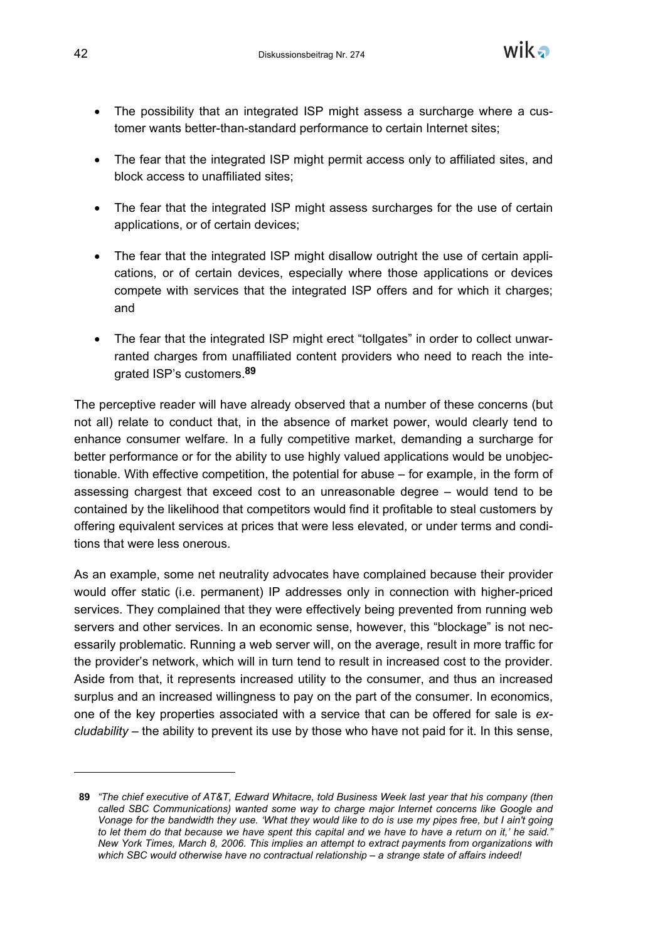

- The possibility that an integrated ISP might assess a surcharge where a customer wants better-than-standard performance to certain Internet sites;
- The fear that the integrated ISP might permit access only to affiliated sites, and block access to unaffiliated sites;
- The fear that the integrated ISP might assess surcharges for the use of certain applications, or of certain devices;
- The fear that the integrated ISP might disallow outright the use of certain applications, or of certain devices, especially where those applications or devices compete with services that the integrated ISP offers and for which it charges; and
- The fear that the integrated ISP might erect "tollgates" in order to collect unwarranted charges from unaffiliated content providers who need to reach the integrated ISP's customers.**89**

The perceptive reader will have already observed that a number of these concerns (but not all) relate to conduct that, in the absence of market power, would clearly tend to enhance consumer welfare. In a fully competitive market, demanding a surcharge for better performance or for the ability to use highly valued applications would be unobjectionable. With effective competition, the potential for abuse – for example, in the form of assessing chargest that exceed cost to an unreasonable degree – would tend to be contained by the likelihood that competitors would find it profitable to steal customers by offering equivalent services at prices that were less elevated, or under terms and conditions that were less onerous.

As an example, some net neutrality advocates have complained because their provider would offer static (i.e. permanent) IP addresses only in connection with higher-priced services. They complained that they were effectively being prevented from running web servers and other services. In an economic sense, however, this "blockage" is not necessarily problematic. Running a web server will, on the average, result in more traffic for the provider's network, which will in turn tend to result in increased cost to the provider. Aside from that, it represents increased utility to the consumer, and thus an increased surplus and an increased willingness to pay on the part of the consumer. In economics, one of the key properties associated with a service that can be offered for sale is *excludability* – the ability to prevent its use by those who have not paid for it. In this sense,

-

**<sup>89</sup>** *"The chief executive of AT&T, Edward Whitacre, told Business Week last year that his company (then called SBC Communications) wanted some way to charge major Internet concerns like Google and Vonage for the bandwidth they use. 'What they would like to do is use my pipes free, but I ain't going to let them do that because we have spent this capital and we have to have a return on it,' he said." New York Times, March 8, 2006. This implies an attempt to extract payments from organizations with which SBC would otherwise have no contractual relationship – a strange state of affairs indeed!*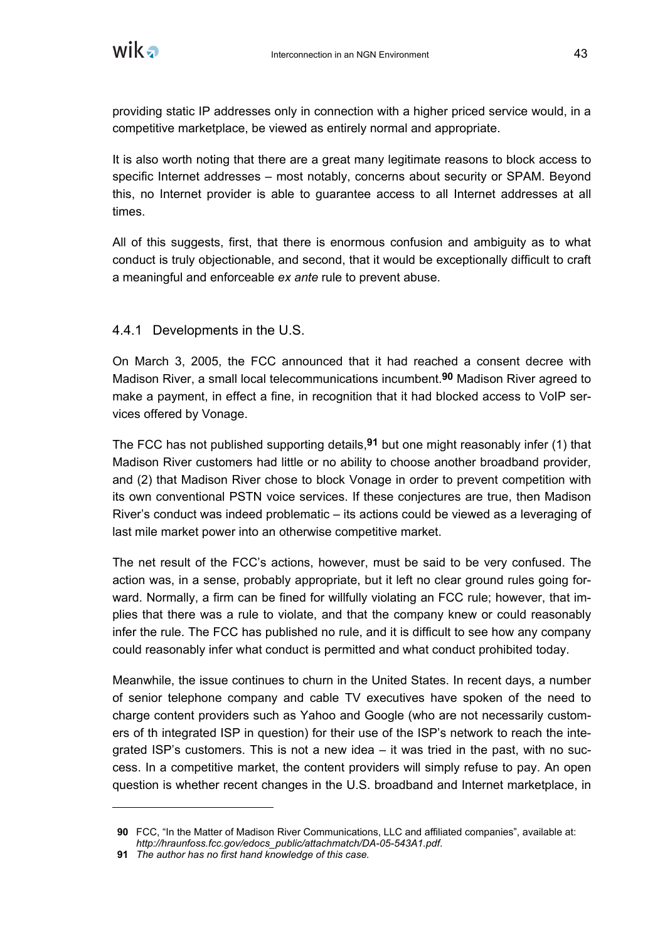

providing static IP addresses only in connection with a higher priced service would, in a competitive marketplace, be viewed as entirely normal and appropriate.

It is also worth noting that there are a great many legitimate reasons to block access to specific Internet addresses – most notably, concerns about security or SPAM. Beyond this, no Internet provider is able to guarantee access to all Internet addresses at all times.

All of this suggests, first, that there is enormous confusion and ambiguity as to what conduct is truly objectionable, and second, that it would be exceptionally difficult to craft a meaningful and enforceable *ex ante* rule to prevent abuse.

#### 4.4.1 Developments in the U.S.

On March 3, 2005, the FCC announced that it had reached a consent decree with Madison River, a small local telecommunications incumbent.**90** Madison River agreed to make a payment, in effect a fine, in recognition that it had blocked access to VoIP services offered by Vonage.

The FCC has not published supporting details,**91** but one might reasonably infer (1) that Madison River customers had little or no ability to choose another broadband provider, and (2) that Madison River chose to block Vonage in order to prevent competition with its own conventional PSTN voice services. If these conjectures are true, then Madison River's conduct was indeed problematic – its actions could be viewed as a leveraging of last mile market power into an otherwise competitive market.

The net result of the FCC's actions, however, must be said to be very confused. The action was, in a sense, probably appropriate, but it left no clear ground rules going forward. Normally, a firm can be fined for willfully violating an FCC rule; however, that implies that there was a rule to violate, and that the company knew or could reasonably infer the rule. The FCC has published no rule, and it is difficult to see how any company could reasonably infer what conduct is permitted and what conduct prohibited today.

Meanwhile, the issue continues to churn in the United States. In recent days, a number of senior telephone company and cable TV executives have spoken of the need to charge content providers such as Yahoo and Google (who are not necessarily customers of th integrated ISP in question) for their use of the ISP's network to reach the integrated ISP's customers. This is not a new idea – it was tried in the past, with no success. In a competitive market, the content providers will simply refuse to pay. An open question is whether recent changes in the U.S. broadband and Internet marketplace, in

**<sup>90</sup>** FCC, "In the Matter of Madison River Communications, LLC and affiliated companies", available at: *http://hraunfoss.fcc.gov/edocs\_public/attachmatch/DA-05-543A1.pdf*.

**<sup>91</sup>** *The author has no first hand knowledge of this case.*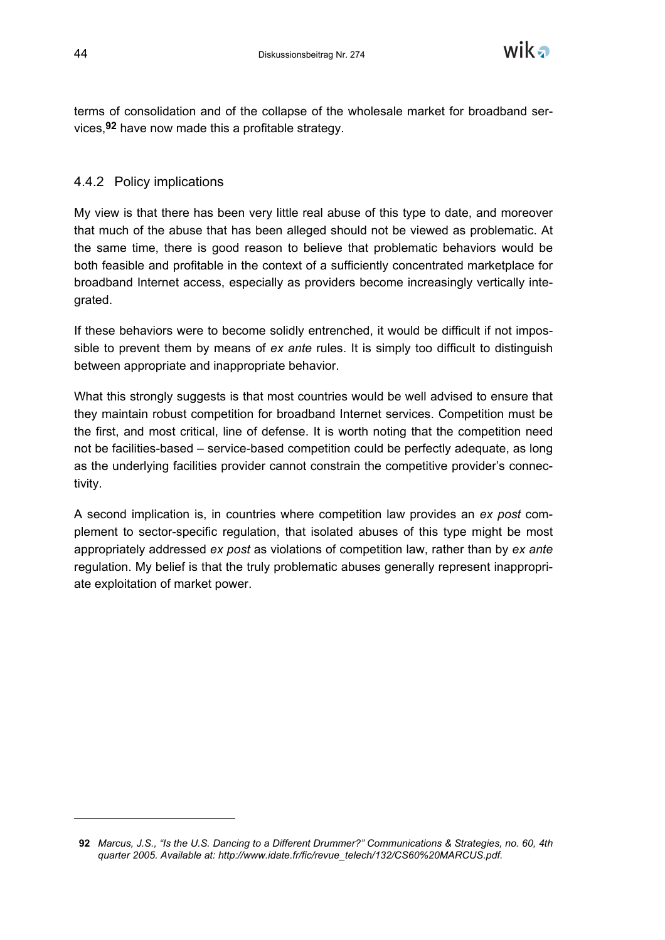

terms of consolidation and of the collapse of the wholesale market for broadband services,**92** have now made this a profitable strategy.

#### 4.4.2 Policy implications

My view is that there has been very little real abuse of this type to date, and moreover that much of the abuse that has been alleged should not be viewed as problematic. At the same time, there is good reason to believe that problematic behaviors would be both feasible and profitable in the context of a sufficiently concentrated marketplace for broadband Internet access, especially as providers become increasingly vertically integrated.

If these behaviors were to become solidly entrenched, it would be difficult if not impossible to prevent them by means of *ex ante* rules. It is simply too difficult to distinguish between appropriate and inappropriate behavior.

What this strongly suggests is that most countries would be well advised to ensure that they maintain robust competition for broadband Internet services. Competition must be the first, and most critical, line of defense. It is worth noting that the competition need not be facilities-based – service-based competition could be perfectly adequate, as long as the underlying facilities provider cannot constrain the competitive provider's connectivity.

A second implication is, in countries where competition law provides an *ex post* complement to sector-specific regulation, that isolated abuses of this type might be most appropriately addressed *ex post* as violations of competition law, rather than by *ex ante* regulation. My belief is that the truly problematic abuses generally represent inappropriate exploitation of market power.

**<sup>92</sup>** *Marcus, J.S., "Is the U.S. Dancing to a Different Drummer?" Communications & Strategies, no. 60, 4th quarter 2005. Available at: http://www.idate.fr/fic/revue\_telech/132/CS60%20MARCUS.pdf.*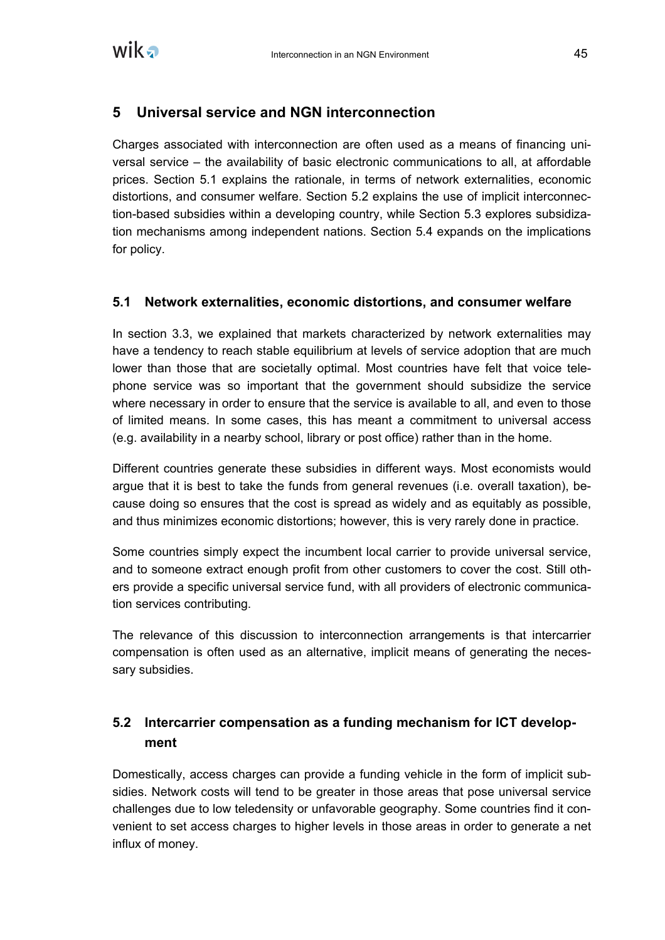

# **5 Universal service and NGN interconnection**

Charges associated with interconnection are often used as a means of financing universal service – the availability of basic electronic communications to all, at affordable prices. Section 5.1 explains the rationale, in terms of network externalities, economic distortions, and consumer welfare. Section 5.2 explains the use of implicit interconnection-based subsidies within a developing country, while Section 5.3 explores subsidization mechanisms among independent nations. Section 5.4 expands on the implications for policy.

#### **5.1 Network externalities, economic distortions, and consumer welfare**

In section 3.3, we explained that markets characterized by network externalities may have a tendency to reach stable equilibrium at levels of service adoption that are much lower than those that are societally optimal. Most countries have felt that voice telephone service was so important that the government should subsidize the service where necessary in order to ensure that the service is available to all, and even to those of limited means. In some cases, this has meant a commitment to universal access (e.g. availability in a nearby school, library or post office) rather than in the home.

Different countries generate these subsidies in different ways. Most economists would argue that it is best to take the funds from general revenues (i.e. overall taxation), because doing so ensures that the cost is spread as widely and as equitably as possible, and thus minimizes economic distortions; however, this is very rarely done in practice.

Some countries simply expect the incumbent local carrier to provide universal service, and to someone extract enough profit from other customers to cover the cost. Still others provide a specific universal service fund, with all providers of electronic communication services contributing.

The relevance of this discussion to interconnection arrangements is that intercarrier compensation is often used as an alternative, implicit means of generating the necessary subsidies.

# **5.2 Intercarrier compensation as a funding mechanism for ICT development**

Domestically, access charges can provide a funding vehicle in the form of implicit subsidies. Network costs will tend to be greater in those areas that pose universal service challenges due to low teledensity or unfavorable geography. Some countries find it convenient to set access charges to higher levels in those areas in order to generate a net influx of money.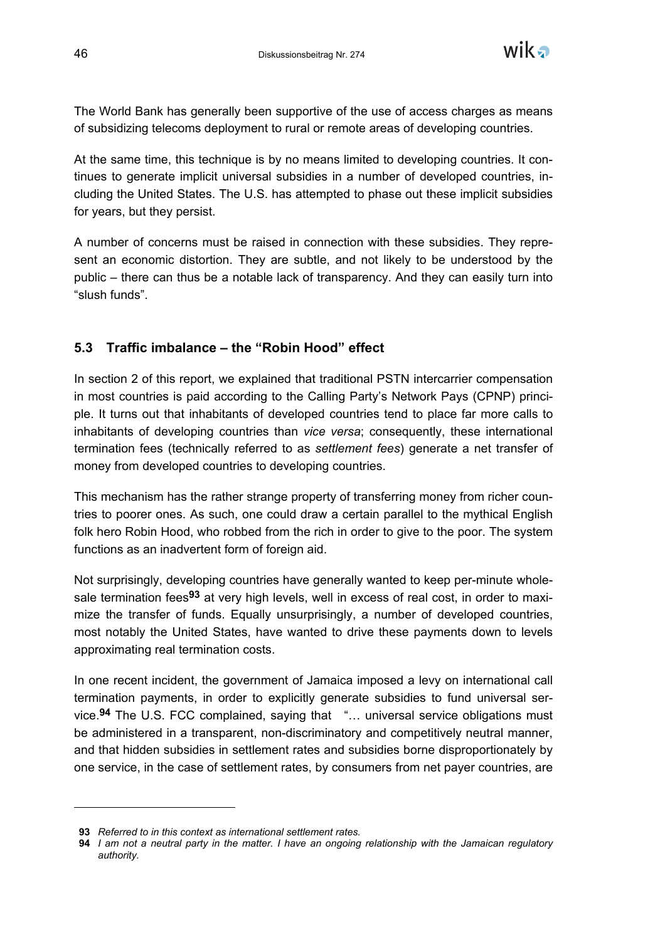

The World Bank has generally been supportive of the use of access charges as means of subsidizing telecoms deployment to rural or remote areas of developing countries.

At the same time, this technique is by no means limited to developing countries. It continues to generate implicit universal subsidies in a number of developed countries, including the United States. The U.S. has attempted to phase out these implicit subsidies for years, but they persist.

A number of concerns must be raised in connection with these subsidies. They represent an economic distortion. They are subtle, and not likely to be understood by the public – there can thus be a notable lack of transparency. And they can easily turn into "slush funds".

## **5.3 Traffic imbalance – the "Robin Hood" effect**

In section 2 of this report, we explained that traditional PSTN intercarrier compensation in most countries is paid according to the Calling Party's Network Pays (CPNP) principle. It turns out that inhabitants of developed countries tend to place far more calls to inhabitants of developing countries than *vice versa*; consequently, these international termination fees (technically referred to as *settlement fees*) generate a net transfer of money from developed countries to developing countries.

This mechanism has the rather strange property of transferring money from richer countries to poorer ones. As such, one could draw a certain parallel to the mythical English folk hero Robin Hood, who robbed from the rich in order to give to the poor. The system functions as an inadvertent form of foreign aid.

Not surprisingly, developing countries have generally wanted to keep per-minute wholesale termination fees**93** at very high levels, well in excess of real cost, in order to maximize the transfer of funds. Equally unsurprisingly, a number of developed countries, most notably the United States, have wanted to drive these payments down to levels approximating real termination costs.

In one recent incident, the government of Jamaica imposed a levy on international call termination payments, in order to explicitly generate subsidies to fund universal service.**94** The U.S. FCC complained, saying that "… universal service obligations must be administered in a transparent, non-discriminatory and competitively neutral manner, and that hidden subsidies in settlement rates and subsidies borne disproportionately by one service, in the case of settlement rates, by consumers from net payer countries, are

-

**<sup>93</sup>** *Referred to in this context as international settlement rates.*

**<sup>94</sup>** *I am not a neutral party in the matter. I have an ongoing relationship with the Jamaican regulatory authority.*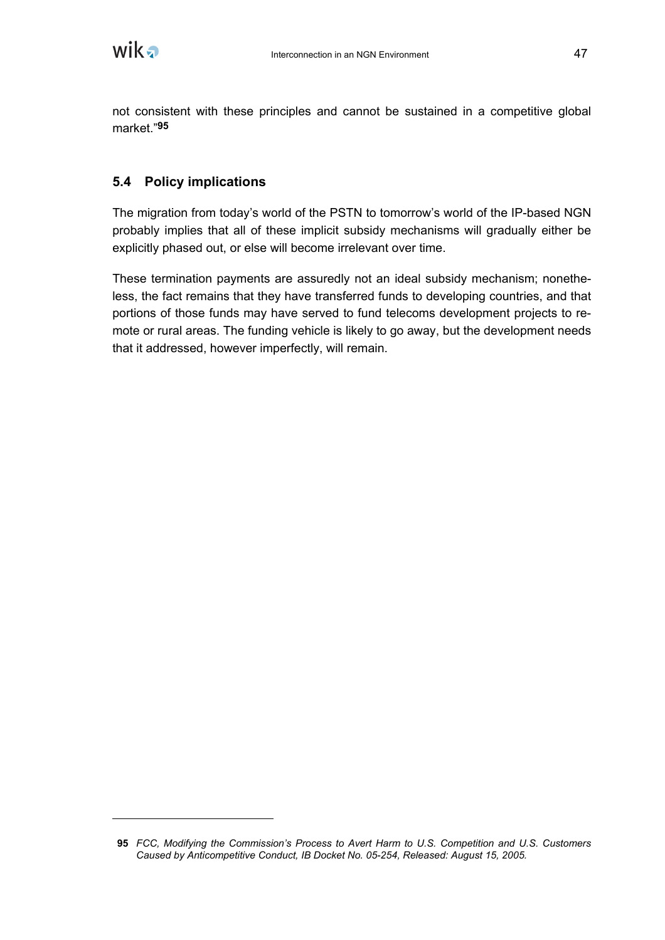not consistent with these principles and cannot be sustained in a competitive global market."**95**

# **5.4 Policy implications**

The migration from today's world of the PSTN to tomorrow's world of the IP-based NGN probably implies that all of these implicit subsidy mechanisms will gradually either be explicitly phased out, or else will become irrelevant over time.

These termination payments are assuredly not an ideal subsidy mechanism; nonetheless, the fact remains that they have transferred funds to developing countries, and that portions of those funds may have served to fund telecoms development projects to remote or rural areas. The funding vehicle is likely to go away, but the development needs that it addressed, however imperfectly, will remain.

**<sup>95</sup>** *FCC, Modifying the Commission's Process to Avert Harm to U.S. Competition and U.S. Customers Caused by Anticompetitive Conduct, IB Docket No. 05-254, Released: August 15, 2005.*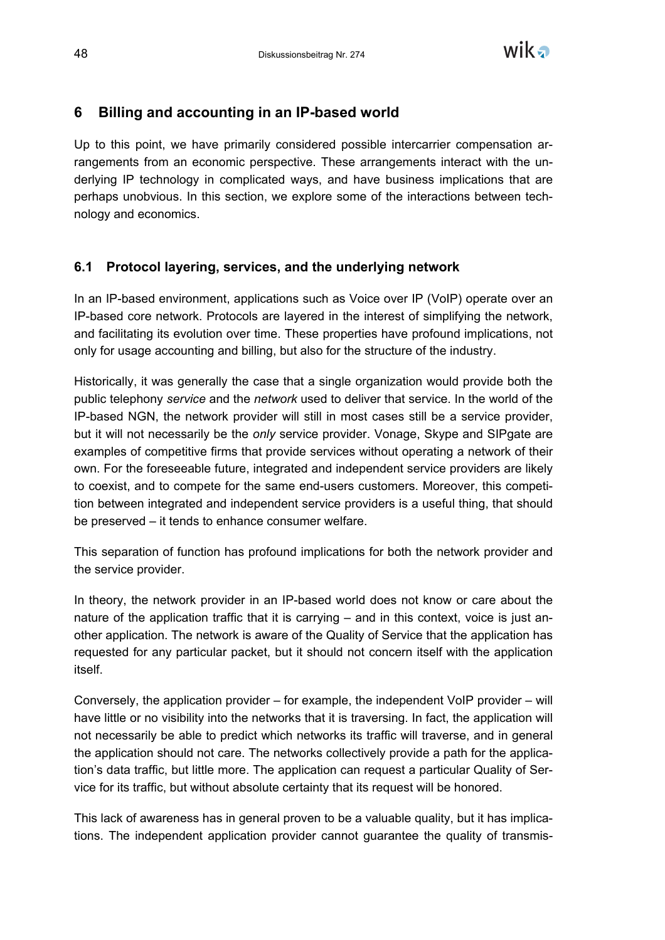

# **6 Billing and accounting in an IP-based world**

Up to this point, we have primarily considered possible intercarrier compensation arrangements from an economic perspective. These arrangements interact with the underlying IP technology in complicated ways, and have business implications that are perhaps unobvious. In this section, we explore some of the interactions between technology and economics.

## **6.1 Protocol layering, services, and the underlying network**

In an IP-based environment, applications such as Voice over IP (VoIP) operate over an IP-based core network. Protocols are layered in the interest of simplifying the network, and facilitating its evolution over time. These properties have profound implications, not only for usage accounting and billing, but also for the structure of the industry.

Historically, it was generally the case that a single organization would provide both the public telephony *service* and the *network* used to deliver that service. In the world of the IP-based NGN, the network provider will still in most cases still be a service provider, but it will not necessarily be the *only* service provider. Vonage, Skype and SIPgate are examples of competitive firms that provide services without operating a network of their own. For the foreseeable future, integrated and independent service providers are likely to coexist, and to compete for the same end-users customers. Moreover, this competition between integrated and independent service providers is a useful thing, that should be preserved – it tends to enhance consumer welfare.

This separation of function has profound implications for both the network provider and the service provider.

In theory, the network provider in an IP-based world does not know or care about the nature of the application traffic that it is carrying – and in this context, voice is just another application. The network is aware of the Quality of Service that the application has requested for any particular packet, but it should not concern itself with the application itself.

Conversely, the application provider – for example, the independent VoIP provider – will have little or no visibility into the networks that it is traversing. In fact, the application will not necessarily be able to predict which networks its traffic will traverse, and in general the application should not care. The networks collectively provide a path for the application's data traffic, but little more. The application can request a particular Quality of Service for its traffic, but without absolute certainty that its request will be honored.

This lack of awareness has in general proven to be a valuable quality, but it has implications. The independent application provider cannot guarantee the quality of transmis-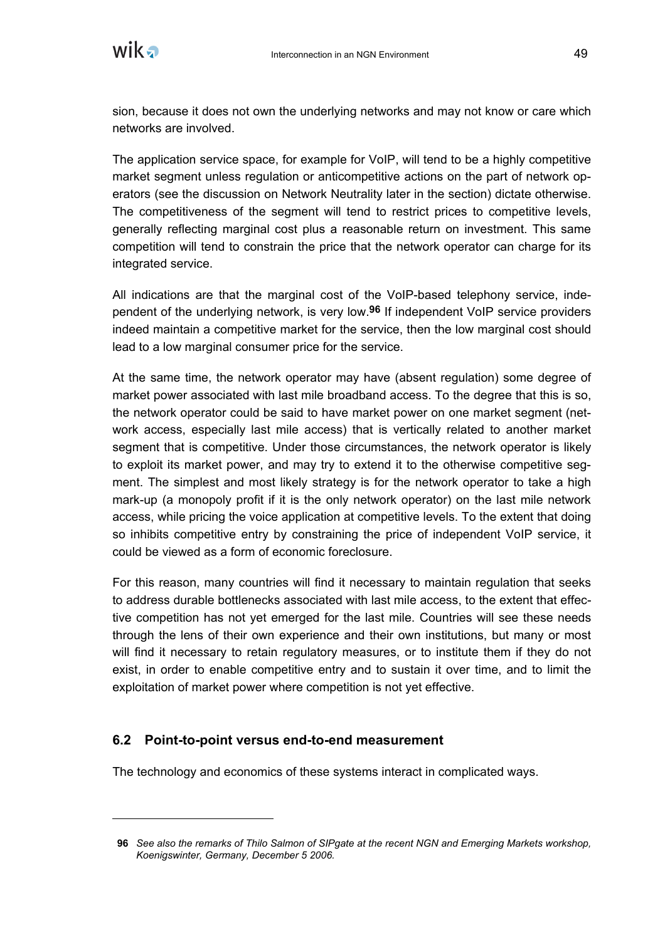

sion, because it does not own the underlying networks and may not know or care which networks are involved.

The application service space, for example for VoIP, will tend to be a highly competitive market segment unless regulation or anticompetitive actions on the part of network operators (see the discussion on Network Neutrality later in the section) dictate otherwise. The competitiveness of the segment will tend to restrict prices to competitive levels, generally reflecting marginal cost plus a reasonable return on investment. This same competition will tend to constrain the price that the network operator can charge for its integrated service.

All indications are that the marginal cost of the VoIP-based telephony service, independent of the underlying network, is very low.**96** If independent VoIP service providers indeed maintain a competitive market for the service, then the low marginal cost should lead to a low marginal consumer price for the service.

At the same time, the network operator may have (absent regulation) some degree of market power associated with last mile broadband access. To the degree that this is so, the network operator could be said to have market power on one market segment (network access, especially last mile access) that is vertically related to another market segment that is competitive. Under those circumstances, the network operator is likely to exploit its market power, and may try to extend it to the otherwise competitive segment. The simplest and most likely strategy is for the network operator to take a high mark-up (a monopoly profit if it is the only network operator) on the last mile network access, while pricing the voice application at competitive levels. To the extent that doing so inhibits competitive entry by constraining the price of independent VoIP service, it could be viewed as a form of economic foreclosure.

For this reason, many countries will find it necessary to maintain regulation that seeks to address durable bottlenecks associated with last mile access, to the extent that effective competition has not yet emerged for the last mile. Countries will see these needs through the lens of their own experience and their own institutions, but many or most will find it necessary to retain regulatory measures, or to institute them if they do not exist, in order to enable competitive entry and to sustain it over time, and to limit the exploitation of market power where competition is not yet effective.

#### **6.2 Point-to-point versus end-to-end measurement**

The technology and economics of these systems interact in complicated ways.

**<sup>96</sup>** *See also the remarks of Thilo Salmon of SIPgate at the recent NGN and Emerging Markets workshop, Koenigswinter, Germany, December 5 2006.*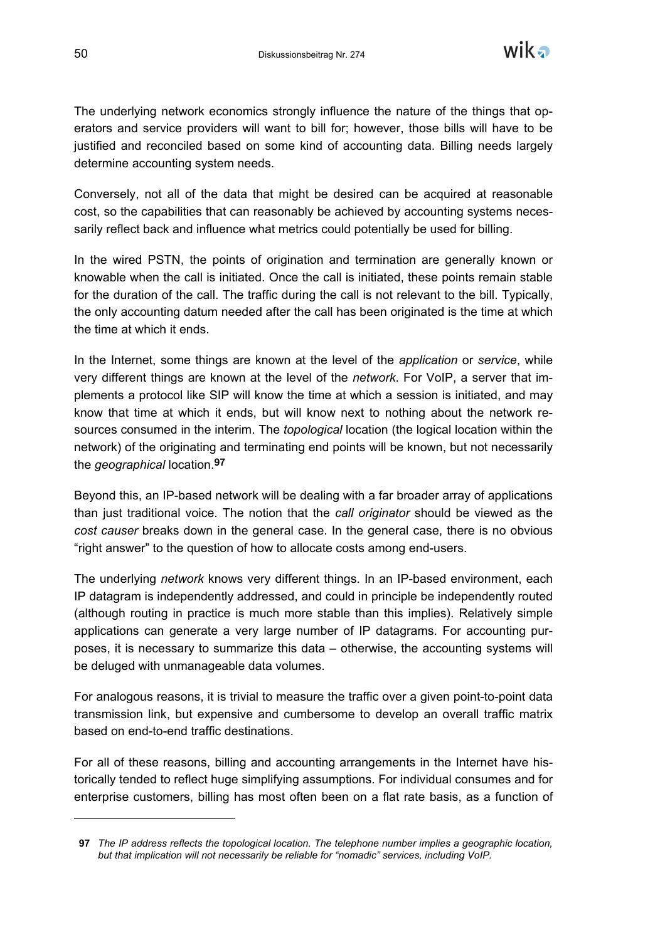

The underlying network economics strongly influence the nature of the things that operators and service providers will want to bill for; however, those bills will have to be justified and reconciled based on some kind of accounting data. Billing needs largely determine accounting system needs.

Conversely, not all of the data that might be desired can be acquired at reasonable cost, so the capabilities that can reasonably be achieved by accounting systems necessarily reflect back and influence what metrics could potentially be used for billing.

In the wired PSTN, the points of origination and termination are generally known or knowable when the call is initiated. Once the call is initiated, these points remain stable for the duration of the call. The traffic during the call is not relevant to the bill. Typically, the only accounting datum needed after the call has been originated is the time at which the time at which it ends.

In the Internet, some things are known at the level of the *application* or *service*, while very different things are known at the level of the *network*. For VoIP, a server that implements a protocol like SIP will know the time at which a session is initiated, and may know that time at which it ends, but will know next to nothing about the network resources consumed in the interim. The *topological* location (the logical location within the network) of the originating and terminating end points will be known, but not necessarily the *geographical* location.**97**

Beyond this, an IP-based network will be dealing with a far broader array of applications than just traditional voice. The notion that the *call originator* should be viewed as the *cost causer* breaks down in the general case. In the general case, there is no obvious "right answer" to the question of how to allocate costs among end-users.

The underlying *network* knows very different things. In an IP-based environment, each IP datagram is independently addressed, and could in principle be independently routed (although routing in practice is much more stable than this implies). Relatively simple applications can generate a very large number of IP datagrams. For accounting purposes, it is necessary to summarize this data – otherwise, the accounting systems will be deluged with unmanageable data volumes.

For analogous reasons, it is trivial to measure the traffic over a given point-to-point data transmission link, but expensive and cumbersome to develop an overall traffic matrix based on end-to-end traffic destinations.

For all of these reasons, billing and accounting arrangements in the Internet have historically tended to reflect huge simplifying assumptions. For individual consumes and for enterprise customers, billing has most often been on a flat rate basis, as a function of

**<sup>97</sup>** *The IP address reflects the topological location. The telephone number implies a geographic location, but that implication will not necessarily be reliable for "nomadic" services, including VoIP.*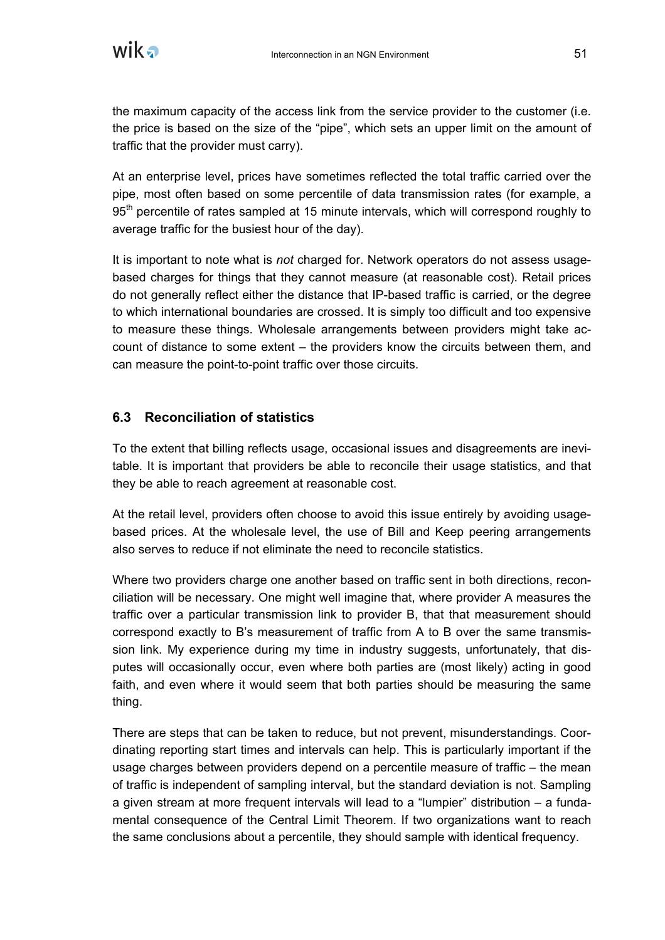

the maximum capacity of the access link from the service provider to the customer (i.e. the price is based on the size of the "pipe", which sets an upper limit on the amount of traffic that the provider must carry).

At an enterprise level, prices have sometimes reflected the total traffic carried over the pipe, most often based on some percentile of data transmission rates (for example, a 95<sup>th</sup> percentile of rates sampled at 15 minute intervals, which will correspond roughly to average traffic for the busiest hour of the day).

It is important to note what is *not* charged for. Network operators do not assess usagebased charges for things that they cannot measure (at reasonable cost). Retail prices do not generally reflect either the distance that IP-based traffic is carried, or the degree to which international boundaries are crossed. It is simply too difficult and too expensive to measure these things. Wholesale arrangements between providers might take account of distance to some extent – the providers know the circuits between them, and can measure the point-to-point traffic over those circuits.

#### **6.3 Reconciliation of statistics**

To the extent that billing reflects usage, occasional issues and disagreements are inevitable. It is important that providers be able to reconcile their usage statistics, and that they be able to reach agreement at reasonable cost.

At the retail level, providers often choose to avoid this issue entirely by avoiding usagebased prices. At the wholesale level, the use of Bill and Keep peering arrangements also serves to reduce if not eliminate the need to reconcile statistics.

Where two providers charge one another based on traffic sent in both directions, reconciliation will be necessary. One might well imagine that, where provider A measures the traffic over a particular transmission link to provider B, that that measurement should correspond exactly to B's measurement of traffic from A to B over the same transmission link. My experience during my time in industry suggests, unfortunately, that disputes will occasionally occur, even where both parties are (most likely) acting in good faith, and even where it would seem that both parties should be measuring the same thing.

There are steps that can be taken to reduce, but not prevent, misunderstandings. Coordinating reporting start times and intervals can help. This is particularly important if the usage charges between providers depend on a percentile measure of traffic – the mean of traffic is independent of sampling interval, but the standard deviation is not. Sampling a given stream at more frequent intervals will lead to a "lumpier" distribution – a fundamental consequence of the Central Limit Theorem. If two organizations want to reach the same conclusions about a percentile, they should sample with identical frequency.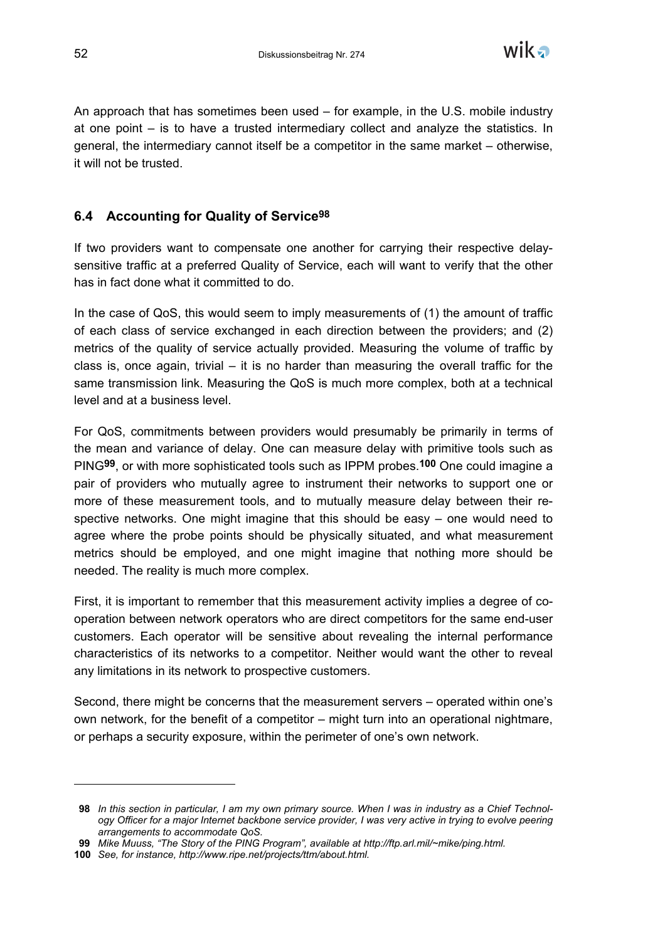

An approach that has sometimes been used – for example, in the U.S. mobile industry at one point – is to have a trusted intermediary collect and analyze the statistics. In general, the intermediary cannot itself be a competitor in the same market – otherwise, it will not be trusted.

### **6.4 Accounting for Quality of Service98**

If two providers want to compensate one another for carrying their respective delaysensitive traffic at a preferred Quality of Service, each will want to verify that the other has in fact done what it committed to do.

In the case of QoS, this would seem to imply measurements of (1) the amount of traffic of each class of service exchanged in each direction between the providers; and (2) metrics of the quality of service actually provided. Measuring the volume of traffic by class is, once again, trivial  $-$  it is no harder than measuring the overall traffic for the same transmission link. Measuring the QoS is much more complex, both at a technical level and at a business level.

For QoS, commitments between providers would presumably be primarily in terms of the mean and variance of delay. One can measure delay with primitive tools such as PING**99**, or with more sophisticated tools such as IPPM probes.**100** One could imagine a pair of providers who mutually agree to instrument their networks to support one or more of these measurement tools, and to mutually measure delay between their respective networks. One might imagine that this should be easy – one would need to agree where the probe points should be physically situated, and what measurement metrics should be employed, and one might imagine that nothing more should be needed. The reality is much more complex.

First, it is important to remember that this measurement activity implies a degree of cooperation between network operators who are direct competitors for the same end-user customers. Each operator will be sensitive about revealing the internal performance characteristics of its networks to a competitor. Neither would want the other to reveal any limitations in its network to prospective customers.

Second, there might be concerns that the measurement servers – operated within one's own network, for the benefit of a competitor – might turn into an operational nightmare, or perhaps a security exposure, within the perimeter of one's own network.

**<sup>98</sup>** *In this section in particular, I am my own primary source. When I was in industry as a Chief Technology Officer for a major Internet backbone service provider, I was very active in trying to evolve peering arrangements to accommodate QoS.*

**<sup>99</sup>** *Mike Muuss, "The Story of the PING Program", available at http://ftp.arl.mil/~mike/ping.html.*

**<sup>100</sup>** *See, for instance, http://www.ripe.net/projects/ttm/about.html.*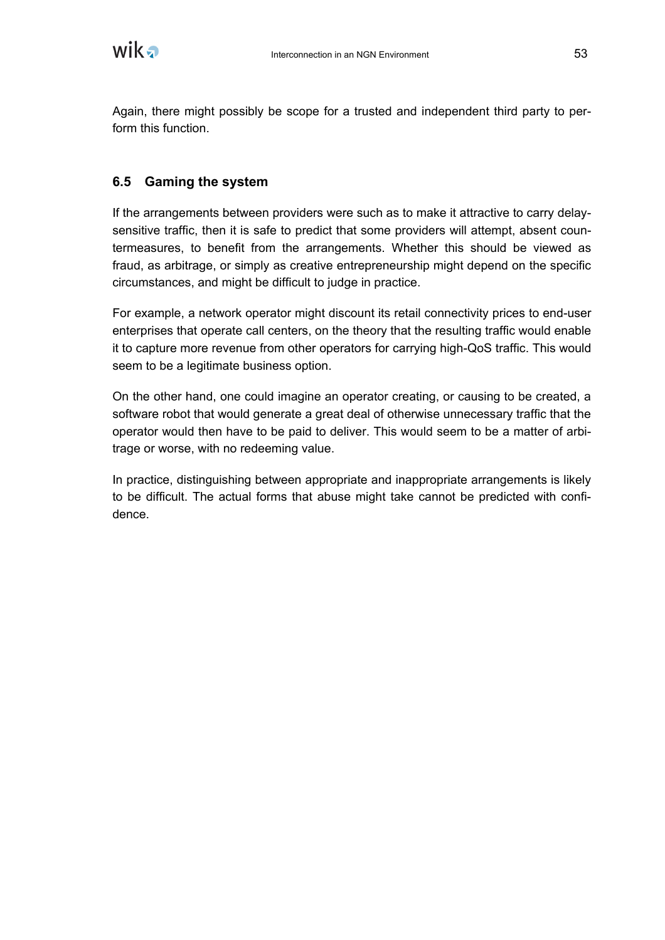

Again, there might possibly be scope for a trusted and independent third party to perform this function.

### **6.5 Gaming the system**

If the arrangements between providers were such as to make it attractive to carry delaysensitive traffic, then it is safe to predict that some providers will attempt, absent countermeasures, to benefit from the arrangements. Whether this should be viewed as fraud, as arbitrage, or simply as creative entrepreneurship might depend on the specific circumstances, and might be difficult to judge in practice.

For example, a network operator might discount its retail connectivity prices to end-user enterprises that operate call centers, on the theory that the resulting traffic would enable it to capture more revenue from other operators for carrying high-QoS traffic. This would seem to be a legitimate business option.

On the other hand, one could imagine an operator creating, or causing to be created, a software robot that would generate a great deal of otherwise unnecessary traffic that the operator would then have to be paid to deliver. This would seem to be a matter of arbitrage or worse, with no redeeming value.

In practice, distinguishing between appropriate and inappropriate arrangements is likely to be difficult. The actual forms that abuse might take cannot be predicted with confidence.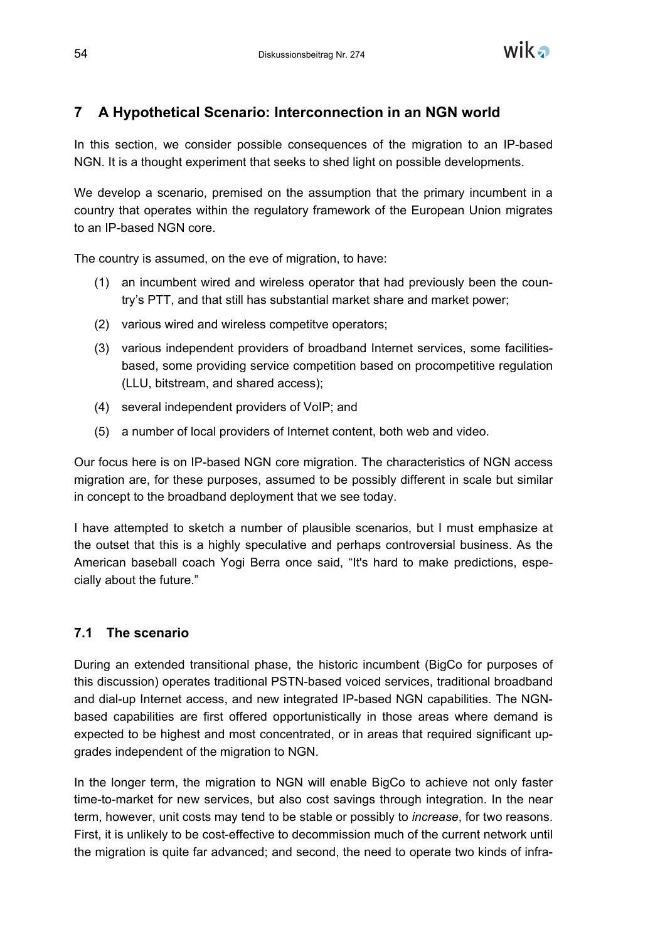

# **7 A Hypothetical Scenario: Interconnection in an NGN world**

In this section, we consider possible consequences of the migration to an IP-based NGN. It is a thought experiment that seeks to shed light on possible developments.

We develop a scenario, premised on the assumption that the primary incumbent in a country that operates within the regulatory framework of the European Union migrates to an IP-based NGN core.

The country is assumed, on the eve of migration, to have:

- (1) an incumbent wired and wireless operator that had previously been the country's PTT, and that still has substantial market share and market power;
- (2) various wired and wireless competitve operators;
- (3) various independent providers of broadband Internet services, some facilitiesbased, some providing service competition based on procompetitive regulation (LLU, bitstream, and shared access);
- (4) several independent providers of VoIP; and
- (5) a number of local providers of Internet content, both web and video.

Our focus here is on IP-based NGN core migration. The characteristics of NGN access migration are, for these purposes, assumed to be possibly different in scale but similar in concept to the broadband deployment that we see today.

I have attempted to sketch a number of plausible scenarios, but I must emphasize at the outset that this is a highly speculative and perhaps controversial business. As the American baseball coach Yogi Berra once said, "It's hard to make predictions, especially about the future."

## **7.1 The scenario**

During an extended transitional phase, the historic incumbent (BigCo for purposes of this discussion) operates traditional PSTN-based voiced services, traditional broadband and dial-up Internet access, and new integrated IP-based NGN capabilities. The NGNbased capabilities are first offered opportunistically in those areas where demand is expected to be highest and most concentrated, or in areas that required significant upgrades independent of the migration to NGN.

In the longer term, the migration to NGN will enable BigCo to achieve not only faster time-to-market for new services, but also cost savings through integration. In the near term, however, unit costs may tend to be stable or possibly to *increase*, for two reasons. First, it is unlikely to be cost-effective to decommission much of the current network until the migration is quite far advanced; and second, the need to operate two kinds of infra-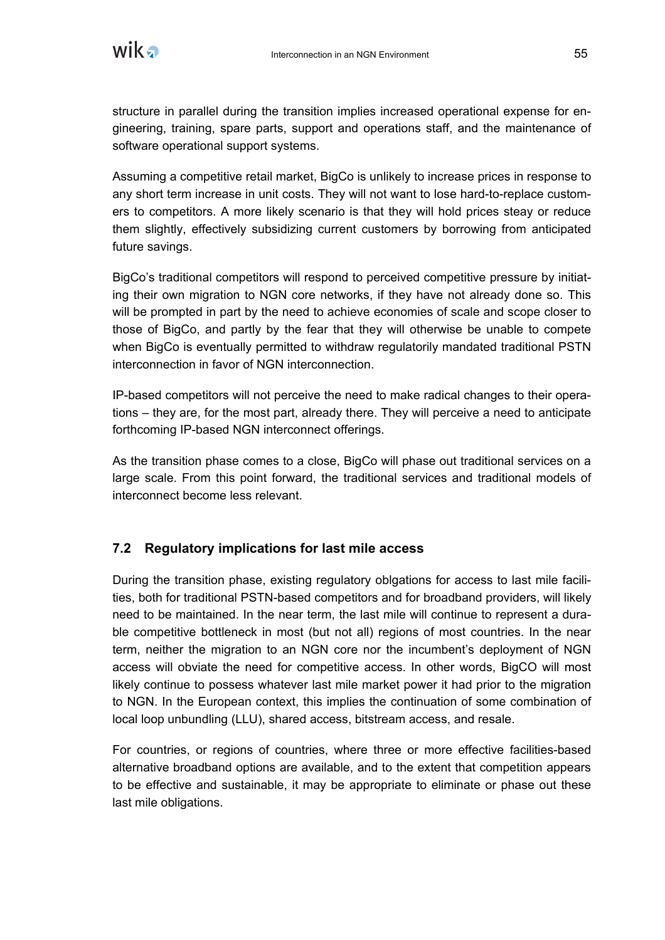

structure in parallel during the transition implies increased operational expense for engineering, training, spare parts, support and operations staff, and the maintenance of software operational support systems.

Assuming a competitive retail market, BigCo is unlikely to increase prices in response to any short term increase in unit costs. They will not want to lose hard-to-replace customers to competitors. A more likely scenario is that they will hold prices steay or reduce them slightly, effectively subsidizing current customers by borrowing from anticipated future savings.

BigCo's traditional competitors will respond to perceived competitive pressure by initiating their own migration to NGN core networks, if they have not already done so. This will be prompted in part by the need to achieve economies of scale and scope closer to those of BigCo, and partly by the fear that they will otherwise be unable to compete when BigCo is eventually permitted to withdraw regulatorily mandated traditional PSTN interconnection in favor of NGN interconnection.

IP-based competitors will not perceive the need to make radical changes to their operations – they are, for the most part, already there. They will perceive a need to anticipate forthcoming IP-based NGN interconnect offerings.

As the transition phase comes to a close, BigCo will phase out traditional services on a large scale. From this point forward, the traditional services and traditional models of interconnect become less relevant.

#### **7.2 Regulatory implications for last mile access**

During the transition phase, existing regulatory oblgations for access to last mile facilities, both for traditional PSTN-based competitors and for broadband providers, will likely need to be maintained. In the near term, the last mile will continue to represent a durable competitive bottleneck in most (but not all) regions of most countries. In the near term, neither the migration to an NGN core nor the incumbent's deployment of NGN access will obviate the need for competitive access. In other words, BigCO will most likely continue to possess whatever last mile market power it had prior to the migration to NGN. In the European context, this implies the continuation of some combination of local loop unbundling (LLU), shared access, bitstream access, and resale.

For countries, or regions of countries, where three or more effective facilities-based alternative broadband options are available, and to the extent that competition appears to be effective and sustainable, it may be appropriate to eliminate or phase out these last mile obligations.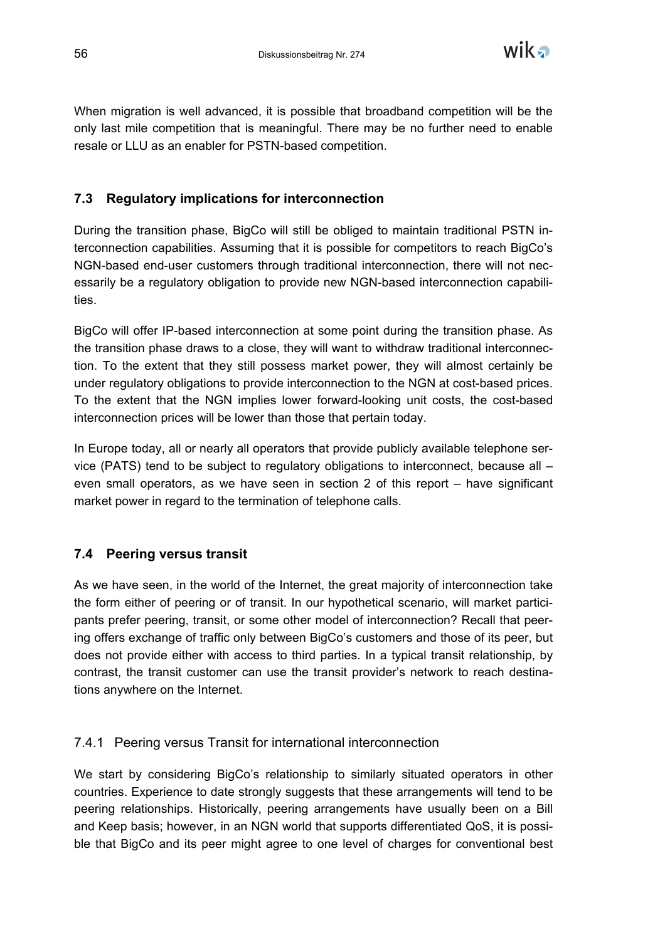

When migration is well advanced, it is possible that broadband competition will be the only last mile competition that is meaningful. There may be no further need to enable resale or LLU as an enabler for PSTN-based competition.

## **7.3 Regulatory implications for interconnection**

During the transition phase, BigCo will still be obliged to maintain traditional PSTN interconnection capabilities. Assuming that it is possible for competitors to reach BigCo's NGN-based end-user customers through traditional interconnection, there will not necessarily be a regulatory obligation to provide new NGN-based interconnection capabilities.

BigCo will offer IP-based interconnection at some point during the transition phase. As the transition phase draws to a close, they will want to withdraw traditional interconnection. To the extent that they still possess market power, they will almost certainly be under regulatory obligations to provide interconnection to the NGN at cost-based prices. To the extent that the NGN implies lower forward-looking unit costs, the cost-based interconnection prices will be lower than those that pertain today.

In Europe today, all or nearly all operators that provide publicly available telephone service (PATS) tend to be subject to regulatory obligations to interconnect, because all – even small operators, as we have seen in section 2 of this report – have significant market power in regard to the termination of telephone calls.

#### **7.4 Peering versus transit**

As we have seen, in the world of the Internet, the great majority of interconnection take the form either of peering or of transit. In our hypothetical scenario, will market participants prefer peering, transit, or some other model of interconnection? Recall that peering offers exchange of traffic only between BigCo's customers and those of its peer, but does not provide either with access to third parties. In a typical transit relationship, by contrast, the transit customer can use the transit provider's network to reach destinations anywhere on the Internet.

#### 7.4.1 Peering versus Transit for international interconnection

We start by considering BigCo's relationship to similarly situated operators in other countries. Experience to date strongly suggests that these arrangements will tend to be peering relationships. Historically, peering arrangements have usually been on a Bill and Keep basis; however, in an NGN world that supports differentiated QoS, it is possible that BigCo and its peer might agree to one level of charges for conventional best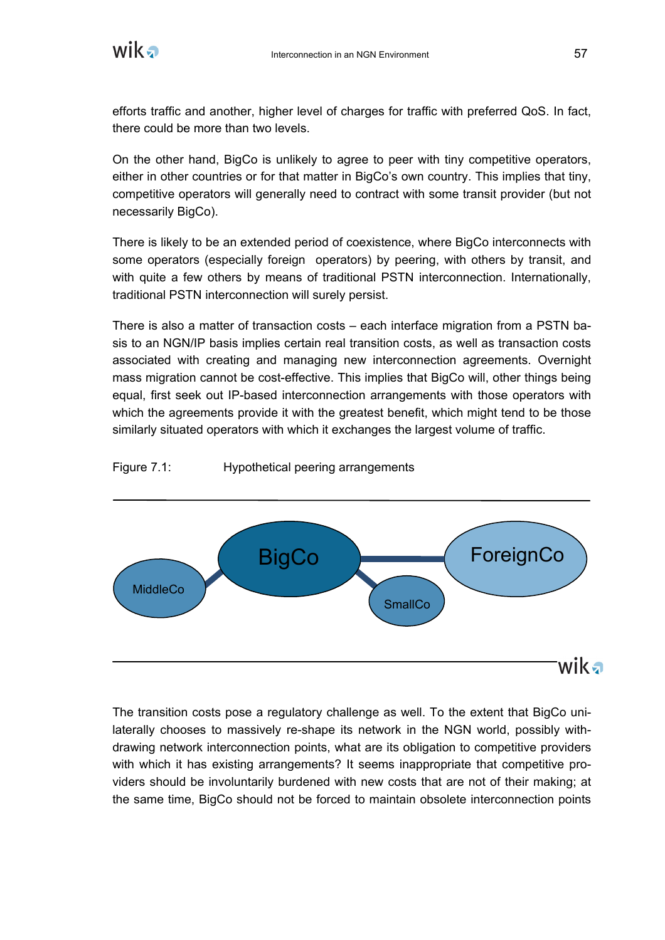

efforts traffic and another, higher level of charges for traffic with preferred QoS. In fact, there could be more than two levels.

On the other hand, BigCo is unlikely to agree to peer with tiny competitive operators, either in other countries or for that matter in BigCo's own country. This implies that tiny, competitive operators will generally need to contract with some transit provider (but not necessarily BigCo).

There is likely to be an extended period of coexistence, where BigCo interconnects with some operators (especially foreign operators) by peering, with others by transit, and with quite a few others by means of traditional PSTN interconnection. Internationally, traditional PSTN interconnection will surely persist.

There is also a matter of transaction costs – each interface migration from a PSTN basis to an NGN/IP basis implies certain real transition costs, as well as transaction costs associated with creating and managing new interconnection agreements. Overnight mass migration cannot be cost-effective. This implies that BigCo will, other things being equal, first seek out IP-based interconnection arrangements with those operators with which the agreements provide it with the greatest benefit, which might tend to be those similarly situated operators with which it exchanges the largest volume of traffic.

Figure 7.1: Hypothetical peering arrangements



The transition costs pose a regulatory challenge as well. To the extent that BigCo unilaterally chooses to massively re-shape its network in the NGN world, possibly withdrawing network interconnection points, what are its obligation to competitive providers with which it has existing arrangements? It seems inappropriate that competitive providers should be involuntarily burdened with new costs that are not of their making; at the same time, BigCo should not be forced to maintain obsolete interconnection points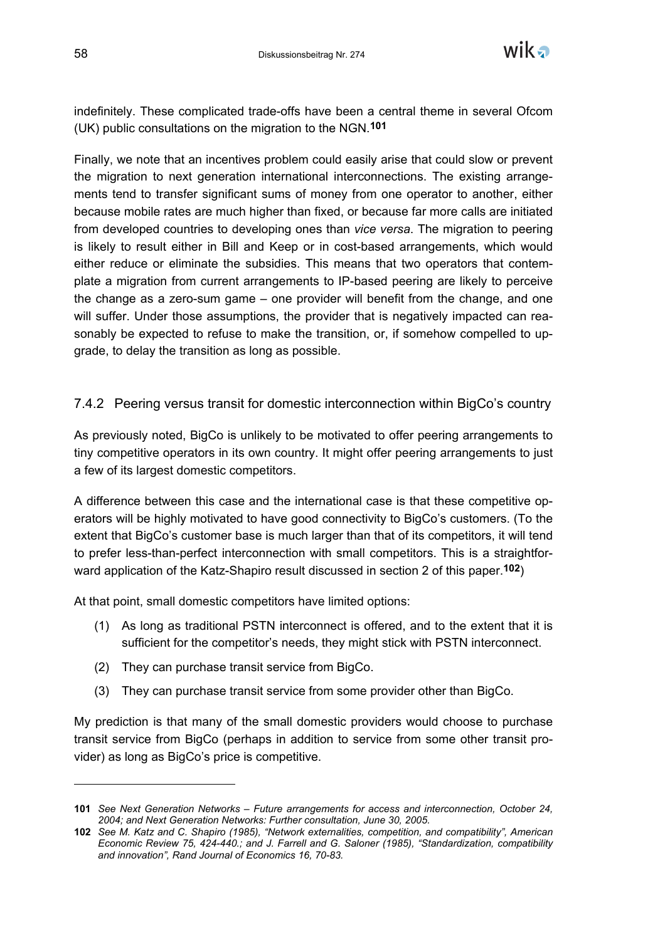

indefinitely. These complicated trade-offs have been a central theme in several Ofcom (UK) public consultations on the migration to the NGN.**101**

Finally, we note that an incentives problem could easily arise that could slow or prevent the migration to next generation international interconnections. The existing arrangements tend to transfer significant sums of money from one operator to another, either because mobile rates are much higher than fixed, or because far more calls are initiated from developed countries to developing ones than *vice versa*. The migration to peering is likely to result either in Bill and Keep or in cost-based arrangements, which would either reduce or eliminate the subsidies. This means that two operators that contemplate a migration from current arrangements to IP-based peering are likely to perceive the change as a zero-sum game – one provider will benefit from the change, and one will suffer. Under those assumptions, the provider that is negatively impacted can reasonably be expected to refuse to make the transition, or, if somehow compelled to upgrade, to delay the transition as long as possible.

#### 7.4.2 Peering versus transit for domestic interconnection within BigCo's country

As previously noted, BigCo is unlikely to be motivated to offer peering arrangements to tiny competitive operators in its own country. It might offer peering arrangements to just a few of its largest domestic competitors.

A difference between this case and the international case is that these competitive operators will be highly motivated to have good connectivity to BigCo's customers. (To the extent that BigCo's customer base is much larger than that of its competitors, it will tend to prefer less-than-perfect interconnection with small competitors. This is a straightforward application of the Katz-Shapiro result discussed in section 2 of this paper.**102**)

At that point, small domestic competitors have limited options:

- (1) As long as traditional PSTN interconnect is offered, and to the extent that it is sufficient for the competitor's needs, they might stick with PSTN interconnect.
- (2) They can purchase transit service from BigCo.
- (3) They can purchase transit service from some provider other than BigCo.

My prediction is that many of the small domestic providers would choose to purchase transit service from BigCo (perhaps in addition to service from some other transit provider) as long as BigCo's price is competitive.

**<sup>101</sup>** *See Next Generation Networks – Future arrangements for access and interconnection, October 24, 2004; and Next Generation Networks: Further consultation, June 30, 2005.*

**<sup>102</sup>** *See M. Katz and C. Shapiro (1985), "Network externalities, competition, and compatibility", American Economic Review 75, 424-440.; and J. Farrell and G. Saloner (1985), "Standardization, compatibility and innovation", Rand Journal of Economics 16, 70-83.*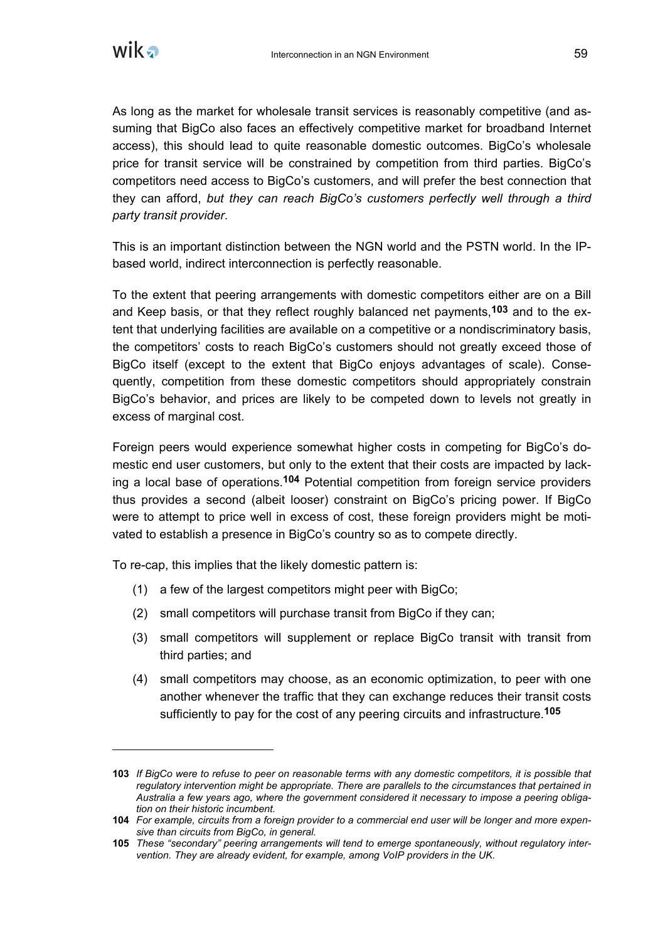

 $\overline{a}$ 

As long as the market for wholesale transit services is reasonably competitive (and assuming that BigCo also faces an effectively competitive market for broadband Internet access), this should lead to quite reasonable domestic outcomes. BigCo's wholesale price for transit service will be constrained by competition from third parties. BigCo's competitors need access to BigCo's customers, and will prefer the best connection that they can afford, *but they can reach BigCo's customers perfectly well through a third party transit provider*.

This is an important distinction between the NGN world and the PSTN world. In the IPbased world, indirect interconnection is perfectly reasonable.

To the extent that peering arrangements with domestic competitors either are on a Bill and Keep basis, or that they reflect roughly balanced net payments,**103** and to the extent that underlying facilities are available on a competitive or a nondiscriminatory basis, the competitors' costs to reach BigCo's customers should not greatly exceed those of BigCo itself (except to the extent that BigCo enjoys advantages of scale). Consequently, competition from these domestic competitors should appropriately constrain BigCo's behavior, and prices are likely to be competed down to levels not greatly in excess of marginal cost.

Foreign peers would experience somewhat higher costs in competing for BigCo's domestic end user customers, but only to the extent that their costs are impacted by lacking a local base of operations.**104** Potential competition from foreign service providers thus provides a second (albeit looser) constraint on BigCo's pricing power. If BigCo were to attempt to price well in excess of cost, these foreign providers might be motivated to establish a presence in BigCo's country so as to compete directly.

To re-cap, this implies that the likely domestic pattern is:

- (1) a few of the largest competitors might peer with BigCo;
- (2) small competitors will purchase transit from BigCo if they can;
- (3) small competitors will supplement or replace BigCo transit with transit from third parties; and
- (4) small competitors may choose, as an economic optimization, to peer with one another whenever the traffic that they can exchange reduces their transit costs sufficiently to pay for the cost of any peering circuits and infrastructure.**105**

**<sup>103</sup>** *If BigCo were to refuse to peer on reasonable terms with any domestic competitors, it is possible that regulatory intervention might be appropriate. There are parallels to the circumstances that pertained in Australia a few years ago, where the government considered it necessary to impose a peering obligation on their historic incumbent.*

**<sup>104</sup>** *For example, circuits from a foreign provider to a commercial end user will be longer and more expensive than circuits from BigCo, in general.*

**<sup>105</sup>** *These "secondary" peering arrangements will tend to emerge spontaneously, without regulatory intervention. They are already evident, for example, among VoIP providers in the UK.*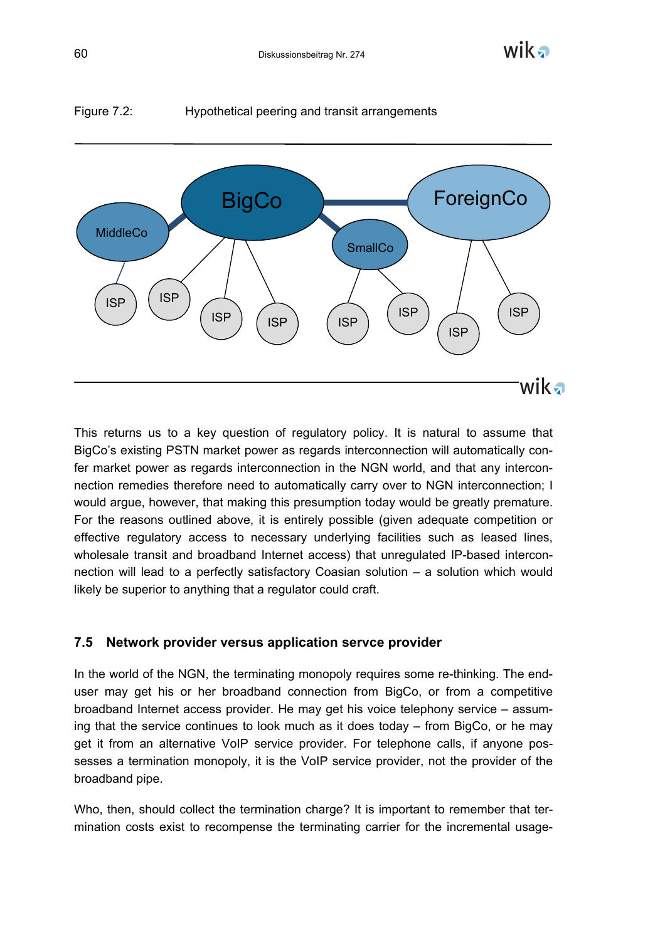

# Figure 7.2: Hypothetical peering and transit arrangements

This returns us to a key question of regulatory policy. It is natural to assume that BigCo's existing PSTN market power as regards interconnection will automatically confer market power as regards interconnection in the NGN world, and that any interconnection remedies therefore need to automatically carry over to NGN interconnection; I would argue, however, that making this presumption today would be greatly premature. For the reasons outlined above, it is entirely possible (given adequate competition or effective regulatory access to necessary underlying facilities such as leased lines, wholesale transit and broadband Internet access) that unregulated IP-based interconnection will lead to a perfectly satisfactory Coasian solution – a solution which would likely be superior to anything that a regulator could craft.

#### **7.5 Network provider versus application servce provider**

In the world of the NGN, the terminating monopoly requires some re-thinking. The enduser may get his or her broadband connection from BigCo, or from a competitive broadband Internet access provider. He may get his voice telephony service – assuming that the service continues to look much as it does today – from BigCo, or he may get it from an alternative VoIP service provider. For telephone calls, if anyone possesses a termination monopoly, it is the VoIP service provider, not the provider of the broadband pipe.

Who, then, should collect the termination charge? It is important to remember that termination costs exist to recompense the terminating carrier for the incremental usage-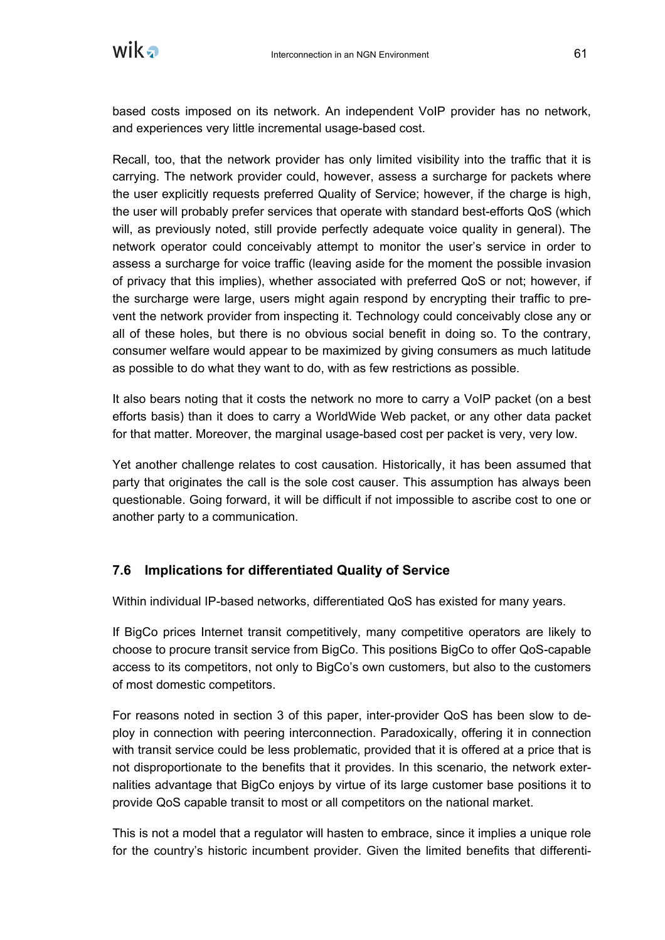

based costs imposed on its network. An independent VoIP provider has no network, and experiences very little incremental usage-based cost.

Recall, too, that the network provider has only limited visibility into the traffic that it is carrying. The network provider could, however, assess a surcharge for packets where the user explicitly requests preferred Quality of Service; however, if the charge is high, the user will probably prefer services that operate with standard best-efforts QoS (which will, as previously noted, still provide perfectly adequate voice quality in general). The network operator could conceivably attempt to monitor the user's service in order to assess a surcharge for voice traffic (leaving aside for the moment the possible invasion of privacy that this implies), whether associated with preferred QoS or not; however, if the surcharge were large, users might again respond by encrypting their traffic to prevent the network provider from inspecting it. Technology could conceivably close any or all of these holes, but there is no obvious social benefit in doing so. To the contrary, consumer welfare would appear to be maximized by giving consumers as much latitude as possible to do what they want to do, with as few restrictions as possible.

It also bears noting that it costs the network no more to carry a VoIP packet (on a best efforts basis) than it does to carry a WorldWide Web packet, or any other data packet for that matter. Moreover, the marginal usage-based cost per packet is very, very low.

Yet another challenge relates to cost causation. Historically, it has been assumed that party that originates the call is the sole cost causer. This assumption has always been questionable. Going forward, it will be difficult if not impossible to ascribe cost to one or another party to a communication.

#### **7.6 Implications for differentiated Quality of Service**

Within individual IP-based networks, differentiated QoS has existed for many years.

If BigCo prices Internet transit competitively, many competitive operators are likely to choose to procure transit service from BigCo. This positions BigCo to offer QoS-capable access to its competitors, not only to BigCo's own customers, but also to the customers of most domestic competitors.

For reasons noted in section 3 of this paper, inter-provider QoS has been slow to deploy in connection with peering interconnection. Paradoxically, offering it in connection with transit service could be less problematic, provided that it is offered at a price that is not disproportionate to the benefits that it provides. In this scenario, the network externalities advantage that BigCo enjoys by virtue of its large customer base positions it to provide QoS capable transit to most or all competitors on the national market.

This is not a model that a regulator will hasten to embrace, since it implies a unique role for the country's historic incumbent provider. Given the limited benefits that differenti-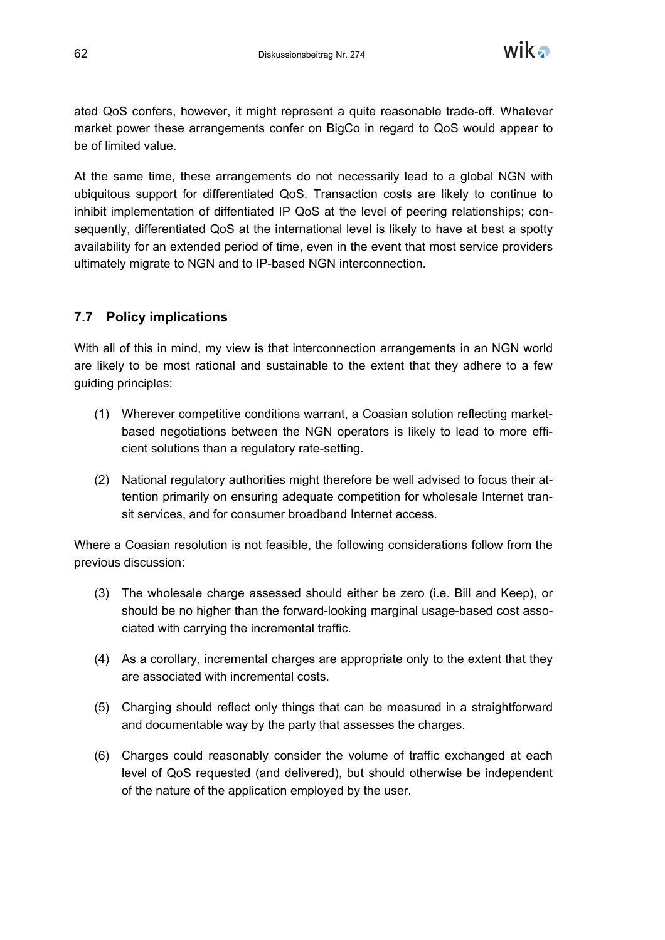

ated QoS confers, however, it might represent a quite reasonable trade-off. Whatever market power these arrangements confer on BigCo in regard to QoS would appear to be of limited value.

At the same time, these arrangements do not necessarily lead to a global NGN with ubiquitous support for differentiated QoS. Transaction costs are likely to continue to inhibit implementation of diffentiated IP QoS at the level of peering relationships; consequently, differentiated QoS at the international level is likely to have at best a spotty availability for an extended period of time, even in the event that most service providers ultimately migrate to NGN and to IP-based NGN interconnection.

# **7.7 Policy implications**

With all of this in mind, my view is that interconnection arrangements in an NGN world are likely to be most rational and sustainable to the extent that they adhere to a few guiding principles:

- (1) Wherever competitive conditions warrant, a Coasian solution reflecting marketbased negotiations between the NGN operators is likely to lead to more efficient solutions than a regulatory rate-setting.
- (2) National regulatory authorities might therefore be well advised to focus their attention primarily on ensuring adequate competition for wholesale Internet transit services, and for consumer broadband Internet access.

Where a Coasian resolution is not feasible, the following considerations follow from the previous discussion:

- (3) The wholesale charge assessed should either be zero (i.e. Bill and Keep), or should be no higher than the forward-looking marginal usage-based cost associated with carrying the incremental traffic.
- (4) As a corollary, incremental charges are appropriate only to the extent that they are associated with incremental costs.
- (5) Charging should reflect only things that can be measured in a straightforward and documentable way by the party that assesses the charges.
- (6) Charges could reasonably consider the volume of traffic exchanged at each level of QoS requested (and delivered), but should otherwise be independent of the nature of the application employed by the user.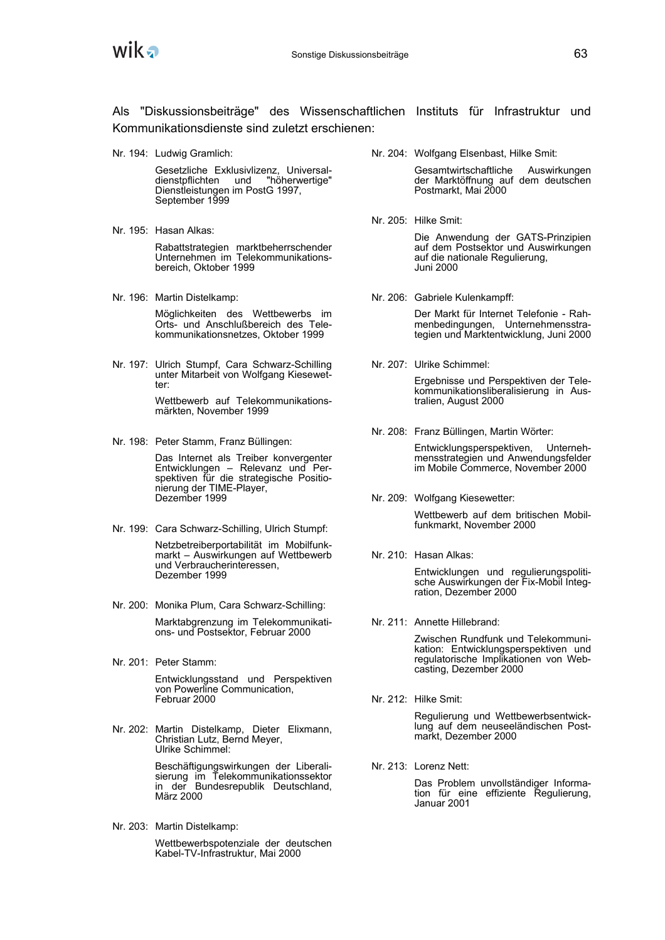

Als "Diskussionsbeiträge" des Wissenschaftlichen Instituts für Infrastruktur und Kommunikationsdienste sind zuletzt erschienen:

Nr. 194: Ludwig Gramlich:

Gesetzliche Exklusivlizenz, Universaldienstpflichten und "höherwertige" Dienstleistungen im PostG 1997, September 1999

- Nr. 195: Hasan Alkas: Rabattstrategien marktbeherrschender Unternehmen im Telekommunikationsbereich, Oktober 1999
- Nr. 196: Martin Distelkamp:

Möglichkeiten des Wettbewerbs im Orts- und Anschlußbereich des Telekommunikationsnetzes, Oktober 1999

Nr. 197: Ulrich Stumpf, Cara Schwarz-Schilling unter Mitarbeit von Wolfgang Kiesewetter:

> Wettbewerb auf Telekommunikationsmärkten, November 1999

Nr. 198: Peter Stamm, Franz Büllingen:

Das Internet als Treiber konvergenter Entwicklungen – Relevanz und Perspektiven für die strategische Positionierung der TIME-Player, Dezember 1999

Nr. 199: Cara Schwarz-Schilling, Ulrich Stumpf:

Netzbetreiberportabilität im Mobilfunkmarkt – Auswirkungen auf Wettbewerb und Verbraucherinteressen, Dezember 1999

- Nr. 200: Monika Plum, Cara Schwarz-Schilling: Marktabgrenzung im Telekommunikations- und Postsektor, Februar 2000
- Nr. 201: Peter Stamm: Entwicklungsstand und Perspektiven von Powerline Communication, Februar 2000
- Nr. 202: Martin Distelkamp, Dieter Elixmann, Christian Lutz, Bernd Meyer, Ulrike Schimmel:

Beschäftigungswirkungen der Liberalisierung im Telekommunikationssektor in der Bundesrepublik Deutschland, März 2000

Nr. 203: Martin Distelkamp:

Wettbewerbspotenziale der deutschen Kabel-TV-Infrastruktur, Mai 2000

Nr. 204: Wolfgang Elsenbast, Hilke Smit:

Gesamtwirtschaftliche Auswirkungen der Marktöffnung auf dem deutschen Postmarkt, Mai 2000

Nr. 205: Hilke Smit:

Die Anwendung der GATS-Prinzipien auf dem Postsektor und Auswirkungen auf die nationale Regulierung, Juni 2000

Nr. 206: Gabriele Kulenkampff:

Der Markt für Internet Telefonie - Rahmenbedingungen, Unternehmensstrategien und Marktentwicklung, Juni 2000

Nr. 207: Ulrike Schimmel:

Ergebnisse und Perspektiven der Telekommunikationsliberalisierung in Australien, August 2000

Nr. 208: Franz Büllingen, Martin Wörter:

Entwicklungsperspektiven, Unternehmensstrategien und Anwendungsfelder im Mobile Commerce, November 2000

Nr. 209: Wolfgang Kiesewetter:

Wettbewerb auf dem britischen Mobilfunkmarkt, November 2000

Nr. 210: Hasan Alkas:

Entwicklungen und regulierungspolitische Auswirkungen der Fix-Mobil Integration, Dezember 2000

Nr. 211: Annette Hillebrand:

Zwischen Rundfunk und Telekommunikation: Entwicklungsperspektiven und regulatorische Implikationen von Webcasting, Dezember 2000

Nr. 212: Hilke Smit:

Regulierung und Wettbewerbsentwicklung auf dem neuseeländischen Postmarkt, Dezember 2000

Nr. 213: Lorenz Nett:

Das Problem unvollständiger Information für eine effiziente Regulierung, Januar 2001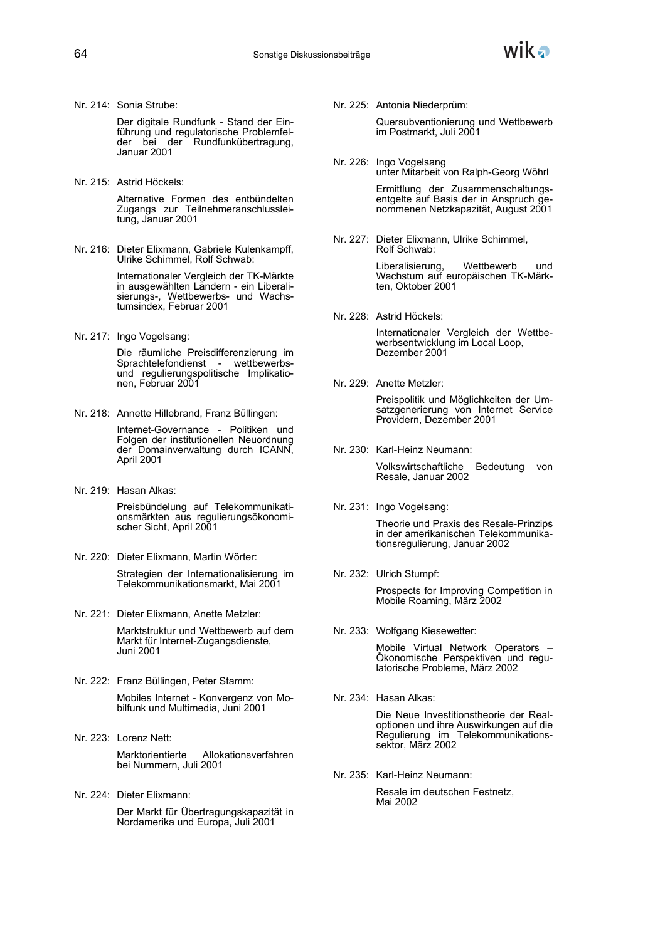Nr. 214: Sonia Strube:

Der digitale Rundfunk - Stand der Einführung und regulatorische Problemfelder bei der Rundfunkübertragung, Januar 2001

Nr. 215: Astrid Höckels:

Alternative Formen des entbündelten Zugangs zur Teilnehmeranschlussleitung, Januar 2001

Nr. 216: Dieter Elixmann, Gabriele Kulenkampff, Ulrike Schimmel, Rolf Schwab:

> Internationaler Vergleich der TK-Märkte in ausgewählten Ländern - ein Liberalisierungs-, Wettbewerbs- und Wachstumsindex, Februar 2001

Nr. 217: Ingo Vogelsang:

Die räumliche Preisdifferenzierung im Sprachtelefondienst - wettbewerbsund regulierungspolitische Implikationen, Februar 2001

Nr. 218: Annette Hillebrand, Franz Büllingen:

Internet-Governance - Politiken und Folgen der institutionellen Neuordnung der Domainverwaltung durch ICANN, April 2001

Nr. 219: Hasan Alkas:

Preisbündelung auf Telekommunikationsmärkten aus regulierungsökonomischer Sicht, April 2001

- Nr. 220: Dieter Elixmann, Martin Wörter: Strategien der Internationalisierung im Telekommunikationsmarkt, Mai 2001
- Nr. 221: Dieter Elixmann, Anette Metzler: Marktstruktur und Wettbewerb auf dem Markt für Internet-Zugangsdienste, Juni 2001
- Nr. 222: Franz Büllingen, Peter Stamm: Mobiles Internet - Konvergenz von Mobilfunk und Multimedia, Juni 2001
- Nr. 223: Lorenz Nett: Marktorientierte Allokationsverfahren bei Nummern, Juli 2001
- Nr. 224: Dieter Elixmann: Der Markt für Übertragungskapazität in Nordamerika und Europa, Juli 2001

Nr. 225: Antonia Niederprüm:

Quersubventionierung und Wettbewerb im Postmarkt, Juli 2001

Nr. 226: Ingo Vogelsang unter Mitarbeit von Ralph-Georg Wöhrl

> Ermittlung der Zusammenschaltungsentgelte auf Basis der in Anspruch genommenen Netzkapazität, August 2001

Nr. 227: Dieter Elixmann, Ulrike Schimmel, Rolf Schwab:

> Liberalisierung, Wettbewerb und Wachstum auf europäischen TK-Märkten, Oktober 2001

Nr. 228: Astrid Höckels:

Internationaler Vergleich der Wettbewerbsentwicklung im Local Loop, Dezember 2001

Nr. 229: Anette Metzler:

Preispolitik und Möglichkeiten der Umsatzgenerierung von Internet Service Providern, Dezember 2001

Nr. 230: Karl-Heinz Neumann:

Volkswirtschaftliche Bedeutung von Resale, Januar 2002

Nr. 231: Ingo Vogelsang:

Theorie und Praxis des Resale-Prinzips in der amerikanischen Telekommunikationsregulierung, Januar 2002

Nr. 232: Ulrich Stumpf:

Prospects for Improving Competition in Mobile Roaming, März 2002

Nr. 233: Wolfgang Kiesewetter:

Mobile Virtual Network Operators – Ökonomische Perspektiven und regulatorische Probleme, März 2002

Nr. 234: Hasan Alkas:

Die Neue Investitionstheorie der Realoptionen und ihre Auswirkungen auf die Regulierung im Telekommunikationssektor, März 2002

Nr. 235: Karl-Heinz Neumann:

Resale im deutschen Festnetz, Mai 2002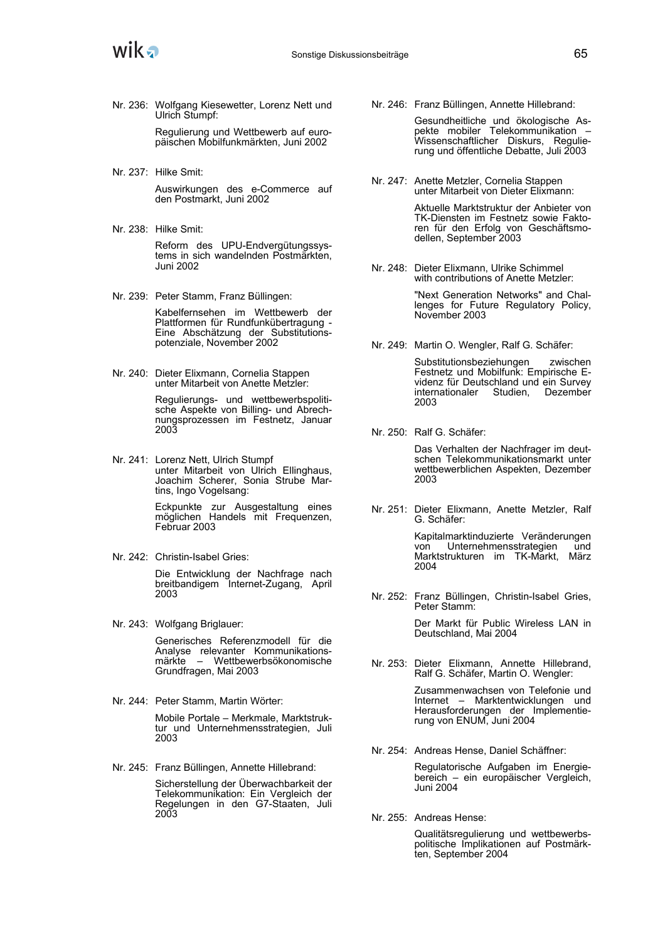

Nr. 236: Wolfgang Kiesewetter, Lorenz Nett und Ulrich Stumpf:

> Regulierung und Wettbewerb auf europäischen Mobilfunkmärkten, Juni 2002

Nr. 237: Hilke Smit:

Auswirkungen des e-Commerce auf den Postmarkt, Juni 2002

- Nr. 238: Hilke Smit: Reform des UPU-Endvergütungssystems in sich wandelnden Postmärkten, Juni 2002
- Nr. 239: Peter Stamm, Franz Büllingen:

Kabelfernsehen im Wettbewerb der Plattformen für Rundfunkübertragung - Eine Abschätzung der Substitutionspotenziale, November 2002

Nr. 240: Dieter Elixmann, Cornelia Stappen unter Mitarbeit von Anette Metzler:

> Regulierungs- und wettbewerbspolitische Aspekte von Billing- und Abrechnungsprozessen im Festnetz, Januar 2003

Nr. 241: Lorenz Nett, Ulrich Stumpf unter Mitarbeit von Ulrich Ellinghaus, Joachim Scherer, Sonia Strube Martins, Ingo Vogelsang:

> Eckpunkte zur Ausgestaltung eines möglichen Handels mit Frequenzen, Februar 2003

Nr. 242: Christin-Isabel Gries:

Die Entwicklung der Nachfrage nach breitbandigem Internet-Zugang, April 2003

Nr. 243: Wolfgang Briglauer:

Generisches Referenzmodell für die Analyse relevanter Kommunikationsmärkte – Wettbewerbsökonomische Grundfragen, Mai 2003

Nr. 244: Peter Stamm, Martin Wörter:

Mobile Portale – Merkmale, Marktstruktur und Unternehmensstrategien, Juli 2003

Nr. 245: Franz Büllingen, Annette Hillebrand:

Sicherstellung der Überwachbarkeit der Telekommunikation: Ein Vergleich der Regelungen in den G7-Staaten, Juli 2003

Nr. 246: Franz Büllingen, Annette Hillebrand:

Gesundheitliche und ökologische Aspekte mobiler Telekommunikation – Wissenschaftlicher Diskurs, Regulierung und öffentliche Debatte, Juli 2003

Nr. 247: Anette Metzler, Cornelia Stappen unter Mitarbeit von Dieter Elixmann:

> Aktuelle Marktstruktur der Anbieter von TK-Diensten im Festnetz sowie Faktoren für den Erfolg von Geschäftsmodellen, September 2003

Nr. 248: Dieter Elixmann, Ulrike Schimmel with contributions of Anette Metzler:

> "Next Generation Networks" and Challenges for Future Regulatory Policy, November 2003

Nr. 249: Martin O. Wengler, Ralf G. Schäfer:

Substitutionsbeziehungen zwischen Festnetz und Mobilfunk: Empirische Evidenz für Deutschland und ein Survey internationaler Studien, Dezember 2003

Nr. 250: Ralf G. Schäfer:

Das Verhalten der Nachfrager im deutschen Telekommunikationsmarkt unter wettbewerblichen Aspekten, Dezember 2003

Nr. 251: Dieter Elixmann, Anette Metzler, Ralf G. Schäfer:

> Kapitalmarktinduzierte Veränderungen von Unternehmensstrategien und Marktstrukturen im TK-Markt, März 2004

Nr. 252: Franz Büllingen, Christin-Isabel Gries, Peter Stamm:

> Der Markt für Public Wireless LAN in Deutschland, Mai 2004

Nr. 253: Dieter Elixmann, Annette Hillebrand, Ralf G. Schäfer, Martin O. Wengler:

> Zusammenwachsen von Telefonie und Internet – Marktentwicklungen und Herausforderungen der Implementierung von ENUM, Juni 2004

Nr. 254: Andreas Hense, Daniel Schäffner:

Regulatorische Aufgaben im Energiebereich – ein europäischer Vergleich, Juni 2004

Nr. 255: Andreas Hense:

Qualitätsregulierung und wettbewerbspolitische Implikationen auf Postmärkten, September 2004